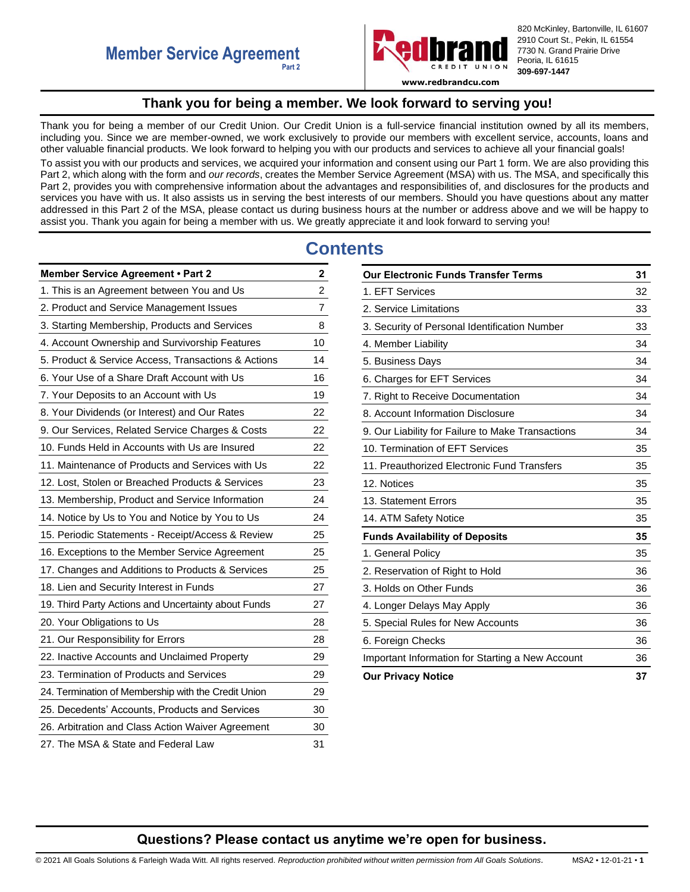

820 McKinley, Bartonville, IL 61607 2910 Court St., Pekin, IL 61554 7730 N. Grand Prairie Drive Peoria, IL 61615 **309-697-1447**

**www.redbrandcu.com**

## **Thank you for being a member. We look forward to serving you!**

<span id="page-0-0"></span>Thank you for being a member of our Credit Union. Our Credit Union is a full-service financial institution owned by all its members, including you. Since we are member-owned, we work exclusively to provide our members with excellent service, accounts, loans and other valuable financial products. We look forward to helping you with our products and services to achieve all your financial goals! To assist you with our products and services, we acquired your information and consent using our Part 1 form. We are also providing this Part 2, which along with the form and *our records*, creates the Member Service Agreement (MSA) with us. The MSA, and specifically this Part 2, provides you with comprehensive information about the advantages and responsibilities of, and disclosures for the products and services you have with us. It also assists us in serving the best interests of our members. Should you have questions about any matter addressed in this Part 2 of the MSA, please contact us during business hours at the number or address above and we will be happy to assist you. Thank you again for being a member with us. We greatly appreciate it and look forward to serving you!

# **Contents**

| Member Service Agreement . Part 2                   | $\mathbf{2}$   |
|-----------------------------------------------------|----------------|
| 1. This is an Agreement between You and Us          | $\overline{c}$ |
| 2. Product and Service Management Issues            | $\overline{7}$ |
| 3. Starting Membership, Products and Services       | 8              |
| 4. Account Ownership and Survivorship Features      | 10             |
| 5. Product & Service Access, Transactions & Actions | 14             |
| 6. Your Use of a Share Draft Account with Us        | 16             |
| 7. Your Deposits to an Account with Us              | 19             |
| 8. Your Dividends (or Interest) and Our Rates       | 22             |
| 9. Our Services, Related Service Charges & Costs    | 22             |
| 10. Funds Held in Accounts with Us are Insured      | 22             |
| 11. Maintenance of Products and Services with Us    | 22             |
| 12. Lost, Stolen or Breached Products & Services    | 23             |
| 13. Membership, Product and Service Information     | 24             |
| 14. Notice by Us to You and Notice by You to Us     | 24             |
| 15. Periodic Statements - Receipt/Access & Review   | 25             |
| 16. Exceptions to the Member Service Agreement      | 25             |
| 17. Changes and Additions to Products & Services    | 25             |
| 18. Lien and Security Interest in Funds             | 27             |
| 19. Third Party Actions and Uncertainty about Funds | 27             |
| 20. Your Obligations to Us                          | 28             |
| 21. Our Responsibility for Errors                   | 28             |
| 22. Inactive Accounts and Unclaimed Property        | 29             |
| 23. Termination of Products and Services            | 29             |
| 24. Termination of Membership with the Credit Union | 29             |
| 25. Decedents' Accounts, Products and Services      | 30             |
| 26. Arbitration and Class Action Waiver Agreement   | 30             |
| 27. The MSA & State and Federal Law                 | 31             |

| <b>Our Electronic Funds Transfer Terms</b>        |    |
|---------------------------------------------------|----|
| 1. EFT Services                                   | 32 |
| 2. Service Limitations                            | 33 |
| 3. Security of Personal Identification Number     | 33 |
| 4. Member Liability                               | 34 |
| 5. Business Days                                  | 34 |
| 6. Charges for EFT Services                       | 34 |
| 7. Right to Receive Documentation                 | 34 |
| 8. Account Information Disclosure                 | 34 |
| 9. Our Liability for Failure to Make Transactions | 34 |
| 10. Termination of EFT Services                   | 35 |
| 11. Preauthorized Electronic Fund Transfers       | 35 |
| 12. Notices                                       | 35 |
| 13. Statement Errors                              | 35 |
| 14. ATM Safety Notice                             | 35 |
| <b>Funds Availability of Deposits</b>             | 35 |
| 1. General Policy                                 | 35 |
| 2. Reservation of Right to Hold                   | 36 |
| 3. Holds on Other Funds                           | 36 |
| 4. Longer Delays May Apply                        | 36 |
| 5. Special Rules for New Accounts                 | 36 |
| 6. Foreign Checks                                 | 36 |
| Important Information for Starting a New Account  | 36 |
| <b>Our Privacy Notice</b>                         | 37 |

## **Questions? Please contact us anytime we're open for business.**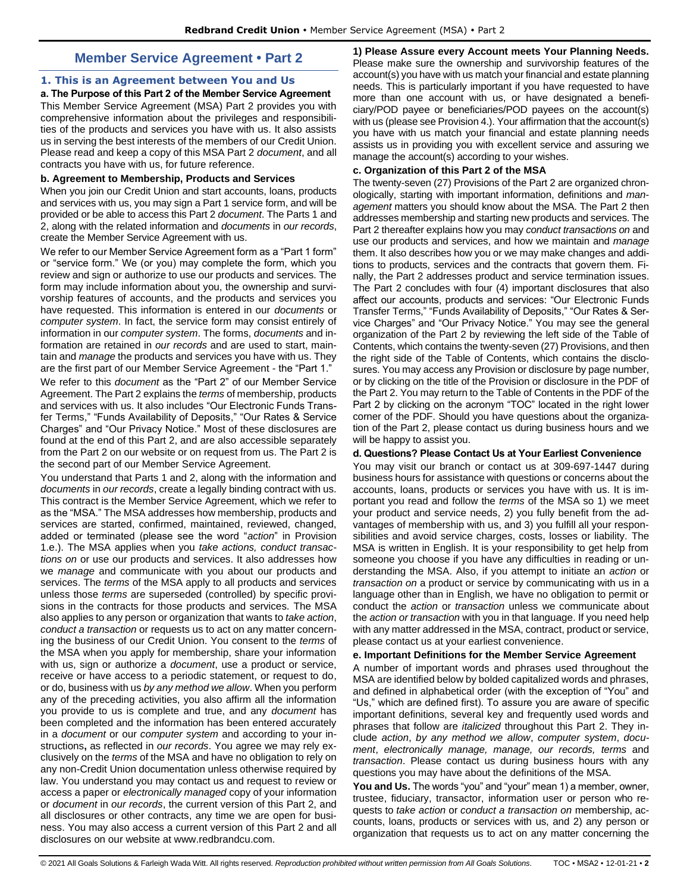## **Member Service Agreement • Part 2**

## <span id="page-1-1"></span><span id="page-1-0"></span>**1. This is an Agreement between You and Us**

**a. The Purpose of this Part 2 of the Member Service Agreement**  This Member Service Agreement (MSA) Part 2 provides you with comprehensive information about the privileges and responsibilities of the products and services you have with us. It also assists us in serving the best interests of the members of our Credit Union. Please read and keep a copy of this MSA Part 2 *document*, and all contracts you have with us, for future reference.

#### **b. Agreement to Membership, Products and Services**

When you join our Credit Union and start accounts, loans, products and services with us, you may sign a Part 1 service form, and will be provided or be able to access this Part 2 *document*. The Parts 1 and 2, along with the related information and *documents* in *our records*, create the Member Service Agreement with us.

We refer to our Member Service Agreement form as a "Part 1 form" or "service form." We (or you) may complete the form, which you review and sign or authorize to use our products and services. The form may include information about you, the ownership and survivorship features of accounts, and the products and services you have requested. This information is entered in our *documents* or *computer system*. In fact, the service form may consist entirely of information in our *computer system*. The forms, *documents* and information are retained in *our records* and are used to start, maintain and *manage* the products and services you have with us. They are the first part of our Member Service Agreement - the "Part 1."

We refer to this *document* as the "Part 2" of our Member Service Agreement. The Part 2 explains the *terms* of membership, products and services with us. It also includes "Our Electronic Funds Transfer Terms," "Funds Availability of Deposits," "Our Rates & Service Charges" and "Our Privacy Notice." Most of these disclosures are found at the end of this Part 2, and are also accessible separately from the Part 2 on our website or on request from us. The Part 2 is the second part of our Member Service Agreement.

You understand that Parts 1 and 2, along with the information and *documents* in *our records*, create a legally binding contract with us. This contract is the Member Service Agreement, which we refer to as the "MSA." The MSA addresses how membership, products and services are started, confirmed, maintained, reviewed, changed, added or terminated (please see the word "*action*" in Provision 1.e.). The MSA applies when you *take actions, conduct transactions on* or use our products and services. It also addresses how we *manage* and communicate with you about our products and services. The *terms* of the MSA apply to all products and services unless those *terms* are superseded (controlled) by specific provisions in the contracts for those products and services. The MSA also applies to any person or organization that wants to *take action*, *conduct a transaction* or requests us to act on any matter concerning the business of our Credit Union. You consent to the *terms* of the MSA when you apply for membership, share your information with us, sign or authorize a *document*, use a product or service, receive or have access to a periodic statement, or request to do, or do, business with us *by any method we allow*. When you perform any of the preceding activities, you also affirm all the information you provide to us is complete and true, and any *document* has been completed and the information has been entered accurately in a *document* or our *computer system* and according to your instructions**,** as reflected in *our records*. You agree we may rely exclusively on the *terms* of the MSA and have no obligation to rely on any non-Credit Union documentation unless otherwise required by law. You understand you may contact us and request to review or access a paper or *electronically managed* copy of your information or *document* in *our records*, the current version of this Part 2, and all disclosures or other contracts, any time we are open for business. You may also access a current version of this Part 2 and all disclosures on our website at www.redbrandcu.com.

**1) Please Assure every Account meets Your Planning Needs.**  Please make sure the ownership and survivorship features of the account(s) you have with us match your financial and estate planning needs. This is particularly important if you have requested to have more than one account with us, or have designated a beneficiary/POD payee or beneficiaries/POD payees on the account(s) with us (please see Provision 4.). Your affirmation that the account(s) you have with us match your financial and estate planning needs assists us in providing you with excellent service and assuring we manage the account(s) according to your wishes.

#### **c. Organization of this Part 2 of the MSA**

The twenty-seven (27) Provisions of the Part 2 are organized chronologically, starting with important information, definitions and *management* matters you should know about the MSA. The Part 2 then addresses membership and starting new products and services. The Part 2 thereafter explains how you may *conduct transactions on* and use our products and services, and how we maintain and *manage*  them. It also describes how you or we may make changes and additions to products, services and the contracts that govern them. Finally, the Part 2 addresses product and service termination issues. The Part 2 concludes with four (4) important disclosures that also affect our accounts, products and services: "Our Electronic Funds Transfer Terms," "Funds Availability of Deposits," "Our Rates & Service Charges" and "Our Privacy Notice." You may see the general organization of the Part 2 by reviewing the left side of the Table of Contents, which contains the twenty-seven (27) Provisions, and then the right side of the Table of Contents, which contains the disclosures. You may access any Provision or disclosure by page number, or by clicking on the title of the Provision or disclosure in the PDF of the Part 2. You may return to the Table of Contents in the PDF of the Part 2 by clicking on the acronym "TOC" located in the right lower corner of the PDF. Should you have questions about the organization of the Part 2, please contact us during business hours and we will be happy to assist you.

## **d. Questions? Please Contact Us at Your Earliest Convenience**

You may visit our branch or contact us at 309-697-1447 during business hours for assistance with questions or concerns about the accounts, loans, products or services you have with us. It is important you read and follow the *terms* of the MSA so 1) we meet your product and service needs, 2) you fully benefit from the advantages of membership with us, and 3) you fulfill all your responsibilities and avoid service charges, costs, losses or liability. The MSA is written in English. It is your responsibility to get help from someone you choose if you have any difficulties in reading or understanding the MSA. Also, if you attempt to initiate an *action* or *transaction on* a product or service by communicating with us in a language other than in English, we have no obligation to permit or conduct the *action* or *transaction* unless we communicate about the *action or transaction* with you in that language. If you need help with any matter addressed in the MSA, contract, product or service, please contact us at your earliest convenience.

## **e. Important Definitions for the Member Service Agreement**

A number of important words and phrases used throughout the MSA are identified below by bolded capitalized words and phrases, and defined in alphabetical order (with the exception of "You" and "Us," which are defined first). To assure you are aware of specific important definitions, several key and frequently used words and phrases that follow are *italicized* throughout this Part 2. They include *action*, *by any method we allow*, *computer system*, *document*, *electronically manage, manage, our records, terms* and *transaction*. Please contact us during business hours with any questions you may have about the definitions of the MSA.

**You and Us.** The words "you" and "your" mean 1) a member, owner, trustee, fiduciary, transactor, information user or person who requests to *take action* or *conduct a transaction on* membership, accounts, loans, products or services with us, and 2) any person or organization that requests us to act on any matter concerning the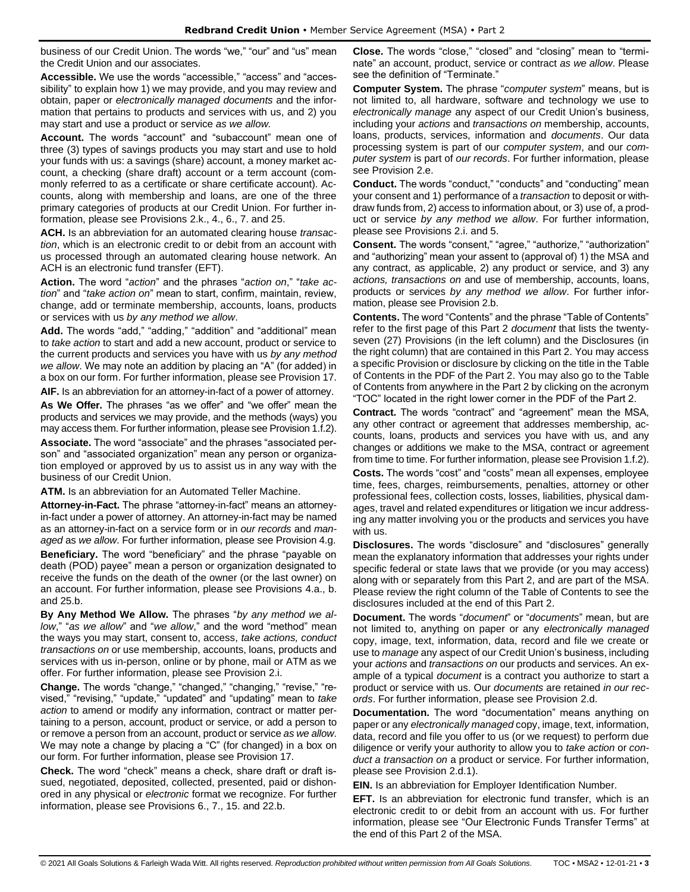business of our Credit Union. The words "we," "our" and "us" mean the Credit Union and our associates.

**Accessible.** We use the words "accessible," "access" and "accessibility" to explain how 1) we may provide, and you may review and obtain, paper or *electronically managed documents* and the information that pertains to products and services with us, and 2) you may start and use a product or service *as we allow.* 

**Account.** The words "account" and "subaccount" mean one of three (3) types of savings products you may start and use to hold your funds with us: a savings (share) account, a money market account, a checking (share draft) account or a term account (commonly referred to as a certificate or share certificate account). Accounts, along with membership and loans, are one of the three primary categories of products at our Credit Union. For further information, please see Provisions 2.k., 4., 6., 7. and 25.

**ACH.** Is an abbreviation for an automated clearing house *transaction*, which is an electronic credit to or debit from an account with us processed through an automated clearing house network. An ACH is an electronic fund transfer (EFT).

**Action.** The word "*action*" and the phrases "*action on*," "*take action*" and "*take action on*" mean to start, confirm, maintain, review, change, add or terminate membership, accounts, loans, products or services with us *by any method we allow*.

**Add.** The words "add," "adding," "addition" and "additional" mean to *take action* to start and add a new account, product or service to the current products and services you have with us *by any method we allow*. We may note an addition by placing an "A" (for added) in a box on our form. For further information, please see Provision 17.

**AIF.** Is an abbreviation for an attorney-in-fact of a power of attorney. **As We Offer.** The phrases "as we offer" and "we offer" mean the products and services we may provide, and the methods (ways) you may access them. For further information, please see Provision 1.f.2).

**Associate.** The word "associate" and the phrases "associated person" and "associated organization" mean any person or organization employed or approved by us to assist us in any way with the business of our Credit Union.

**ATM.** Is an abbreviation for an Automated Teller Machine.

**Attorney-in-Fact.** The phrase "attorney-in-fact" means an attorneyin-fact under a power of attorney. An attorney-in-fact may be named as an attorney-in-fact on a service form or in *our records* and *managed* as *we allow*. For further information, please see Provision 4.g. **Beneficiary.** The word "beneficiary" and the phrase "payable on death (POD) payee" mean a person or organization designated to receive the funds on the death of the owner (or the last owner) on an account. For further information, please see Provisions 4.a., b. and 25.b.

**By Any Method We Allow.** The phrases "*by any method we allow*," "*as we allow*" and "*we allow*," and the word "method" mean the ways you may start, consent to, access, *take actions, conduct transactions on* or use membership, accounts, loans, products and services with us in-person, online or by phone, mail or ATM as we offer. For further information, please see Provision 2.i.

**Change.** The words "change," "changed," "changing," "revise," "revised," "revising," "update," "updated" and "updating" mean to *take action* to amend or modify any information, contract or matter pertaining to a person, account, product or service, or add a person to or remove a person from an account, product or service *as we allow*. We may note a change by placing a "C" (for changed) in a box on our form. For further information, please see Provision 17.

**Check.** The word "check" means a check, share draft or draft issued, negotiated, deposited, collected, presented, paid or dishonored in any physical or *electronic* format we recognize. For further information, please see Provisions 6., 7., 15. and 22.b.

**Close.** The words "close," "closed" and "closing" mean to "terminate" an account, product, service or contract *as we allow*. Please see the definition of "Terminate."

**Computer System.** The phrase "*computer system*" means, but is not limited to, all hardware, software and technology we use to *electronically manage* any aspect of our Credit Union's business, including your *actions* and *transactions on* membership, accounts, loans, products, services, information and *documents*. Our data processing system is part of our *computer system*, and our *computer system* is part of *our records*. For further information, please see Provision 2.e.

**Conduct.** The words "conduct," "conducts" and "conducting" mean your consent and 1) performance of a *transaction* to deposit or withdraw funds from, 2) access to information about, or 3) use of, a product or service *by any method we allow*. For further information, please see Provisions 2.i. and 5.

**Consent.** The words "consent," "agree," "authorize," "authorization" and "authorizing" mean your assent to (approval of) 1) the MSA and any contract, as applicable, 2) any product or service, and 3) any *actions, transactions on* and use of membership, accounts, loans, products or services *by any method we allow*. For further information, please see Provision 2.b.

**Contents.** The word "Contents" and the phrase "Table of Contents" refer to the first page of this Part 2 *document* that lists the twentyseven (27) Provisions (in the left column) and the Disclosures (in the right column) that are contained in this Part 2. You may access a specific Provision or disclosure by clicking on the title in the Table of Contents in the PDF of the Part 2. You may also go to the Table of Contents from anywhere in the Part 2 by clicking on the acronym "TOC" located in the right lower corner in the PDF of the Part 2.

**Contract.** The words "contract" and "agreement" mean the MSA, any other contract or agreement that addresses membership, accounts, loans, products and services you have with us, and any changes or additions we make to the MSA, contract or agreement from time to time. For further information, please see Provision 1.f.2).

**Costs.** The words "cost" and "costs" mean all expenses, employee time, fees, charges, reimbursements, penalties, attorney or other professional fees, collection costs, losses, liabilities, physical damages, travel and related expenditures or litigation we incur addressing any matter involving you or the products and services you have with us.

**Disclosures.** The words "disclosure" and "disclosures" generally mean the explanatory information that addresses your rights under specific federal or state laws that we provide (or you may access) along with or separately from this Part 2, and are part of the MSA. Please review the right column of the Table of Contents to see the disclosures included at the end of this Part 2.

**Document.** The words "*document*" or "*documents*" mean, but are not limited to, anything on paper or any *electronically managed* copy, image, text, information, data, record and file we create or use to *manage* any aspect of our Credit Union's business, including your *actions* and *transactions on* our products and services. An example of a typical *document* is a contract you authorize to start a product or service with us. Our *documents* are retained *in our records*. For further information, please see Provision 2.d.

**Documentation.** The word "documentation" means anything on paper or any *electronically managed* copy, image, text, information, data, record and file you offer to us (or we request) to perform due diligence or verify your authority to allow you to *take action* or *conduct a transaction on* a product or service. For further information, please see Provision 2.d.1).

**EIN.** Is an abbreviation for Employer Identification Number.

**EFT.** Is an abbreviation for electronic fund transfer, which is an electronic credit to or debit from an account with us. For further information, please see "Our Electronic Funds Transfer Terms" at the end of this Part 2 of the MSA.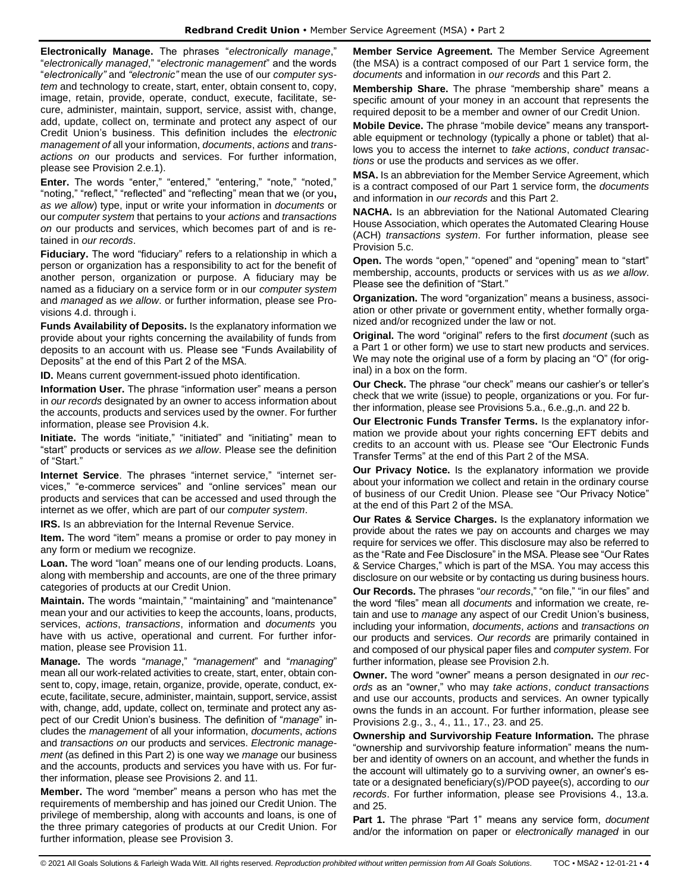**Electronically Manage.** The phrases "*electronically manage*," "*electronically managed*," "*electronic management*" and the words "*electronically"* and *"electronic"* mean the use of our *computer system* and technology to create, start, enter, obtain consent to, copy, image, retain, provide, operate, conduct, execute, facilitate, secure, administer, maintain, support, service, assist with, change, add, update, collect on, terminate and protect any aspect of our Credit Union's business. This definition includes the *electronic management of* all your information, *documents*, *actions* and *transactions on* our products and services. For further information, please see Provision 2.e.1).

**Enter.** The words "enter," "entered," "entering," "note," "noted," "noting," "reflect," "reflected" and "reflecting" mean that we (or you**,** *as we allow*) type, input or write your information in *documents* or our *computer system* that pertains to your *actions* and *transactions on* our products and services, which becomes part of and is retained in *our records*.

**Fiduciary.** The word "fiduciary" refers to a relationship in which a person or organization has a responsibility to act for the benefit of another person, organization or purpose. A fiduciary may be named as a fiduciary on a service form or in our *computer system* and *managed* as *we allow*. or further information, please see Provisions 4.d. through i.

**Funds Availability of Deposits.** Is the explanatory information we provide about your rights concerning the availability of funds from deposits to an account with us. Please see "Funds Availability of Deposits" at the end of this Part 2 of the MSA.

**ID.** Means current government-issued photo identification.

**Information User.** The phrase "information user" means a person in *our records* designated by an owner to access information about the accounts, products and services used by the owner. For further information, please see Provision 4.k.

**Initiate.** The words "initiate," "initiated" and "initiating" mean to "start" products or services *as we allow*. Please see the definition of "Start."

**Internet Service**. The phrases "internet service," "internet services," "e-commerce services" and "online services" mean our products and services that can be accessed and used through the internet as we offer, which are part of our *computer system*.

**IRS.** Is an abbreviation for the Internal Revenue Service.

**Item.** The word "item" means a promise or order to pay money in any form or medium we recognize.

**Loan.** The word "loan" means one of our lending products. Loans, along with membership and accounts, are one of the three primary categories of products at our Credit Union.

**Maintain.** The words "maintain," "maintaining" and "maintenance" mean your and our activities to keep the accounts, loans, products, services, *actions*, *transactions*, information and *documents* you have with us active, operational and current. For further information, please see Provision 11.

**Manage.** The words "*manage*," "*management*" and "*managing*" mean all our work-related activities to create, start, enter, obtain consent to, copy, image, retain, organize, provide, operate, conduct, execute, facilitate, secure, administer, maintain, support, service, assist with, change, add, update, collect on, terminate and protect any aspect of our Credit Union's business. The definition of "*manage*" includes the *management* of all your information, *documents*, *actions* and *transactions on* our products and services. *Electronic management* (as defined in this Part 2) is one way we *manage* our business and the accounts, products and services you have with us. For further information, please see Provisions 2. and 11.

**Member.** The word "member" means a person who has met the requirements of membership and has joined our Credit Union. The privilege of membership, along with accounts and loans, is one of the three primary categories of products at our Credit Union. For further information, please see Provision 3.

**Member Service Agreement.** The Member Service Agreement (the MSA) is a contract composed of our Part 1 service form, the *documents* and information in *our records* and this Part 2.

**Membership Share.** The phrase "membership share" means a specific amount of your money in an account that represents the required deposit to be a member and owner of our Credit Union.

**Mobile Device.** The phrase "mobile device" means any transportable equipment or technology (typically a phone or tablet) that allows you to access the internet to *take actions*, *conduct transactions* or use the products and services as we offer.

**MSA.** Is an abbreviation for the Member Service Agreement, which is a contract composed of our Part 1 service form, the *documents* and information in *our records* and this Part 2.

**NACHA.** Is an abbreviation for the National Automated Clearing House Association, which operates the Automated Clearing House (ACH) *transactions system*. For further information, please see Provision 5.c.

**Open.** The words "open," "opened" and "opening" mean to "start" membership, accounts, products or services with us *as we allow*. Please see the definition of "Start."

**Organization.** The word "organization" means a business, association or other private or government entity, whether formally organized and/or recognized under the law or not.

**Original.** The word "original" refers to the first *document* (such as a Part 1 or other form) we use to start new products and services. We may note the original use of a form by placing an "O" (for original) in a box on the form.

**Our Check.** The phrase "our check" means our cashier's or teller's check that we write (issue) to people, organizations or you. For further information, please see Provisions 5.a., 6.e.,g.,n. and 22 b.

**Our Electronic Funds Transfer Terms.** Is the explanatory information we provide about your rights concerning EFT debits and credits to an account with us. Please see "Our Electronic Funds Transfer Terms" at the end of this Part 2 of the MSA.

**Our Privacy Notice.** Is the explanatory information we provide about your information we collect and retain in the ordinary course of business of our Credit Union. Please see "Our Privacy Notice" at the end of this Part 2 of the MSA.

**Our Rates & Service Charges.** Is the explanatory information we provide about the rates we pay on accounts and charges we may require for services we offer. This disclosure may also be referred to as the "Rate and Fee Disclosure" in the MSA. Please see "Our Rates & Service Charges," which is part of the MSA. You may access this disclosure on our website or by contacting us during business hours.

**Our Records.** The phrases "*our records*," "on file," "in our files" and the word "files" mean all *documents* and information we create, retain and use to *manage* any aspect of our Credit Union's business, including your information, *documents*, *actions* and *transactions on* our products and services. *Our records* are primarily contained in and composed of our physical paper files and *computer system*. For further information, please see Provision 2.h.

**Owner.** The word "owner" means a person designated in *our records* as an "owner," who may *take actions*, *conduct transactions*  and use our accounts, products and services. An owner typically owns the funds in an account. For further information, please see Provisions 2.g., 3., 4., 11., 17., 23. and 25.

**Ownership and Survivorship Feature Information.** The phrase "ownership and survivorship feature information" means the number and identity of owners on an account, and whether the funds in the account will ultimately go to a surviving owner, an owner's estate or a designated beneficiary(s)/POD payee(s), according to *our records*. For further information, please see Provisions 4., 13.a. and 25.

**Part 1.** The phrase "Part 1" means any service form, *document* and/or the information on paper or *electronically managed* in our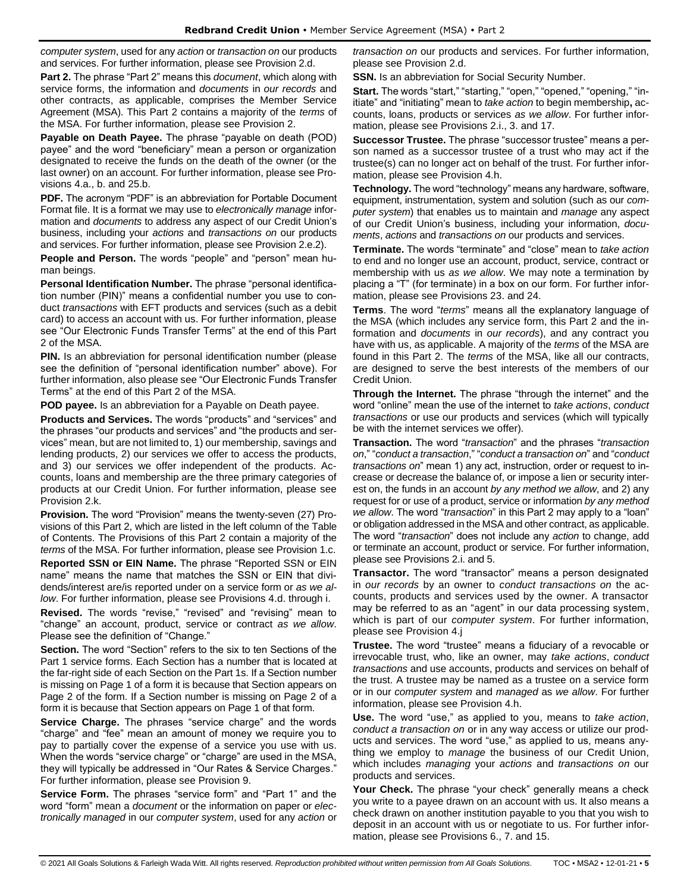*computer system*, used for any *action* or *transaction on* our products and services. For further information, please see Provision 2.d.

**Part 2.** The phrase "Part 2" means this *document*, which along with service forms, the information and *documents* in *our records* and other contracts, as applicable, comprises the Member Service Agreement (MSA). This Part 2 contains a majority of the *terms* of the MSA. For further information, please see Provision 2.

**Payable on Death Payee.** The phrase "payable on death (POD) payee" and the word "beneficiary" mean a person or organization designated to receive the funds on the death of the owner (or the last owner) on an account. For further information, please see Provisions 4.a., b. and 25.b.

**PDF.** The acronym "PDF" is an abbreviation for Portable Document Format file. It is a format we may use to *electronically manage* information and *documents* to address any aspect of our Credit Union's business, including your *actions* and *transactions on* our products and services. For further information, please see Provision 2.e.2).

**People and Person.** The words "people" and "person" mean human beings.

**Personal Identification Number.** The phrase "personal identification number (PIN)" means a confidential number you use to conduct *transactions* with EFT products and services (such as a debit card) to access an account with us. For further information, please see "Our Electronic Funds Transfer Terms" at the end of this Part 2 of the MSA.

**PIN.** Is an abbreviation for personal identification number (please) see the definition of "personal identification number" above). For further information, also please see "Our Electronic Funds Transfer Terms" at the end of this Part 2 of the MSA.

**POD payee.** Is an abbreviation for a Payable on Death payee.

**Products and Services.** The words "products" and "services" and the phrases "our products and services" and "the products and services" mean, but are not limited to, 1) our membership, savings and lending products, 2) our services we offer to access the products, and 3) our services we offer independent of the products. Accounts, loans and membership are the three primary categories of products at our Credit Union. For further information, please see Provision 2.k.

**Provision.** The word "Provision" means the twenty-seven (27) Provisions of this Part 2, which are listed in the left column of the Table of Contents. The Provisions of this Part 2 contain a majority of the *terms* of the MSA. For further information, please see Provision 1.c.

**Reported SSN or EIN Name.** The phrase "Reported SSN or EIN name" means the name that matches the SSN or EIN that dividends/interest are/is reported under on a service form or *as we allow*. For further information, please see Provisions 4.d. through i.

**Revised.** The words "revise," "revised" and "revising" mean to "change" an account, product, service or contract *as we allow*. Please see the definition of "Change."

**Section.** The word "Section" refers to the six to ten Sections of the Part 1 service forms. Each Section has a number that is located at the far-right side of each Section on the Part 1s. If a Section number is missing on Page 1 of a form it is because that Section appears on Page 2 of the form. If a Section number is missing on Page 2 of a form it is because that Section appears on Page 1 of that form.

**Service Charge.** The phrases "service charge" and the words "charge" and "fee" mean an amount of money we require you to pay to partially cover the expense of a service you use with us. When the words "service charge" or "charge" are used in the MSA, they will typically be addressed in "Our Rates & Service Charges." For further information, please see Provision 9.

**Service Form.** The phrases "service form" and "Part 1" and the word "form" mean a *document* or the information on paper or *electronically managed* in our *computer system*, used for any *action* or

*transaction on* our products and services. For further information, please see Provision 2.d.

**SSN.** Is an abbreviation for Social Security Number.

**Start.** The words "start," "starting," "open," "opened," "opening," "initiate" and "initiating" mean to *take action* to begin membership**,** accounts, loans, products or services *as we allow*. For further information, please see Provisions 2.i., 3. and 17.

**Successor Trustee.** The phrase "successor trustee" means a person named as a successor trustee of a trust who may act if the trustee(s) can no longer act on behalf of the trust. For further information, please see Provision 4.h.

**Technology.** The word "technology" means any hardware, software, equipment, instrumentation, system and solution (such as our *computer system*) that enables us to maintain and *manage* any aspect of our Credit Union's business, including your information, *documents*, *actions* and *transactions on* our products and services.

**Terminate.** The words "terminate" and "close" mean to *take action* to end and no longer use an account, product, service, contract or membership with us *as we allow*. We may note a termination by placing a "T" (for terminate) in a box on our form. For further information, please see Provisions 23. and 24.

**Terms**. The word "*terms*" means all the explanatory language of the MSA (which includes any service form, this Part 2 and the information and *documents* in *our records*), and any contract you have with us, as applicable. A majority of the *terms* of the MSA are found in this Part 2. The *terms* of the MSA, like all our contracts, are designed to serve the best interests of the members of our Credit Union.

**Through the Internet.** The phrase "through the internet" and the word "online" mean the use of the internet to *take actions*, *conduct transactions* or use our products and services (which will typically be with the internet services we offer).

**Transaction.** The word "*transaction*" and the phrases "*transaction on*," "*conduct a transaction*," "*conduct a transaction on*" and "*conduct transactions on*" mean 1) any act, instruction, order or request to increase or decrease the balance of, or impose a lien or security interest on, the funds in an account *by any method we allow*, and 2) any request for or use of a product, service or information *by any method we allow*. The word "*transaction*" in this Part 2 may apply to a "loan" or obligation addressed in the MSA and other contract, as applicable. The word "*transaction*" does not include any *action* to change, add or terminate an account, product or service. For further information, please see Provisions 2.i. and 5.

**Transactor.** The word "transactor" means a person designated in *our records* by an owner to *conduct transactions on* the accounts, products and services used by the owner. A transactor may be referred to as an "agent" in our data processing system, which is part of our *computer system*. For further information, please see Provision 4.j

**Trustee.** The word "trustee" means a fiduciary of a revocable or irrevocable trust, who, like an owner, may *take actions*, *conduct transactions* and use accounts, products and services on behalf of the trust. A trustee may be named as a trustee on a service form or in our *computer system* and *managed* as *we allow*. For further information, please see Provision 4.h.

**Use.** The word "use," as applied to you, means to *take action*, *conduct a transaction on* or in any way access or utilize our products and services. The word "use," as applied to us, means anything we employ to *manage* the business of our Credit Union, which includes *managing* your *actions* and *transactions on* our products and services.

**Your Check.** The phrase "your check" generally means a check you write to a payee drawn on an account with us. It also means a check drawn on another institution payable to you that you wish to deposit in an account with us or negotiate to us. For further information, please see Provisions 6., 7. and 15.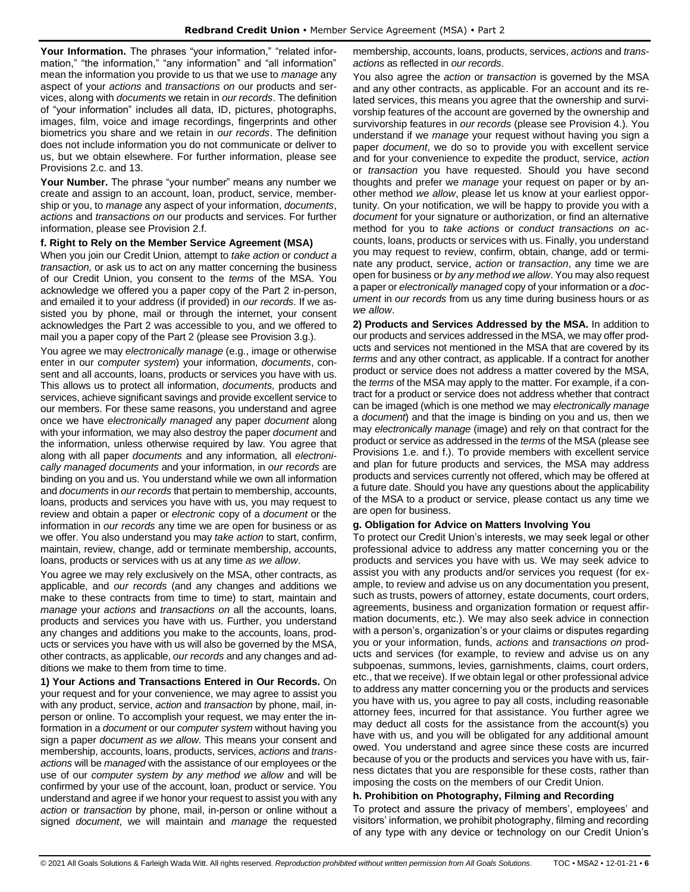Your Information. The phrases "your information," "related information," "the information," "any information" and "all information" mean the information you provide to us that we use to *manage* any aspect of your *actions* and *transactions on* our products and services, along with *documents* we retain in *our records*. The definition of "your information" includes all data, ID, pictures, photographs, images, film, voice and image recordings, fingerprints and other biometrics you share and we retain in *our records*. The definition does not include information you do not communicate or deliver to us, but we obtain elsewhere. For further information, please see Provisions 2.c. and 13.

**Your Number.** The phrase "your number" means any number we create and assign to an account, loan, product, service, membership or you, to *manage* any aspect of your information, *documents*, *actions* and *transactions on* our products and services. For further information, please see Provision 2.f.

#### **f. Right to Rely on the Member Service Agreement (MSA)**

When you join our Credit Union, attempt to *take action* or *conduct a transaction,* or ask us to act on any matter concerning the business of our Credit Union, you consent to the *terms* of the MSA. You acknowledge we offered you a paper copy of the Part 2 in-person, and emailed it to your address (if provided) in *our records*. If we assisted you by phone, mail or through the internet, your consent acknowledges the Part 2 was accessible to you, and we offered to mail you a paper copy of the Part 2 (please see Provision 3.g.).

You agree we may *electronically manage* (e.g., image or otherwise enter in our *computer system*) your information, *documents*, consent and all accounts, loans, products or services you have with us. This allows us to protect all information, *documents,* products and services, achieve significant savings and provide excellent service to our members. For these same reasons, you understand and agree once we have *electronically managed* any paper *document* along with your information*,* we may also destroy the paper *document* and the information, unless otherwise required by law. You agree that along with all paper *documents* and any information*,* all *electronically managed documents* and your information, in *our records* are binding on you and us. You understand while we own all information and *documents* in *our records* that pertain to membership, accounts, loans, products and services you have with us, you may request to review and obtain a paper or *electronic* copy of a *document* or the information in *our records* any time we are open for business or as we offer. You also understand you may *take action* to start, confirm, maintain, review, change, add or terminate membership, accounts, loans, products or services with us at any time *as we allow*.

You agree we may rely exclusively on the MSA, other contracts, as applicable, and *our records* (and any changes and additions we make to these contracts from time to time) to start, maintain and *manage* your *actions* and *transactions on* all the accounts, loans, products and services you have with us. Further, you understand any changes and additions you make to the accounts, loans, products or services you have with us will also be governed by the MSA, other contracts, as applicable, *our records* and any changes and additions we make to them from time to time.

**1) Your Actions and Transactions Entered in Our Records.** On your request and for your convenience, we may agree to assist you with any product, service, *action* and *transaction* by phone, mail, inperson or online. To accomplish your request, we may enter the information in a *document* or our *computer system* without having you sign a paper *document as we allow*. This means your consent and membership, accounts, loans, products, services, *actions* and *transactions* will be *managed* with the assistance of our employees or the use of our *computer system by any method we allow* and will be confirmed by your use of the account, loan, product or service. You understand and agree if we honor your request to assist you with any *action* or *transaction* by phone, mail, in-person or online without a signed *document*, we will maintain and *manage* the requested membership, accounts, loans, products, services, *actions* and *transactions* as reflected in *our records*.

You also agree the *action* or *transaction* is governed by the MSA and any other contracts, as applicable. For an account and its related services, this means you agree that the ownership and survivorship features of the account are governed by the ownership and survivorship features in *our records* (please see Provision 4.). You understand if we *manage* your request without having you sign a paper *document*, we do so to provide you with excellent service and for your convenience to expedite the product, service, *action*  or *transaction* you have requested. Should you have second thoughts and prefer we *manage* your request on paper or by another method *we allow*, please let us know at your earliest opportunity. On your notification, we will be happy to provide you with a *document* for your signature or authorization, or find an alternative method for you to *take actions* or *conduct transactions on* accounts, loans, products or services with us. Finally, you understand you may request to review, confirm, obtain, change, add or terminate any product, service, *action* or *transaction*, any time we are open for business or *by any method we allow*. You may also request a paper or *electronically managed* copy of your information or a *document* in *our records* from us any time during business hours or *as we allow*.

**2) Products and Services Addressed by the MSA.** In addition to our products and services addressed in the MSA, we may offer products and services not mentioned in the MSA that are covered by its *terms* and any other contract, as applicable. If a contract for another product or service does not address a matter covered by the MSA, the *terms* of the MSA may apply to the matter. For example, if a contract for a product or service does not address whether that contract can be imaged (which is one method we may *electronically manage*  a *document*) and that the image is binding on you and us, then we may *electronically manage* (image) and rely on that contract for the product or service as addressed in the *terms* of the MSA (please see Provisions 1.e. and f.). To provide members with excellent service and plan for future products and services, the MSA may address products and services currently not offered, which may be offered at a future date. Should you have any questions about the applicability of the MSA to a product or service, please contact us any time we are open for business.

#### **g. Obligation for Advice on Matters Involving You**

To protect our Credit Union's interests, we may seek legal or other professional advice to address any matter concerning you or the products and services you have with us. We may seek advice to assist you with any products and/or services you request (for example, to review and advise us on any documentation you present, such as trusts, powers of attorney, estate documents, court orders, agreements, business and organization formation or request affirmation documents, etc.). We may also seek advice in connection with a person's, organization's or your claims or disputes regarding you or your information, funds, *actions* and *transactions on* products and services (for example, to review and advise us on any subpoenas, summons, levies, garnishments, claims, court orders, etc., that we receive). If we obtain legal or other professional advice to address any matter concerning you or the products and services you have with us, you agree to pay all costs, including reasonable attorney fees, incurred for that assistance. You further agree we may deduct all costs for the assistance from the account(s) you have with us, and you will be obligated for any additional amount owed. You understand and agree since these costs are incurred because of you or the products and services you have with us, fairness dictates that you are responsible for these costs, rather than imposing the costs on the members of our Credit Union.

## **h. Prohibition on Photography, Filming and Recording**

To protect and assure the privacy of members', employees' and visitors' information, we prohibit photography, filming and recording of any type with any device or technology on our Credit Union's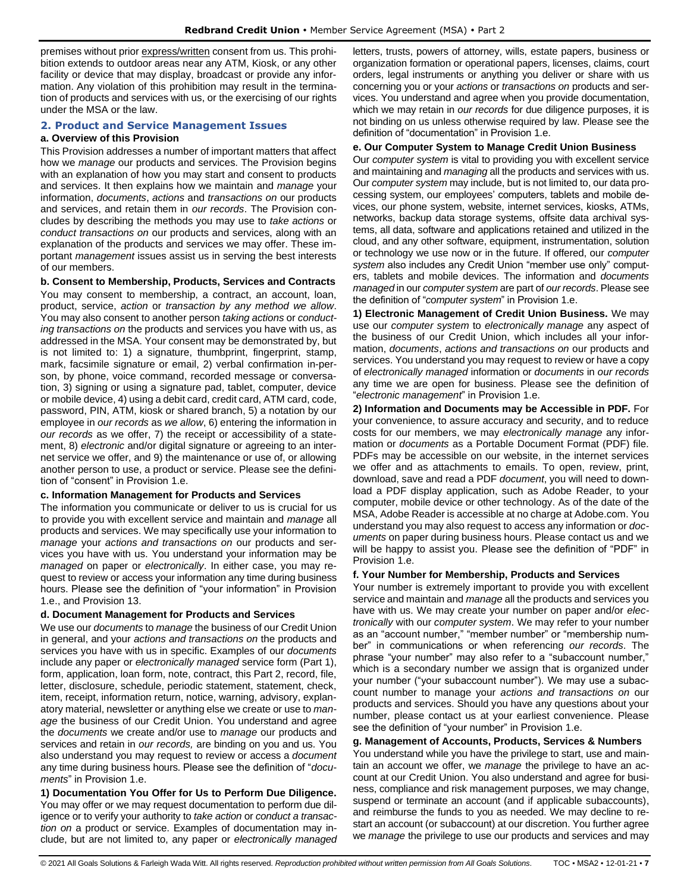premises without prior express/written consent from us. This prohibition extends to outdoor areas near any ATM, Kiosk, or any other facility or device that may display, broadcast or provide any information. Any violation of this prohibition may result in the termination of products and services with us, or the exercising of our rights under the MSA or the law.

## <span id="page-6-0"></span>**2. Product and Service Management Issues**

#### **a. Overview of this Provision**

This Provision addresses a number of important matters that affect how we *manage* our products and services. The Provision begins with an explanation of how you may start and consent to products and services. It then explains how we maintain and *manage* your information, *documents*, *actions* and *transactions on* our products and services, and retain them in *our records*. The Provision concludes by describing the methods you may use to *take actions* or *conduct transactions on* our products and services, along with an explanation of the products and services we may offer. These important *management* issues assist us in serving the best interests of our members.

**b. Consent to Membership, Products, Services and Contracts** You may consent to membership, a contract, an account, loan, product, service, *action* or *transaction by any method we allow*. You may also consent to another person *taking actions* or *conducting transactions on* the products and services you have with us, as addressed in the MSA. Your consent may be demonstrated by, but is not limited to: 1) a signature, thumbprint, fingerprint, stamp, mark, facsimile signature or email, 2) verbal confirmation in-person, by phone, voice command, recorded message or conversation, 3) signing or using a signature pad, tablet, computer, device or mobile device, 4) using a debit card, credit card, ATM card, code, password, PIN, ATM, kiosk or shared branch, 5) a notation by our employee in *our records* as *we allow*, 6) entering the information in *our records* as we offer, 7) the receipt or accessibility of a statement, 8) *electronic* and/or digital signature or agreeing to an internet service we offer, and 9) the maintenance or use of, or allowing another person to use, a product or service. Please see the definition of "consent" in Provision 1.e.

#### **c. Information Management for Products and Services**

The information you communicate or deliver to us is crucial for us to provide you with excellent service and maintain and *manage* all products and services. We may specifically use your information to *manage* your *actions and transactions on* our products and services you have with us. You understand your information may be *managed* on paper or *electronically*. In either case, you may request to review or access your information any time during business hours. Please see the definition of "your information" in Provision 1.e., and Provision 13.

#### **d. Document Management for Products and Services**

We use our *documents* to *manage* the business of our Credit Union in general, and your *actions and transactions on* the products and services you have with us in specific. Examples of our *documents* include any paper or *electronically managed* service form (Part 1), form, application, loan form, note, contract, this Part 2, record, file, letter, disclosure, schedule, periodic statement, statement, check, item, receipt, information return, notice, warning, advisory, explanatory material, newsletter or anything else we create or use to *manage* the business of our Credit Union. You understand and agree the *documents* we create and/or use to *manage* our products and services and retain in *our records,* are binding on you and us. You also understand you may request to review or access a *document*  any time during business hours. Please see the definition of "*documents*" in Provision 1.e.

**1) Documentation You Offer for Us to Perform Due Diligence.** You may offer or we may request documentation to perform due diligence or to verify your authority to *take action* or *conduct a transaction on* a product or service. Examples of documentation may include, but are not limited to, any paper or *electronically managed* letters, trusts, powers of attorney, wills, estate papers, business or organization formation or operational papers, licenses, claims, court orders, legal instruments or anything you deliver or share with us concerning you or your *actions* or *transactions on* products and services. You understand and agree when you provide documentation, which we may retain in *our records* for due diligence purposes, it is not binding on us unless otherwise required by law. Please see the definition of "documentation" in Provision 1.e.

#### **e. Our Computer System to Manage Credit Union Business**

Our *computer system* is vital to providing you with excellent service and maintaining and *managing* all the products and services with us. Our *computer system* may include, but is not limited to, our data processing system, our employees' computers, tablets and mobile devices, our phone system, website, internet services, kiosks, ATMs, networks, backup data storage systems, offsite data archival systems, all data, software and applications retained and utilized in the cloud, and any other software, equipment, instrumentation, solution or technology we use now or in the future. If offered, our *computer system* also includes any Credit Union "member use only" computers, tablets and mobile devices. The information and *documents managed* in our *computer system* are part of *our records*. Please see the definition of "*computer system*" in Provision 1.e.

**1) Electronic Management of Credit Union Business.** We may use our *computer system* to *electronically manage* any aspect of the business of our Credit Union, which includes all your information, *documents*, *actions and transactions on* our products and services. You understand you may request to review or have a copy of *electronically managed* information or *documents* in *our records* any time we are open for business. Please see the definition of "*electronic management*" in Provision 1.e.

**2) Information and Documents may be Accessible in PDF.** For your convenience, to assure accuracy and security, and to reduce costs for our members, we may *electronically manage* any information or *documents* as a Portable Document Format (PDF) file. PDFs may be accessible on our website, in the internet services we offer and as attachments to emails. To open, review, print, download, save and read a PDF *document*, you will need to download a PDF display application, such as Adobe Reader, to your computer, mobile device or other technology. As of the date of the MSA, Adobe Reader is accessible at no charge at Adobe.com. You understand you may also request to access any information or *documents* on paper during business hours. Please contact us and we will be happy to assist you. Please see the definition of "PDF" in Provision 1.e.

#### **f. Your Number for Membership, Products and Services**

Your number is extremely important to provide you with excellent service and maintain and *manage* all the products and services you have with us. We may create your number on paper and/or *electronically* with our *computer system*. We may refer to your number as an "account number," "member number" or "membership number" in communications or when referencing *our records*. The phrase "your number" may also refer to a "subaccount number," which is a secondary number we assign that is organized under your number ("your subaccount number"). We may use a subaccount number to manage your *actions and transactions on* our products and services. Should you have any questions about your number, please contact us at your earliest convenience. Please see the definition of "your number" in Provision 1.e.

## **g. Management of Accounts, Products, Services & Numbers**

You understand while you have the privilege to start, use and maintain an account we offer, we *manage* the privilege to have an account at our Credit Union. You also understand and agree for business, compliance and risk management purposes, we may change, suspend or terminate an account (and if applicable subaccounts), and reimburse the funds to you as needed. We may decline to restart an account (or subaccount) at our discretion. You further agree we *manage* the privilege to use our products and services and may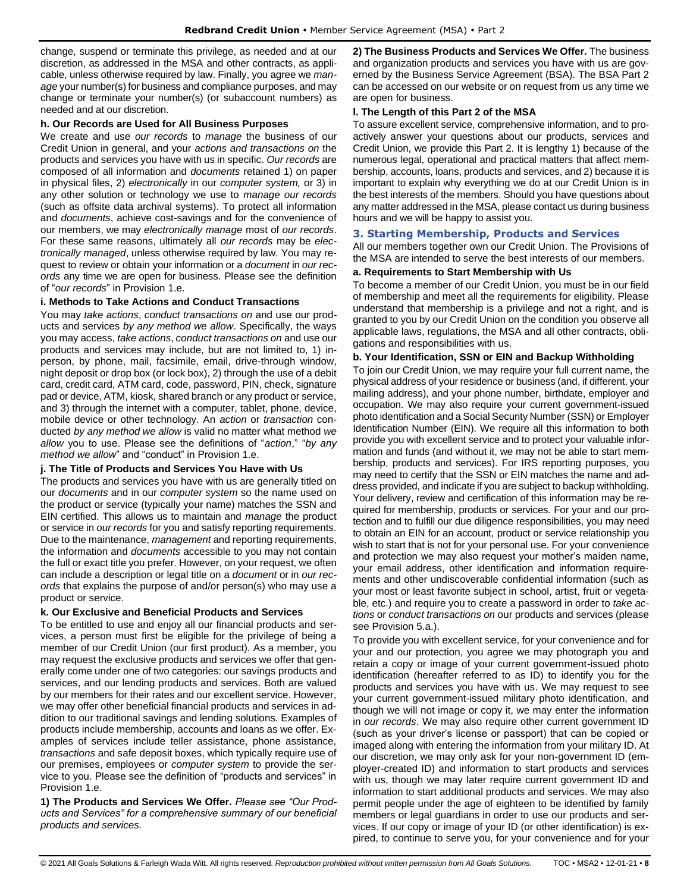change, suspend or terminate this privilege, as needed and at our discretion, as addressed in the MSA and other contracts, as applicable, unless otherwise required by law. Finally, you agree we *manage* your number(s) for business and compliance purposes, and may change or terminate your number(s) (or subaccount numbers) as needed and at our discretion.

#### **h. Our Records are Used for All Business Purposes**

We create and use *our records* to *manage* the business of our Credit Union in general, and your *actions and transactions on* the products and services you have with us in specific. *Our records* are composed of all information and *documents* retained 1) on paper in physical files, 2) *electronically* in our *computer system,* or 3) in any other solution or technology we use to *manage our records* (such as offsite data archival systems). To protect all information and *documents*, achieve cost-savings and for the convenience of our members, we may *electronically manage* most of *our records*. For these same reasons, ultimately all *our records* may be *electronically managed*, unless otherwise required by law. You may request to review or obtain your information or a *document* in *our records* any time we are open for business. Please see the definition of "*our records*" in Provision 1.e.

## **i. Methods to Take Actions and Conduct Transactions**

You may *take actions*, *conduct transactions on* and use our products and services *by any method we allow*. Specifically, the ways you may access, *take actions*, *conduct transactions on* and use our products and services may include, but are not limited to, 1) inperson, by phone, mail, facsimile, email, drive-through window, night deposit or drop box (or lock box), 2) through the use of a debit card, credit card, ATM card, code, password, PIN, check, signature pad or device, ATM, kiosk, shared branch or any product or service, and 3) through the internet with a computer, tablet, phone, device, mobile device or other technology. An *action* or *transaction* conducted *by any method we allow* is valid no matter what method *we allow* you to use. Please see the definitions of "*action*," "*by any method we allow*" and "conduct" in Provision 1.e.

## **j. The Title of Products and Services You Have with Us**

The products and services you have with us are generally titled on our *documents* and in our *computer system* so the name used on the product or service (typically your name) matches the SSN and EIN certified. This allows us to maintain and *manage* the product or service in *our records* for you and satisfy reporting requirements. Due to the maintenance, *management* and reporting requirements, the information and *documents* accessible to you may not contain the full or exact title you prefer. However, on your request, we often can include a description or legal title on a *document* or in *our records* that explains the purpose of and/or person(s) who may use a product or service.

#### **k. Our Exclusive and Beneficial Products and Services**

To be entitled to use and enjoy all our financial products and services, a person must first be eligible for the privilege of being a member of our Credit Union (our first product). As a member, you may request the exclusive products and services we offer that generally come under one of two categories: our savings products and services, and our lending products and services. Both are valued by our members for their rates and our excellent service. However, we may offer other beneficial financial products and services in addition to our traditional savings and lending solutions. Examples of products include membership, accounts and loans as we offer. Examples of services include teller assistance, phone assistance, *transactions* and safe deposit boxes, which typically require use of our premises, employees or *computer system* to provide the service to you. Please see the definition of "products and services" in Provision 1.e.

**1) The Products and Services We Offer.** *Please see "Our Products and Services" for a comprehensive summary of our beneficial products and services.*

**2) The Business Products and Services We Offer.** The business and organization products and services you have with us are governed by the Business Service Agreement (BSA). The BSA Part 2 can be accessed on our website or on request from us any time we are open for business.

## **l. The Length of this Part 2 of the MSA**

To assure excellent service, comprehensive information, and to proactively answer your questions about our products, services and Credit Union, we provide this Part 2. It is lengthy 1) because of the numerous legal, operational and practical matters that affect membership, accounts, loans, products and services, and 2) because it is important to explain why everything we do at our Credit Union is in the best interests of the members. Should you have questions about any matter addressed in the MSA, please contact us during business hours and we will be happy to assist you.

## <span id="page-7-0"></span>**3. Starting Membership, Products and Services**

All our members together own our Credit Union. The Provisions of the MSA are intended to serve the best interests of our members.

## **a. Requirements to Start Membership with Us**

To become a member of our Credit Union, you must be in our field of membership and meet all the requirements for eligibility. Please understand that membership is a privilege and not a right, and is granted to you by our Credit Union on the condition you observe all applicable laws, regulations, the MSA and all other contracts, obligations and responsibilities with us.

## **b. Your Identification, SSN or EIN and Backup Withholding**

To join our Credit Union, we may require your full current name, the physical address of your residence or business (and, if different, your mailing address), and your phone number, birthdate, employer and occupation. We may also require your current government-issued photo identification and a Social Security Number (SSN) or Employer Identification Number (EIN). We require all this information to both provide you with excellent service and to protect your valuable information and funds (and without it, we may not be able to start membership, products and services). For IRS reporting purposes, you may need to certify that the SSN or EIN matches the name and address provided, and indicate if you are subject to backup withholding. Your delivery, review and certification of this information may be required for membership, products or services. For your and our protection and to fulfill our due diligence responsibilities, you may need to obtain an EIN for an account, product or service relationship you wish to start that is not for your personal use. For your convenience and protection we may also request your mother's maiden name, your email address, other identification and information requirements and other undiscoverable confidential information (such as your most or least favorite subject in school, artist, fruit or vegetable, etc.) and require you to create a password in order to *take actions* or *conduct transactions on* our products and services (please see Provision 5.a.).

To provide you with excellent service, for your convenience and for your and our protection, you agree we may photograph you and retain a copy or image of your current government-issued photo identification (hereafter referred to as ID) to identify you for the products and services you have with us. We may request to see your current government-issued military photo identification, and though we will not image or copy it, we may enter the information in *our records*. We may also require other current government ID (such as your driver's license or passport) that can be copied or imaged along with entering the information from your military ID. At our discretion, we may only ask for your non-government ID (employer-created ID) and information to start products and services with us, though we may later require current government ID and information to start additional products and services. We may also permit people under the age of eighteen to be identified by family members or legal guardians in order to use our products and services. If our copy or image of your ID (or other identification) is expired, to continue to serve you, for your convenience and for your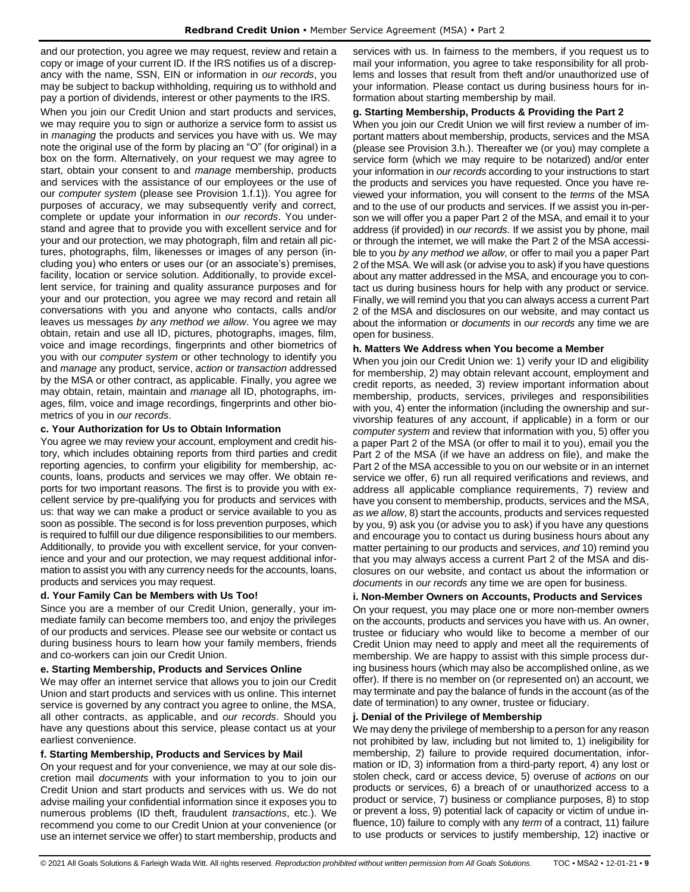and our protection, you agree we may request, review and retain a copy or image of your current ID. If the IRS notifies us of a discrepancy with the name, SSN, EIN or information in *our records*, you may be subject to backup withholding, requiring us to withhold and pay a portion of dividends, interest or other payments to the IRS.

When you join our Credit Union and start products and services, we may require you to sign or authorize a service form to assist us in *managing* the products and services you have with us. We may note the original use of the form by placing an "O" (for original) in a box on the form. Alternatively, on your request we may agree to start, obtain your consent to and *manage* membership, products and services with the assistance of our employees or the use of our *computer system* (please see Provision 1.f.1)). You agree for purposes of accuracy, we may subsequently verify and correct, complete or update your information in *our records*. You understand and agree that to provide you with excellent service and for your and our protection, we may photograph, film and retain all pictures, photographs, film, likenesses or images of any person (including you) who enters or uses our (or an associate's) premises, facility, location or service solution. Additionally, to provide excellent service, for training and quality assurance purposes and for your and our protection, you agree we may record and retain all conversations with you and anyone who contacts, calls and/or leaves us messages *by any method we allow*. You agree we may obtain, retain and use all ID, pictures, photographs, images, film, voice and image recordings, fingerprints and other biometrics of you with our *computer system* or other technology to identify you and *manage* any product, service, *action* or *transaction* addressed by the MSA or other contract, as applicable. Finally, you agree we may obtain, retain, maintain and *manage* all ID, photographs, images, film, voice and image recordings, fingerprints and other biometrics of you in *our records*.

## **c. Your Authorization for Us to Obtain Information**

You agree we may review your account, employment and credit history, which includes obtaining reports from third parties and credit reporting agencies, to confirm your eligibility for membership, accounts, loans, products and services we may offer. We obtain reports for two important reasons. The first is to provide you with excellent service by pre-qualifying you for products and services with us: that way we can make a product or service available to you as soon as possible. The second is for loss prevention purposes, which is required to fulfill our due diligence responsibilities to our members. Additionally, to provide you with excellent service, for your convenience and your and our protection, we may request additional information to assist you with any currency needs for the accounts, loans, products and services you may request.

## **d. Your Family Can be Members with Us Too!**

Since you are a member of our Credit Union, generally, your immediate family can become members too, and enjoy the privileges of our products and services. Please see our website or contact us during business hours to learn how your family members, friends and co-workers can join our Credit Union.

#### **e. Starting Membership, Products and Services Online**

We may offer an internet service that allows you to join our Credit Union and start products and services with us online. This internet service is governed by any contract you agree to online, the MSA, all other contracts, as applicable, and *our records*. Should you have any questions about this service, please contact us at your earliest convenience.

#### **f. Starting Membership, Products and Services by Mail**

On your request and for your convenience, we may at our sole discretion mail *documents* with your information to you to join our Credit Union and start products and services with us. We do not advise mailing your confidential information since it exposes you to numerous problems (ID theft, fraudulent *transactions*, etc.). We recommend you come to our Credit Union at your convenience (or use an internet service we offer) to start membership, products and services with us. In fairness to the members, if you request us to mail your information, you agree to take responsibility for all problems and losses that result from theft and/or unauthorized use of your information. Please contact us during business hours for information about starting membership by mail.

#### **g. Starting Membership, Products & Providing the Part 2**

When you join our Credit Union we will first review a number of important matters about membership, products, services and the MSA (please see Provision 3.h.). Thereafter we (or you) may complete a service form (which we may require to be notarized) and/or enter your information in *our records* according to your instructions to start the products and services you have requested. Once you have reviewed your information, you will consent to the *terms* of the MSA and to the use of our products and services. If we assist you in-person we will offer you a paper Part 2 of the MSA, and email it to your address (if provided) in *our records*. If we assist you by phone, mail or through the internet, we will make the Part 2 of the MSA accessible to you *by any method we allow*, or offer to mail you a paper Part 2 of the MSA. We will ask (or advise you to ask) if you have questions about any matter addressed in the MSA, and encourage you to contact us during business hours for help with any product or service. Finally, we will remind you that you can always access a current Part 2 of the MSA and disclosures on our website, and may contact us about the information or *documents* in *our records* any time we are open for business.

#### **h. Matters We Address when You become a Member**

When you join our Credit Union we: 1) verify your ID and eligibility for membership, 2) may obtain relevant account, employment and credit reports, as needed, 3) review important information about membership, products, services, privileges and responsibilities with you, 4) enter the information (including the ownership and survivorship features of any account, if applicable) in a form or our *computer system* and review that information with you, 5) offer you a paper Part 2 of the MSA (or offer to mail it to you), email you the Part 2 of the MSA (if we have an address on file), and make the Part 2 of the MSA accessible to you on our website or in an internet service we offer, 6) run all required verifications and reviews, and address all applicable compliance requirements, 7) review and have you consent to membership, products, services and the MSA, *as we allow*, 8) start the accounts, products and services requested by you, 9) ask you (or advise you to ask) if you have any questions and encourage you to contact us during business hours about any matter pertaining to our products and services, *and* 10) remind you that you may always access a current Part 2 of the MSA and disclosures on our website, and contact us about the information or *documents* in *our records* any time we are open for business.

## **i. Non-Member Owners on Accounts, Products and Services**

On your request, you may place one or more non-member owners on the accounts, products and services you have with us. An owner, trustee or fiduciary who would like to become a member of our Credit Union may need to apply and meet all the requirements of membership. We are happy to assist with this simple process during business hours (which may also be accomplished online, as we offer). If there is no member on (or represented on) an account, we may terminate and pay the balance of funds in the account (as of the date of termination) to any owner, trustee or fiduciary.

#### **j. Denial of the Privilege of Membership**

We may deny the privilege of membership to a person for any reason not prohibited by law, including but not limited to, 1) ineligibility for membership, 2) failure to provide required documentation, information or ID, 3) information from a third-party report, 4) any lost or stolen check, card or access device, 5) overuse of *actions* on our products or services, 6) a breach of or unauthorized access to a product or service, 7) business or compliance purposes, 8) to stop or prevent a loss, 9) potential lack of capacity or victim of undue influence, 10) failure to comply with any *term* of a contract, 11) failure to use products or services to justify membership, 12) inactive or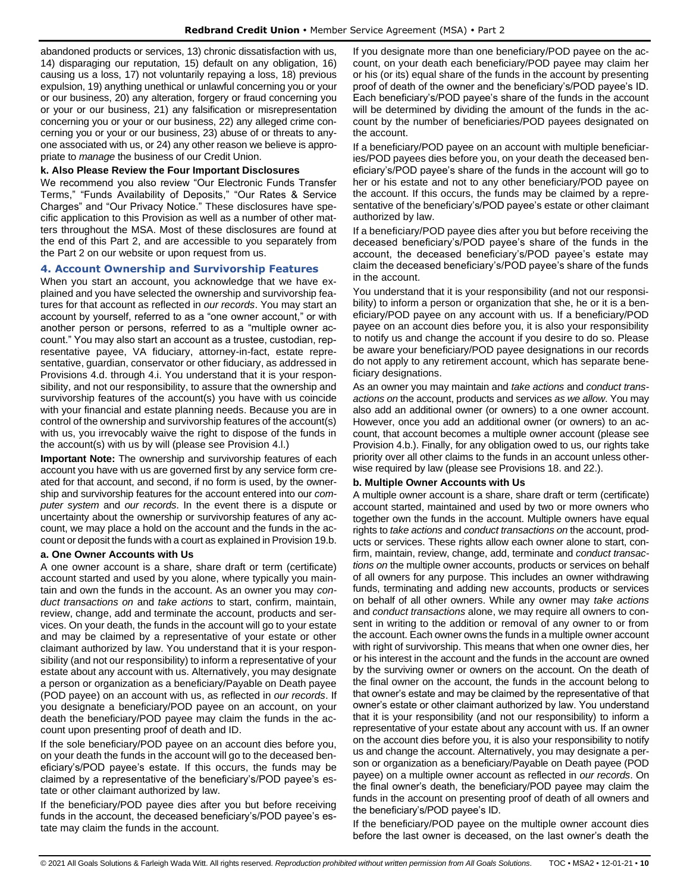abandoned products or services, 13) chronic dissatisfaction with us, 14) disparaging our reputation, 15) default on any obligation, 16) causing us a loss, 17) not voluntarily repaying a loss, 18) previous expulsion, 19) anything unethical or unlawful concerning you or your or our business, 20) any alteration, forgery or fraud concerning you or your or our business, 21) any falsification or misrepresentation concerning you or your or our business, 22) any alleged crime concerning you or your or our business, 23) abuse of or threats to anyone associated with us, or 24) any other reason we believe is appropriate to *manage* the business of our Credit Union.

#### **k. Also Please Review the Four Important Disclosures**

We recommend you also review "Our Electronic Funds Transfer Terms," "Funds Availability of Deposits," "Our Rates & Service Charges" and "Our Privacy Notice." These disclosures have specific application to this Provision as well as a number of other matters throughout the MSA. Most of these disclosures are found at the end of this Part 2, and are accessible to you separately from the Part 2 on our website or upon request from us.

## <span id="page-9-0"></span>**4. Account Ownership and Survivorship Features**

When you start an account, you acknowledge that we have explained and you have selected the ownership and survivorship features for that account as reflected in *our records*. You may start an account by yourself, referred to as a "one owner account," or with another person or persons, referred to as a "multiple owner account." You may also start an account as a trustee, custodian, representative payee, VA fiduciary, attorney-in-fact, estate representative, guardian, conservator or other fiduciary, as addressed in Provisions 4.d. through 4.i. You understand that it is your responsibility, and not our responsibility, to assure that the ownership and survivorship features of the account(s) you have with us coincide with your financial and estate planning needs. Because you are in control of the ownership and survivorship features of the account(s) with us, you irrevocably waive the right to dispose of the funds in the account(s) with us by will (please see Provision 4.l.)

**Important Note:** The ownership and survivorship features of each account you have with us are governed first by any service form created for that account, and second, if no form is used, by the ownership and survivorship features for the account entered into our *computer system* and *our records*. In the event there is a dispute or uncertainty about the ownership or survivorship features of any account, we may place a hold on the account and the funds in the account or deposit the funds with a court as explained in Provision 19.b.

#### **a. One Owner Accounts with Us**

A one owner account is a share, share draft or term (certificate) account started and used by you alone, where typically you maintain and own the funds in the account. As an owner you may *conduct transactions on* and *take actions* to start, confirm, maintain, review, change, add and terminate the account, products and services. On your death, the funds in the account will go to your estate and may be claimed by a representative of your estate or other claimant authorized by law. You understand that it is your responsibility (and not our responsibility) to inform a representative of your estate about any account with us. Alternatively, you may designate a person or organization as a beneficiary/Payable on Death payee (POD payee) on an account with us, as reflected in *our records*. If you designate a beneficiary/POD payee on an account, on your death the beneficiary/POD payee may claim the funds in the account upon presenting proof of death and ID.

If the sole beneficiary/POD payee on an account dies before you, on your death the funds in the account will go to the deceased beneficiary's/POD payee's estate. If this occurs, the funds may be claimed by a representative of the beneficiary's/POD payee's estate or other claimant authorized by law.

If the beneficiary/POD payee dies after you but before receiving funds in the account, the deceased beneficiary's/POD payee's estate may claim the funds in the account.

If you designate more than one beneficiary/POD payee on the account, on your death each beneficiary/POD payee may claim her or his (or its) equal share of the funds in the account by presenting proof of death of the owner and the beneficiary's/POD payee's ID. Each beneficiary's/POD payee's share of the funds in the account will be determined by dividing the amount of the funds in the account by the number of beneficiaries/POD payees designated on the account.

If a beneficiary/POD payee on an account with multiple beneficiaries/POD payees dies before you, on your death the deceased beneficiary's/POD payee's share of the funds in the account will go to her or his estate and not to any other beneficiary/POD payee on the account. If this occurs, the funds may be claimed by a representative of the beneficiary's/POD payee's estate or other claimant authorized by law.

If a beneficiary/POD payee dies after you but before receiving the deceased beneficiary's/POD payee's share of the funds in the account, the deceased beneficiary's/POD payee's estate may claim the deceased beneficiary's/POD payee's share of the funds in the account.

You understand that it is your responsibility (and not our responsibility) to inform a person or organization that she, he or it is a beneficiary/POD payee on any account with us. If a beneficiary/POD payee on an account dies before you, it is also your responsibility to notify us and change the account if you desire to do so. Please be aware your beneficiary/POD payee designations in our records do not apply to any retirement account, which has separate beneficiary designations.

As an owner you may maintain and *take actions* and *conduct transactions on* the account, products and services *as we allow*. You may also add an additional owner (or owners) to a one owner account. However, once you add an additional owner (or owners) to an account, that account becomes a multiple owner account (please see Provision 4.b.). Finally, for any obligation owed to us, our rights take priority over all other claims to the funds in an account unless otherwise required by law (please see Provisions 18. and 22.).

#### **b. Multiple Owner Accounts with Us**

A multiple owner account is a share, share draft or term (certificate) account started, maintained and used by two or more owners who together own the funds in the account. Multiple owners have equal rights to *take actions* and *conduct transactions on* the account, products or services. These rights allow each owner alone to start, confirm, maintain, review, change, add, terminate and *conduct transactions on* the multiple owner accounts, products or services on behalf of all owners for any purpose. This includes an owner withdrawing funds, terminating and adding new accounts, products or services on behalf of all other owners. While any owner may *take actions* and *conduct transactions* alone, we may require all owners to consent in writing to the addition or removal of any owner to or from the account. Each owner owns the funds in a multiple owner account with right of survivorship. This means that when one owner dies, her or his interest in the account and the funds in the account are owned by the surviving owner or owners on the account. On the death of the final owner on the account, the funds in the account belong to that owner's estate and may be claimed by the representative of that owner's estate or other claimant authorized by law. You understand that it is your responsibility (and not our responsibility) to inform a representative of your estate about any account with us. If an owner on the account dies before you, it is also your responsibility to notify us and change the account. Alternatively, you may designate a person or organization as a beneficiary/Payable on Death payee (POD payee) on a multiple owner account as reflected in *our records*. On the final owner's death, the beneficiary/POD payee may claim the funds in the account on presenting proof of death of all owners and the beneficiary's/POD payee's ID.

If the beneficiary/POD payee on the multiple owner account dies before the last owner is deceased, on the last owner's death the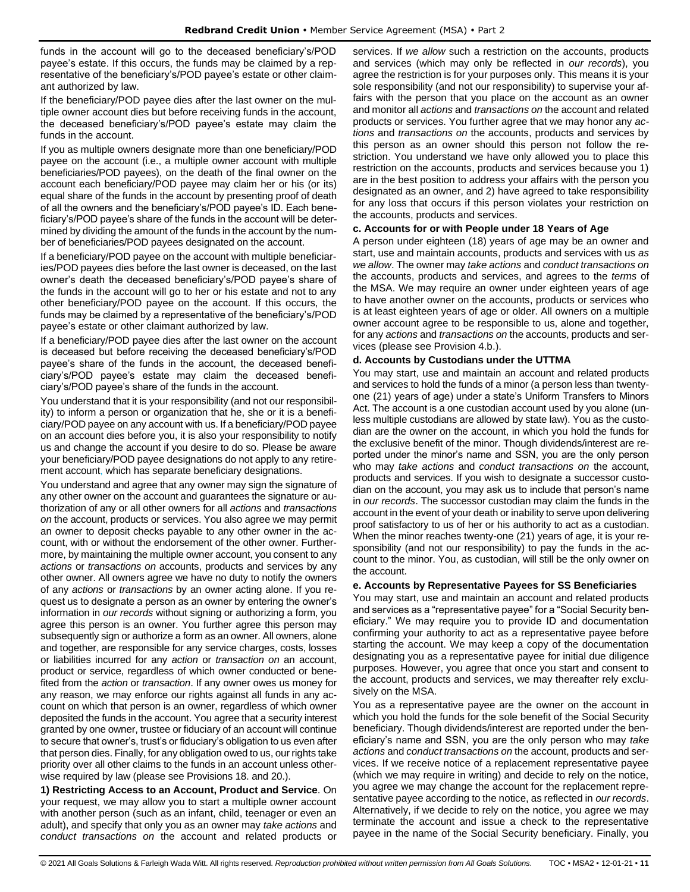funds in the account will go to the deceased beneficiary's/POD payee's estate. If this occurs, the funds may be claimed by a representative of the beneficiary's/POD payee's estate or other claimant authorized by law.

If the beneficiary/POD payee dies after the last owner on the multiple owner account dies but before receiving funds in the account, the deceased beneficiary's/POD payee's estate may claim the funds in the account.

If you as multiple owners designate more than one beneficiary/POD payee on the account (i.e., a multiple owner account with multiple beneficiaries/POD payees), on the death of the final owner on the account each beneficiary/POD payee may claim her or his (or its) equal share of the funds in the account by presenting proof of death of all the owners and the beneficiary's/POD payee's ID. Each beneficiary's/POD payee's share of the funds in the account will be determined by dividing the amount of the funds in the account by the number of beneficiaries/POD payees designated on the account.

If a beneficiary/POD payee on the account with multiple beneficiaries/POD payees dies before the last owner is deceased, on the last owner's death the deceased beneficiary's/POD payee's share of the funds in the account will go to her or his estate and not to any other beneficiary/POD payee on the account. If this occurs, the funds may be claimed by a representative of the beneficiary's/POD payee's estate or other claimant authorized by law.

If a beneficiary/POD payee dies after the last owner on the account is deceased but before receiving the deceased beneficiary's/POD payee's share of the funds in the account, the deceased beneficiary's/POD payee's estate may claim the deceased beneficiary's/POD payee's share of the funds in the account.

You understand that it is your responsibility (and not our responsibility) to inform a person or organization that he, she or it is a beneficiary/POD payee on any account with us. If a beneficiary/POD payee on an account dies before you, it is also your responsibility to notify us and change the account if you desire to do so. Please be aware your beneficiary/POD payee designations do not apply to any retirement account, which has separate beneficiary designations.

You understand and agree that any owner may sign the signature of any other owner on the account and guarantees the signature or authorization of any or all other owners for all *actions* and *transactions on* the account, products or services. You also agree we may permit an owner to deposit checks payable to any other owner in the account, with or without the endorsement of the other owner. Furthermore, by maintaining the multiple owner account, you consent to any *actions* or *transactions on* accounts, products and services by any other owner. All owners agree we have no duty to notify the owners of any *actions* or *transactions* by an owner acting alone. If you request us to designate a person as an owner by entering the owner's information in *our records* without signing or authorizing a form, you agree this person is an owner. You further agree this person may subsequently sign or authorize a form as an owner. All owners, alone and together, are responsible for any service charges, costs, losses or liabilities incurred for any *action* or *transaction on* an account, product or service, regardless of which owner conducted or benefited from the *action* or *transaction*. If any owner owes us money for any reason, we may enforce our rights against all funds in any account on which that person is an owner, regardless of which owner deposited the funds in the account. You agree that a security interest granted by one owner, trustee or fiduciary of an account will continue to secure that owner's, trust's or fiduciary's obligation to us even after that person dies. Finally, for any obligation owed to us, our rights take priority over all other claims to the funds in an account unless otherwise required by law (please see Provisions 18. and 20.).

**1) Restricting Access to an Account, Product and Service**. On your request, we may allow you to start a multiple owner account with another person (such as an infant, child, teenager or even an adult), and specify that only you as an owner may *take actions* and *conduct transactions on* the account and related products or services. If *we allow* such a restriction on the accounts, products and services (which may only be reflected in *our records*), you agree the restriction is for your purposes only. This means it is your sole responsibility (and not our responsibility) to supervise your affairs with the person that you place on the account as an owner and monitor all *actions* and *transactions on* the account and related products or services. You further agree that we may honor any *actions* and *transactions on* the accounts, products and services by this person as an owner should this person not follow the restriction. You understand we have only allowed you to place this restriction on the accounts, products and services because you 1) are in the best position to address your affairs with the person you designated as an owner, and 2) have agreed to take responsibility for any loss that occurs if this person violates your restriction on the accounts, products and services.

## **c. Accounts for or with People under 18 Years of Age**

A person under eighteen (18) years of age may be an owner and start, use and maintain accounts, products and services with us *as we allow*. The owner may *take actions* and *conduct transactions on*  the accounts, products and services, and agrees to the *terms* of the MSA. We may require an owner under eighteen years of age to have another owner on the accounts, products or services who is at least eighteen years of age or older. All owners on a multiple owner account agree to be responsible to us, alone and together, for any *actions* and *transactions on* the accounts, products and services (please see Provision 4.b.).

#### **d. Accounts by Custodians under the UTTMA**

You may start, use and maintain an account and related products and services to hold the funds of a minor (a person less than twentyone (21) years of age) under a state's Uniform Transfers to Minors Act. The account is a one custodian account used by you alone (unless multiple custodians are allowed by state law). You as the custodian are the owner on the account, in which you hold the funds for the exclusive benefit of the minor. Though dividends/interest are reported under the minor's name and SSN, you are the only person who may *take actions* and *conduct transactions on* the account, products and services. If you wish to designate a successor custodian on the account, you may ask us to include that person's name in *our records*. The successor custodian may claim the funds in the account in the event of your death or inability to serve upon delivering proof satisfactory to us of her or his authority to act as a custodian. When the minor reaches twenty-one (21) years of age, it is your responsibility (and not our responsibility) to pay the funds in the account to the minor. You, as custodian, will still be the only owner on the account.

#### **e. Accounts by Representative Payees for SS Beneficiaries**

You may start, use and maintain an account and related products and services as a "representative payee" for a "Social Security beneficiary." We may require you to provide ID and documentation confirming your authority to act as a representative payee before starting the account. We may keep a copy of the documentation designating you as a representative payee for initial due diligence purposes. However, you agree that once you start and consent to the account, products and services, we may thereafter rely exclusively on the MSA.

You as a representative payee are the owner on the account in which you hold the funds for the sole benefit of the Social Security beneficiary. Though dividends/interest are reported under the beneficiary's name and SSN, you are the only person who may *take actions* and *conduct transactions on* the account, products and services. If we receive notice of a replacement representative payee (which we may require in writing) and decide to rely on the notice, you agree we may change the account for the replacement representative payee according to the notice, as reflected in *our records*. Alternatively, if we decide to rely on the notice, you agree we may terminate the account and issue a check to the representative payee in the name of the Social Security beneficiary. Finally, you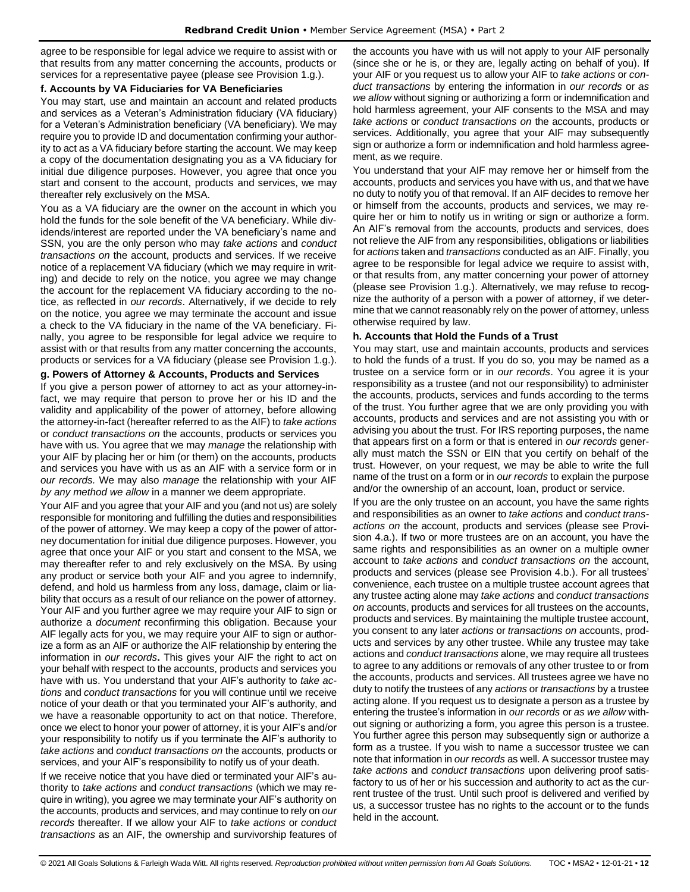agree to be responsible for legal advice we require to assist with or that results from any matter concerning the accounts, products or services for a representative payee (please see Provision 1.g.).

#### **f. Accounts by VA Fiduciaries for VA Beneficiaries**

You may start, use and maintain an account and related products and services as a Veteran's Administration fiduciary (VA fiduciary) for a Veteran's Administration beneficiary (VA beneficiary). We may require you to provide ID and documentation confirming your authority to act as a VA fiduciary before starting the account. We may keep a copy of the documentation designating you as a VA fiduciary for initial due diligence purposes. However, you agree that once you start and consent to the account, products and services, we may thereafter rely exclusively on the MSA.

You as a VA fiduciary are the owner on the account in which you hold the funds for the sole benefit of the VA beneficiary. While dividends/interest are reported under the VA beneficiary's name and SSN, you are the only person who may *take actions* and *conduct transactions on* the account, products and services. If we receive notice of a replacement VA fiduciary (which we may require in writing) and decide to rely on the notice, you agree we may change the account for the replacement VA fiduciary according to the notice, as reflected in *our records*. Alternatively, if we decide to rely on the notice, you agree we may terminate the account and issue a check to the VA fiduciary in the name of the VA beneficiary. Finally, you agree to be responsible for legal advice we require to assist with or that results from any matter concerning the accounts, products or services for a VA fiduciary (please see Provision 1.g.).

## **g. Powers of Attorney & Accounts, Products and Services**

If you give a person power of attorney to act as your attorney-infact, we may require that person to prove her or his ID and the validity and applicability of the power of attorney, before allowing the attorney-in-fact (hereafter referred to as the AIF) to *take actions* or *conduct transactions on* the accounts, products or services you have with us. You agree that we may *manage* the relationship with your AIF by placing her or him (or them) on the accounts, products and services you have with us as an AIF with a service form or in *our records.* We may also *manage* the relationship with your AIF *by any method we allow* in a manner we deem appropriate.

Your AIF and you agree that your AIF and you (and not us) are solely responsible for monitoring and fulfilling the duties and responsibilities of the power of attorney. We may keep a copy of the power of attorney documentation for initial due diligence purposes. However, you agree that once your AIF or you start and consent to the MSA, we may thereafter refer to and rely exclusively on the MSA. By using any product or service both your AIF and you agree to indemnify, defend, and hold us harmless from any loss, damage, claim or liability that occurs as a result of our reliance on the power of attorney. Your AIF and you further agree we may require your AIF to sign or authorize a *document* reconfirming this obligation. Because your AIF legally acts for you, we may require your AIF to sign or authorize a form as an AIF or authorize the AIF relationship by entering the information in *our records***.** This gives your AIF the right to act on your behalf with respect to the accounts, products and services you have with us. You understand that your AIF's authority to *take actions* and *conduct transactions* for you will continue until we receive notice of your death or that you terminated your AIF's authority, and we have a reasonable opportunity to act on that notice. Therefore, once we elect to honor your power of attorney, it is your AIF's and/or your responsibility to notify us if you terminate the AIF's authority to *take actions* and *conduct transactions on* the accounts, products or services, and your AIF's responsibility to notify us of your death.

If we receive notice that you have died or terminated your AIF's authority to *take actions* and *conduct transactions* (which we may require in writing), you agree we may terminate your AIF's authority on the accounts, products and services, and may continue to rely on *our records* thereafter. If we allow your AIF to *take actions* or *conduct transactions* as an AIF, the ownership and survivorship features of the accounts you have with us will not apply to your AIF personally (since she or he is, or they are, legally acting on behalf of you). If your AIF or you request us to allow your AIF to *take actions* or *conduct transactions* by entering the information in *our records* or *as we allow* without signing or authorizing a form or indemnification and hold harmless agreement, your AIF consents to the MSA and may *take actions* or *conduct transactions on* the accounts, products or services. Additionally, you agree that your AIF may subsequently sign or authorize a form or indemnification and hold harmless agreement, as we require.

You understand that your AIF may remove her or himself from the accounts, products and services you have with us, and that we have no duty to notify you of that removal. If an AIF decides to remove her or himself from the accounts, products and services, we may require her or him to notify us in writing or sign or authorize a form. An AIF's removal from the accounts, products and services, does not relieve the AIF from any responsibilities, obligations or liabilities for *actions* taken and *transactions* conducted as an AIF. Finally, you agree to be responsible for legal advice we require to assist with, or that results from, any matter concerning your power of attorney (please see Provision 1.g.). Alternatively, we may refuse to recognize the authority of a person with a power of attorney, if we determine that we cannot reasonably rely on the power of attorney, unless otherwise required by law.

#### **h. Accounts that Hold the Funds of a Trust**

You may start, use and maintain accounts, products and services to hold the funds of a trust. If you do so, you may be named as a trustee on a service form or in *our records*. You agree it is your responsibility as a trustee (and not our responsibility) to administer the accounts, products, services and funds according to the terms of the trust. You further agree that we are only providing you with accounts, products and services and are not assisting you with or advising you about the trust. For IRS reporting purposes, the name that appears first on a form or that is entered in *our records* generally must match the SSN or EIN that you certify on behalf of the trust. However, on your request, we may be able to write the full name of the trust on a form or in *our records* to explain the purpose and/or the ownership of an account, loan, product or service.

If you are the only trustee on an account, you have the same rights and responsibilities as an owner to *take actions* and *conduct transactions on* the account, products and services (please see Provision 4.a.). If two or more trustees are on an account, you have the same rights and responsibilities as an owner on a multiple owner account to *take actions* and *conduct transactions on* the account, products and services (please see Provision 4.b.). For all trustees' convenience, each trustee on a multiple trustee account agrees that any trustee acting alone may *take actions* and *conduct transactions on* accounts, products and services for all trustees on the accounts, products and services. By maintaining the multiple trustee account, you consent to any later *actions* or *transactions on* accounts, products and services by any other trustee. While any trustee may take actions and *conduct transactions* alone, we may require all trustees to agree to any additions or removals of any other trustee to or from the accounts, products and services. All trustees agree we have no duty to notify the trustees of any *actions* or *transactions* by a trustee acting alone. If you request us to designate a person as a trustee by entering the trustee's information in *our records* or *as we allow* without signing or authorizing a form, you agree this person is a trustee. You further agree this person may subsequently sign or authorize a form as a trustee. If you wish to name a successor trustee we can note that information in *our records* as well. A successor trustee may *take actions* and *conduct transactions* upon delivering proof satisfactory to us of her or his succession and authority to act as the current trustee of the trust. Until such proof is delivered and verified by us, a successor trustee has no rights to the account or to the funds held in the account.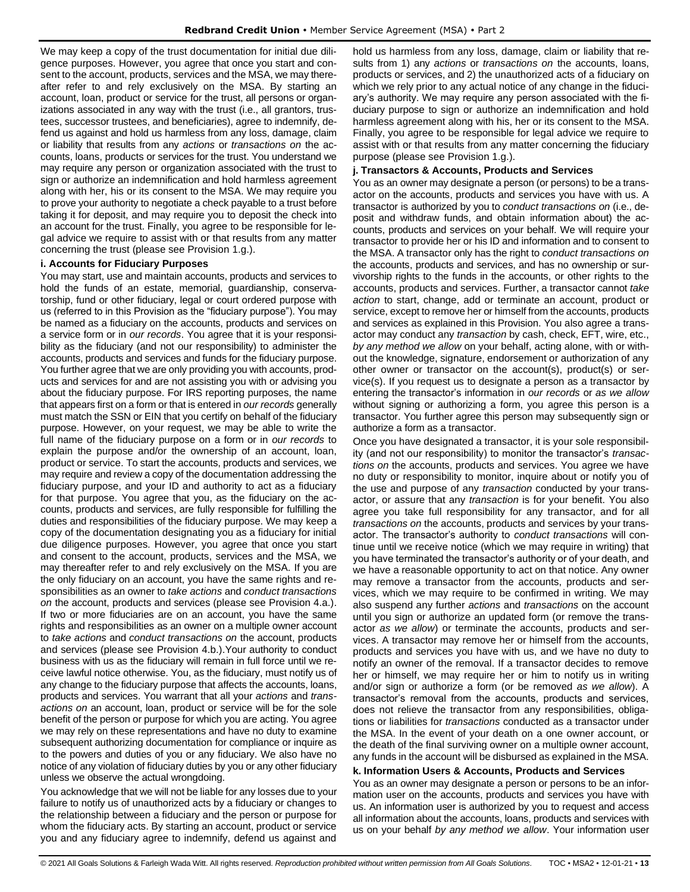We may keep a copy of the trust documentation for initial due diligence purposes. However, you agree that once you start and consent to the account, products, services and the MSA, we may thereafter refer to and rely exclusively on the MSA. By starting an account, loan, product or service for the trust, all persons or organizations associated in any way with the trust (i.e., all grantors, trustees, successor trustees, and beneficiaries), agree to indemnify, defend us against and hold us harmless from any loss, damage, claim or liability that results from any *actions* or *transactions on* the accounts, loans, products or services for the trust. You understand we may require any person or organization associated with the trust to sign or authorize an indemnification and hold harmless agreement along with her, his or its consent to the MSA. We may require you to prove your authority to negotiate a check payable to a trust before taking it for deposit, and may require you to deposit the check into an account for the trust. Finally, you agree to be responsible for legal advice we require to assist with or that results from any matter concerning the trust (please see Provision 1.g.).

#### **i. Accounts for Fiduciary Purposes**

You may start, use and maintain accounts, products and services to hold the funds of an estate, memorial, guardianship, conservatorship, fund or other fiduciary, legal or court ordered purpose with us (referred to in this Provision as the "fiduciary purpose"). You may be named as a fiduciary on the accounts, products and services on a service form or in *our records*. You agree that it is your responsibility as the fiduciary (and not our responsibility) to administer the accounts, products and services and funds for the fiduciary purpose. You further agree that we are only providing you with accounts, products and services for and are not assisting you with or advising you about the fiduciary purpose. For IRS reporting purposes, the name that appears first on a form or that is entered in *our records* generally must match the SSN or EIN that you certify on behalf of the fiduciary purpose. However, on your request, we may be able to write the full name of the fiduciary purpose on a form or in *our records* to explain the purpose and/or the ownership of an account, loan, product or service. To start the accounts, products and services, we may require and review a copy of the documentation addressing the fiduciary purpose, and your ID and authority to act as a fiduciary for that purpose. You agree that you, as the fiduciary on the accounts, products and services, are fully responsible for fulfilling the duties and responsibilities of the fiduciary purpose. We may keep a copy of the documentation designating you as a fiduciary for initial due diligence purposes. However, you agree that once you start and consent to the account, products, services and the MSA, we may thereafter refer to and rely exclusively on the MSA. If you are the only fiduciary on an account, you have the same rights and responsibilities as an owner to *take actions* and *conduct transactions on* the account, products and services (please see Provision 4.a.). If two or more fiduciaries are on an account, you have the same rights and responsibilities as an owner on a multiple owner account to *take actions* and *conduct transactions on* the account, products and services (please see Provision 4.b.).Your authority to conduct business with us as the fiduciary will remain in full force until we receive lawful notice otherwise. You, as the fiduciary, must notify us of any change to the fiduciary purpose that affects the accounts, loans, products and services. You warrant that all your *actions* and *transactions on* an account, loan, product or service will be for the sole benefit of the person or purpose for which you are acting. You agree we may rely on these representations and have no duty to examine subsequent authorizing documentation for compliance or inquire as to the powers and duties of you or any fiduciary. We also have no notice of any violation of fiduciary duties by you or any other fiduciary unless we observe the actual wrongdoing.

You acknowledge that we will not be liable for any losses due to your failure to notify us of unauthorized acts by a fiduciary or changes to the relationship between a fiduciary and the person or purpose for whom the fiduciary acts. By starting an account, product or service you and any fiduciary agree to indemnify, defend us against and hold us harmless from any loss, damage, claim or liability that results from 1) any *actions* or *transactions on* the accounts, loans, products or services, and 2) the unauthorized acts of a fiduciary on which we rely prior to any actual notice of any change in the fiduciary's authority. We may require any person associated with the fiduciary purpose to sign or authorize an indemnification and hold harmless agreement along with his, her or its consent to the MSA. Finally, you agree to be responsible for legal advice we require to assist with or that results from any matter concerning the fiduciary purpose (please see Provision 1.g.).

#### **j. Transactors & Accounts, Products and Services**

You as an owner may designate a person (or persons) to be a transactor on the accounts, products and services you have with us. A transactor is authorized by you to *conduct transactions on* (i.e., deposit and withdraw funds, and obtain information about) the accounts, products and services on your behalf. We will require your transactor to provide her or his ID and information and to consent to the MSA. A transactor only has the right to *conduct transactions on* the accounts, products and services, and has no ownership or survivorship rights to the funds in the accounts, or other rights to the accounts, products and services. Further, a transactor cannot *take action* to start, change, add or terminate an account, product or service, except to remove her or himself from the accounts, products and services as explained in this Provision. You also agree a transactor may conduct any *transaction* by cash, check, EFT, wire, etc., *by any method we allow* on your behalf, acting alone, with or without the knowledge, signature, endorsement or authorization of any other owner or transactor on the account(s), product(s) or service(s). If you request us to designate a person as a transactor by entering the transactor's information in *our records* or *as we allow*  without signing or authorizing a form, you agree this person is a transactor. You further agree this person may subsequently sign or authorize a form as a transactor.

Once you have designated a transactor, it is your sole responsibility (and not our responsibility) to monitor the transactor's *transactions on* the accounts, products and services. You agree we have no duty or responsibility to monitor, inquire about or notify you of the use and purpose of any *transaction* conducted by your transactor, or assure that any *transaction* is for your benefit. You also agree you take full responsibility for any transactor, and for all *transactions on* the accounts, products and services by your transactor. The transactor's authority to *conduct transactions* will continue until we receive notice (which we may require in writing) that you have terminated the transactor's authority or of your death, and we have a reasonable opportunity to act on that notice. Any owner may remove a transactor from the accounts, products and services, which we may require to be confirmed in writing. We may also suspend any further *actions* and *transactions* on the account until you sign or authorize an updated form (or remove the transactor *as we allow*) or terminate the accounts, products and services. A transactor may remove her or himself from the accounts, products and services you have with us, and we have no duty to notify an owner of the removal. If a transactor decides to remove her or himself, we may require her or him to notify us in writing and/or sign or authorize a form (or be removed *as we allow*). A transactor's removal from the accounts, products and services, does not relieve the transactor from any responsibilities, obligations or liabilities for *transactions* conducted as a transactor under the MSA. In the event of your death on a one owner account, or the death of the final surviving owner on a multiple owner account, any funds in the account will be disbursed as explained in the MSA.

## **k. Information Users & Accounts, Products and Services**

You as an owner may designate a person or persons to be an information user on the accounts, products and services you have with us. An information user is authorized by you to request and access all information about the accounts, loans, products and services with us on your behalf *by any method we allow*. Your information user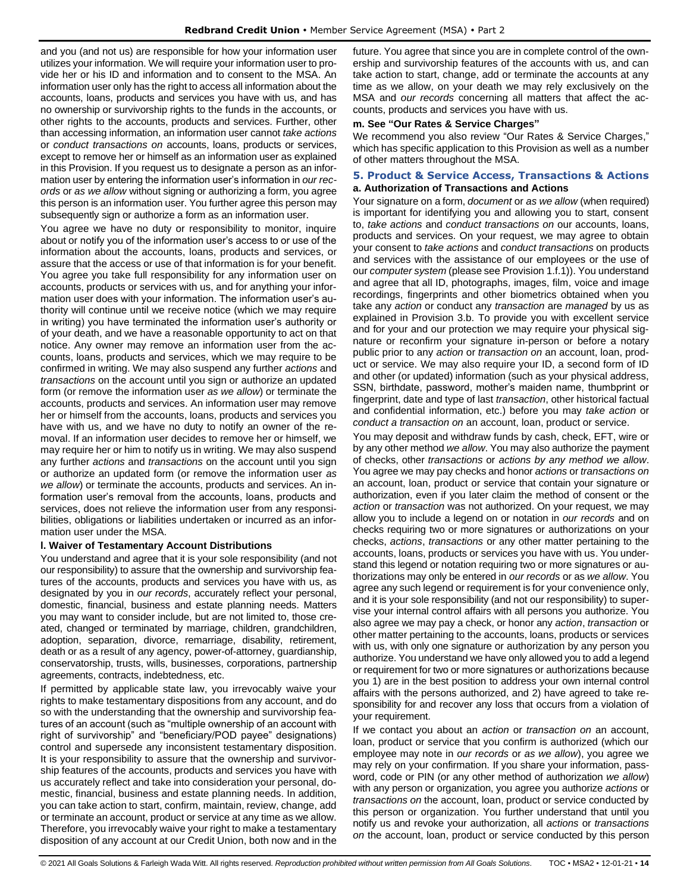and you (and not us) are responsible for how your information user utilizes your information. We will require your information user to provide her or his ID and information and to consent to the MSA. An information user only has the right to access all information about the accounts, loans, products and services you have with us, and has no ownership or survivorship rights to the funds in the accounts, or other rights to the accounts, products and services. Further, other than accessing information, an information user cannot *take actions* or *conduct transactions on* accounts, loans, products or services, except to remove her or himself as an information user as explained in this Provision. If you request us to designate a person as an information user by entering the information user's information in *our records* or *as we allow* without signing or authorizing a form, you agree this person is an information user. You further agree this person may subsequently sign or authorize a form as an information user.

You agree we have no duty or responsibility to monitor, inquire about or notify you of the information user's access to or use of the information about the accounts, loans, products and services, or assure that the access or use of that information is for your benefit. You agree you take full responsibility for any information user on accounts, products or services with us, and for anything your information user does with your information. The information user's authority will continue until we receive notice (which we may require in writing) you have terminated the information user's authority or of your death, and we have a reasonable opportunity to act on that notice. Any owner may remove an information user from the accounts, loans, products and services, which we may require to be confirmed in writing. We may also suspend any further *actions* and *transactions* on the account until you sign or authorize an updated form (or remove the information user *as we allow*) or terminate the accounts, products and services. An information user may remove her or himself from the accounts, loans, products and services you have with us, and we have no duty to notify an owner of the removal. If an information user decides to remove her or himself, we may require her or him to notify us in writing. We may also suspend any further *actions* and *transactions* on the account until you sign or authorize an updated form (or remove the information user *as we allow*) or terminate the accounts, products and services. An information user's removal from the accounts, loans, products and services, does not relieve the information user from any responsibilities, obligations or liabilities undertaken or incurred as an information user under the MSA.

## **l. Waiver of Testamentary Account Distributions**

You understand and agree that it is your sole responsibility (and not our responsibility) to assure that the ownership and survivorship features of the accounts, products and services you have with us, as designated by you in *our records*, accurately reflect your personal, domestic, financial, business and estate planning needs. Matters you may want to consider include, but are not limited to, those created, changed or terminated by marriage, children, grandchildren, adoption, separation, divorce, remarriage, disability, retirement, death or as a result of any agency, power-of-attorney, guardianship, conservatorship, trusts, wills, businesses, corporations, partnership agreements, contracts, indebtedness, etc.

If permitted by applicable state law, you irrevocably waive your rights to make testamentary dispositions from any account, and do so with the understanding that the ownership and survivorship features of an account (such as "multiple ownership of an account with right of survivorship" and "beneficiary/POD payee" designations) control and supersede any inconsistent testamentary disposition. It is your responsibility to assure that the ownership and survivorship features of the accounts, products and services you have with us accurately reflect and take into consideration your personal, domestic, financial, business and estate planning needs. In addition, you can take action to start, confirm, maintain, review, change, add or terminate an account, product or service at any time as we allow. Therefore, you irrevocably waive your right to make a testamentary disposition of any account at our Credit Union, both now and in the future. You agree that since you are in complete control of the ownership and survivorship features of the accounts with us, and can take action to start, change, add or terminate the accounts at any time as we allow, on your death we may rely exclusively on the MSA and *our records* concerning all matters that affect the accounts, products and services you have with us.

#### **m. See "Our Rates & Service Charges"**

We recommend you also review "Our Rates & Service Charges," which has specific application to this Provision as well as a number of other matters throughout the MSA.

## <span id="page-13-0"></span>**5. Product & Service Access, Transactions & Actions a. Authorization of Transactions and Actions**

Your signature on a form, *document* or *as we allow* (when required) is important for identifying you and allowing you to start, consent to, *take actions* and *conduct transactions on* our accounts, loans, products and services. On your request, we may agree to obtain your consent to *take actions* and *conduct transactions* on products and services with the assistance of our employees or the use of our *computer system* (please see Provision 1.f.1)). You understand and agree that all ID, photographs, images, film, voice and image recordings, fingerprints and other biometrics obtained when you take any *action* or conduct any *transaction* are *managed* by us as explained in Provision 3.b. To provide you with excellent service and for your and our protection we may require your physical signature or reconfirm your signature in-person or before a notary public prior to any *action* or *transaction on* an account, loan, product or service. We may also require your ID, a second form of ID and other (or updated) information (such as your physical address, SSN, birthdate, password, mother's maiden name, thumbprint or fingerprint, date and type of last *transaction*, other historical factual and confidential information, etc.) before you may *take action* or *conduct a transaction on* an account, loan, product or service.

You may deposit and withdraw funds by cash, check, EFT, wire or by any other method *we allow*. You may also authorize the payment of checks, other *transactions* or *actions by any method we allow*. You agree we may pay checks and honor *actions* or *transactions on*  an account, loan, product or service that contain your signature or authorization, even if you later claim the method of consent or the *action* or *transaction* was not authorized. On your request, we may allow you to include a legend on or notation in *our records* and on checks requiring two or more signatures or authorizations on your checks, *actions*, *transactions* or any other matter pertaining to the accounts, loans, products or services you have with us. You understand this legend or notation requiring two or more signatures or authorizations may only be entered in *our records* or as *we allow*. You agree any such legend or requirement is for your convenience only, and it is your sole responsibility (and not our responsibility) to supervise your internal control affairs with all persons you authorize. You also agree we may pay a check, or honor any *action*, *transaction* or other matter pertaining to the accounts, loans, products or services with us, with only one signature or authorization by any person you authorize. You understand we have only allowed you to add a legend or requirement for two or more signatures or authorizations because you 1) are in the best position to address your own internal control affairs with the persons authorized, and 2) have agreed to take responsibility for and recover any loss that occurs from a violation of your requirement.

If we contact you about an *action* or *transaction on* an account, loan, product or service that you confirm is authorized (which our employee may note in *our records* or *as we allow*), you agree we may rely on your confirmation. If you share your information, password, code or PIN (or any other method of authorization *we allow*) with any person or organization, you agree you authorize *actions* or *transactions on* the account, loan, product or service conducted by this person or organization. You further understand that until you notify us and revoke your authorization, all *actions* or *transactions on* the account, loan, product or service conducted by this person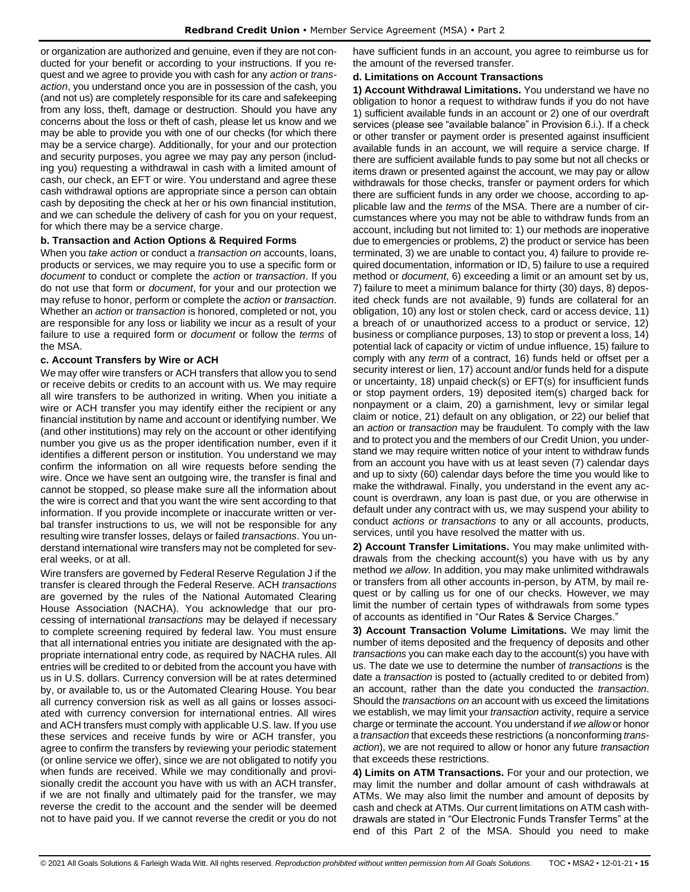or organization are authorized and genuine, even if they are not conducted for your benefit or according to your instructions. If you request and we agree to provide you with cash for any *action* or *transaction*, you understand once you are in possession of the cash, you (and not us) are completely responsible for its care and safekeeping from any loss, theft, damage or destruction. Should you have any concerns about the loss or theft of cash, please let us know and we may be able to provide you with one of our checks (for which there may be a service charge). Additionally, for your and our protection and security purposes, you agree we may pay any person (including you) requesting a withdrawal in cash with a limited amount of cash, our check, an EFT or wire. You understand and agree these cash withdrawal options are appropriate since a person can obtain cash by depositing the check at her or his own financial institution, and we can schedule the delivery of cash for you on your request, for which there may be a service charge.

#### **b. Transaction and Action Options & Required Forms**

When you *take action* or conduct a *transaction on* accounts, loans, products or services, we may require you to use a specific form or *document* to conduct or complete the *action* or *transaction*. If you do not use that form or *document*, for your and our protection we may refuse to honor, perform or complete the *action* or *transaction*. Whether an *action* or *transaction* is honored, completed or not, you are responsible for any loss or liability we incur as a result of your failure to use a required form or *document* or follow the *terms* of the MSA.

#### **c. Account Transfers by Wire or ACH**

We may offer wire transfers or ACH transfers that allow you to send or receive debits or credits to an account with us. We may require all wire transfers to be authorized in writing. When you initiate a wire or ACH transfer you may identify either the recipient or any financial institution by name and account or identifying number. We (and other institutions) may rely on the account or other identifying number you give us as the proper identification number, even if it identifies a different person or institution. You understand we may confirm the information on all wire requests before sending the wire. Once we have sent an outgoing wire, the transfer is final and cannot be stopped, so please make sure all the information about the wire is correct and that you want the wire sent according to that information. If you provide incomplete or inaccurate written or verbal transfer instructions to us, we will not be responsible for any resulting wire transfer losses, delays or failed *transactions*. You understand international wire transfers may not be completed for several weeks, or at all.

Wire transfers are governed by Federal Reserve Regulation J if the transfer is cleared through the Federal Reserve. ACH *transactions* are governed by the rules of the National Automated Clearing House Association (NACHA). You acknowledge that our processing of international *transactions* may be delayed if necessary to complete screening required by federal law. You must ensure that all international entries you initiate are designated with the appropriate international entry code, as required by NACHA rules. All entries will be credited to or debited from the account you have with us in U.S. dollars. Currency conversion will be at rates determined by, or available to, us or the Automated Clearing House. You bear all currency conversion risk as well as all gains or losses associated with currency conversion for international entries. All wires and ACH transfers must comply with applicable U.S. law. If you use these services and receive funds by wire or ACH transfer, you agree to confirm the transfers by reviewing your periodic statement (or online service we offer), since we are not obligated to notify you when funds are received. While we may conditionally and provisionally credit the account you have with us with an ACH transfer, if we are not finally and ultimately paid for the transfer, we may reverse the credit to the account and the sender will be deemed not to have paid you. If we cannot reverse the credit or you do not have sufficient funds in an account, you agree to reimburse us for the amount of the reversed transfer.

#### **d. Limitations on Account Transactions**

**1) Account Withdrawal Limitations.** You understand we have no obligation to honor a request to withdraw funds if you do not have 1) sufficient available funds in an account or 2) one of our overdraft services (please see "available balance" in Provision 6.i.). If a check or other transfer or payment order is presented against insufficient available funds in an account, we will require a service charge. If there are sufficient available funds to pay some but not all checks or items drawn or presented against the account, we may pay or allow withdrawals for those checks, transfer or payment orders for which there are sufficient funds in any order we choose, according to applicable law and the *terms* of the MSA. There are a number of circumstances where you may not be able to withdraw funds from an account, including but not limited to: 1) our methods are inoperative due to emergencies or problems, 2) the product or service has been terminated, 3) we are unable to contact you, 4) failure to provide required documentation, information or ID, 5) failure to use a required method or *document*, 6) exceeding a limit or an amount set by us, 7) failure to meet a minimum balance for thirty (30) days, 8) deposited check funds are not available, 9) funds are collateral for an obligation, 10) any lost or stolen check, card or access device, 11) a breach of or unauthorized access to a product or service, 12) business or compliance purposes, 13) to stop or prevent a loss, 14) potential lack of capacity or victim of undue influence, 15) failure to comply with any *term* of a contract, 16) funds held or offset per a security interest or lien, 17) account and/or funds held for a dispute or uncertainty, 18) unpaid check(s) or EFT(s) for insufficient funds or stop payment orders, 19) deposited item(s) charged back for nonpayment or a claim, 20) a garnishment, levy or similar legal claim or notice, 21) default on any obligation, or 22) our belief that an *action* or *transaction* may be fraudulent. To comply with the law and to protect you and the members of our Credit Union, you understand we may require written notice of your intent to withdraw funds from an account you have with us at least seven (7) calendar days and up to sixty (60) calendar days before the time you would like to make the withdrawal. Finally, you understand in the event any account is overdrawn, any loan is past due, or you are otherwise in default under any contract with us, we may suspend your ability to conduct *actions or transactions* to any or all accounts, products, services, until you have resolved the matter with us.

**2) Account Transfer Limitations.** You may make unlimited withdrawals from the checking account(s) you have with us by any method *we allow*. In addition, you may make unlimited withdrawals or transfers from all other accounts in-person, by ATM, by mail request or by calling us for one of our checks. However, we may limit the number of certain types of withdrawals from some types of accounts as identified in "Our Rates & Service Charges."

**3) Account Transaction Volume Limitations.** We may limit the number of items deposited and the frequency of deposits and other *transactions* you can make each day to the account(s) you have with us. The date we use to determine the number of *transactions* is the date a *transaction* is posted to (actually credited to or debited from) an account, rather than the date you conducted the *transaction*. Should the *transactions on* an account with us exceed the limitations we establish, we may limit your *transaction* activity, require a service charge or terminate the account. You understand if *we allow* or honor a *transaction* that exceeds these restrictions (a nonconforming *transaction*), we are not required to allow or honor any future *transaction* that exceeds these restrictions.

**4) Limits on ATM Transactions.** For your and our protection, we may limit the number and dollar amount of cash withdrawals at ATMs. We may also limit the number and amount of deposits by cash and check at ATMs. Our current limitations on ATM cash withdrawals are stated in "Our Electronic Funds Transfer Terms" at the end of this Part 2 of the MSA. Should you need to make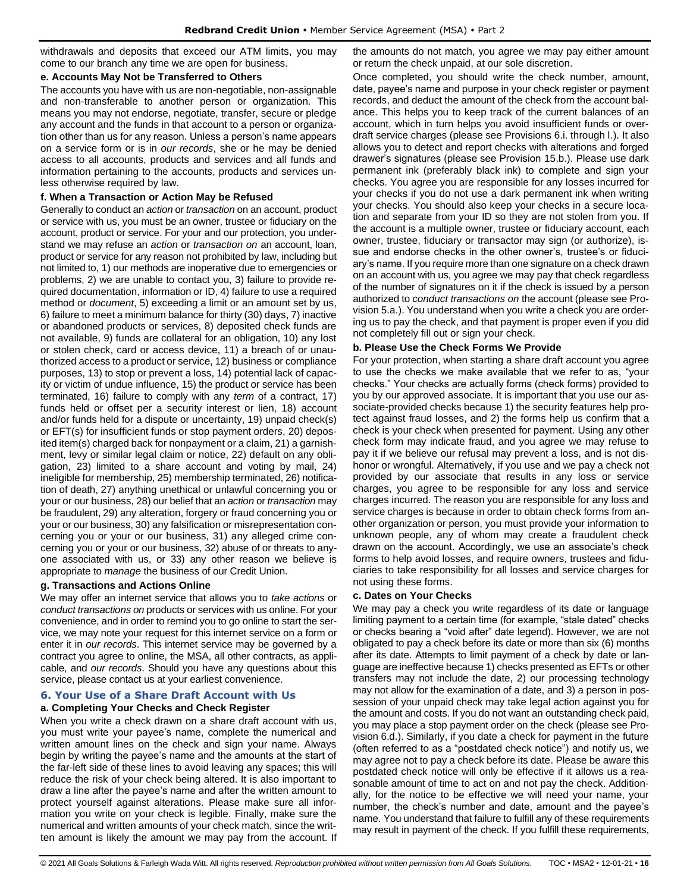withdrawals and deposits that exceed our ATM limits, you may come to our branch any time we are open for business.

## **e. Accounts May Not be Transferred to Others**

The accounts you have with us are non-negotiable, non-assignable and non-transferable to another person or organization. This means you may not endorse, negotiate, transfer, secure or pledge any account and the funds in that account to a person or organization other than us for any reason. Unless a person's name appears on a service form or is in *our records*, she or he may be denied access to all accounts, products and services and all funds and information pertaining to the accounts, products and services unless otherwise required by law.

## **f. When a Transaction or Action May be Refused**

Generally to conduct an *action* or *transaction* on an account, product or service with us, you must be an owner, trustee or fiduciary on the account, product or service. For your and our protection, you understand we may refuse an *action* or *transaction on* an account, loan, product or service for any reason not prohibited by law, including but not limited to, 1) our methods are inoperative due to emergencies or problems, 2) we are unable to contact you, 3) failure to provide required documentation, information or ID, 4) failure to use a required method or *document*, 5) exceeding a limit or an amount set by us, 6) failure to meet a minimum balance for thirty (30) days, 7) inactive or abandoned products or services, 8) deposited check funds are not available, 9) funds are collateral for an obligation, 10) any lost or stolen check, card or access device, 11) a breach of or unauthorized access to a product or service, 12) business or compliance purposes, 13) to stop or prevent a loss, 14) potential lack of capacity or victim of undue influence, 15) the product or service has been terminated, 16) failure to comply with any *term* of a contract, 17) funds held or offset per a security interest or lien, 18) account and/or funds held for a dispute or uncertainty, 19) unpaid check(s) or EFT(s) for insufficient funds or stop payment orders, 20) deposited item(s) charged back for nonpayment or a claim, 21) a garnishment, levy or similar legal claim or notice, 22) default on any obligation, 23) limited to a share account and voting by mail, 24) ineligible for membership, 25) membership terminated, 26) notification of death, 27) anything unethical or unlawful concerning you or your or our business, 28) our belief that an *action* or *transaction* may be fraudulent, 29) any alteration, forgery or fraud concerning you or your or our business, 30) any falsification or misrepresentation concerning you or your or our business, 31) any alleged crime concerning you or your or our business, 32) abuse of or threats to anyone associated with us, or 33) any other reason we believe is appropriate to *manage* the business of our Credit Union.

## **g. Transactions and Actions Online**

We may offer an internet service that allows you to *take actions* or *conduct transactions on* products or services with us online. For your convenience, and in order to remind you to go online to start the service, we may note your request for this internet service on a form or enter it in *our records*. This internet service may be governed by a contract you agree to online, the MSA, all other contracts, as applicable, and *our records*. Should you have any questions about this service, please contact us at your earliest convenience.

## <span id="page-15-0"></span>**6. Your Use of a Share Draft Account with Us**

## **a. Completing Your Checks and Check Register**

When you write a check drawn on a share draft account with us, you must write your payee's name, complete the numerical and written amount lines on the check and sign your name. Always begin by writing the payee's name and the amounts at the start of the far-left side of these lines to avoid leaving any spaces; this will reduce the risk of your check being altered. It is also important to draw a line after the payee's name and after the written amount to protect yourself against alterations. Please make sure all information you write on your check is legible. Finally, make sure the numerical and written amounts of your check match, since the written amount is likely the amount we may pay from the account. If the amounts do not match, you agree we may pay either amount or return the check unpaid, at our sole discretion.

Once completed, you should write the check number, amount, date, payee's name and purpose in your check register or payment records, and deduct the amount of the check from the account balance. This helps you to keep track of the current balances of an account, which in turn helps you avoid insufficient funds or overdraft service charges (please see Provisions 6.i. through l.). It also allows you to detect and report checks with alterations and forged drawer's signatures (please see Provision 15.b.). Please use dark permanent ink (preferably black ink) to complete and sign your checks. You agree you are responsible for any losses incurred for your checks if you do not use a dark permanent ink when writing your checks. You should also keep your checks in a secure location and separate from your ID so they are not stolen from you. If the account is a multiple owner, trustee or fiduciary account, each owner, trustee, fiduciary or transactor may sign (or authorize), issue and endorse checks in the other owner's, trustee's or fiduciary's name. If you require more than one signature on a check drawn on an account with us, you agree we may pay that check regardless of the number of signatures on it if the check is issued by a person authorized to *conduct transactions on* the account (please see Provision 5.a.). You understand when you write a check you are ordering us to pay the check, and that payment is proper even if you did not completely fill out or sign your check.

#### **b. Please Use the Check Forms We Provide**

For your protection, when starting a share draft account you agree to use the checks we make available that we refer to as, "your checks." Your checks are actually forms (check forms) provided to you by our approved associate. It is important that you use our associate-provided checks because 1) the security features help protect against fraud losses, and 2) the forms help us confirm that a check is your check when presented for payment. Using any other check form may indicate fraud, and you agree we may refuse to pay it if we believe our refusal may prevent a loss, and is not dishonor or wrongful. Alternatively, if you use and we pay a check not provided by our associate that results in any loss or service charges, you agree to be responsible for any loss and service charges incurred. The reason you are responsible for any loss and service charges is because in order to obtain check forms from another organization or person, you must provide your information to unknown people, any of whom may create a fraudulent check drawn on the account. Accordingly, we use an associate's check forms to help avoid losses, and require owners, trustees and fiduciaries to take responsibility for all losses and service charges for not using these forms.

#### **c. Dates on Your Checks**

We may pay a check you write regardless of its date or language limiting payment to a certain time (for example, "stale dated" checks or checks bearing a "void after" date legend). However, we are not obligated to pay a check before its date or more than six (6) months after its date. Attempts to limit payment of a check by date or language are ineffective because 1) checks presented as EFTs or other transfers may not include the date, 2) our processing technology may not allow for the examination of a date, and 3) a person in possession of your unpaid check may take legal action against you for the amount and costs. If you do not want an outstanding check paid, you may place a stop payment order on the check (please see Provision 6.d.). Similarly, if you date a check for payment in the future (often referred to as a "postdated check notice") and notify us, we may agree not to pay a check before its date. Please be aware this postdated check notice will only be effective if it allows us a reasonable amount of time to act on and not pay the check. Additionally, for the notice to be effective we will need your name, your number, the check's number and date, amount and the payee's name. You understand that failure to fulfill any of these requirements may result in payment of the check. If you fulfill these requirements,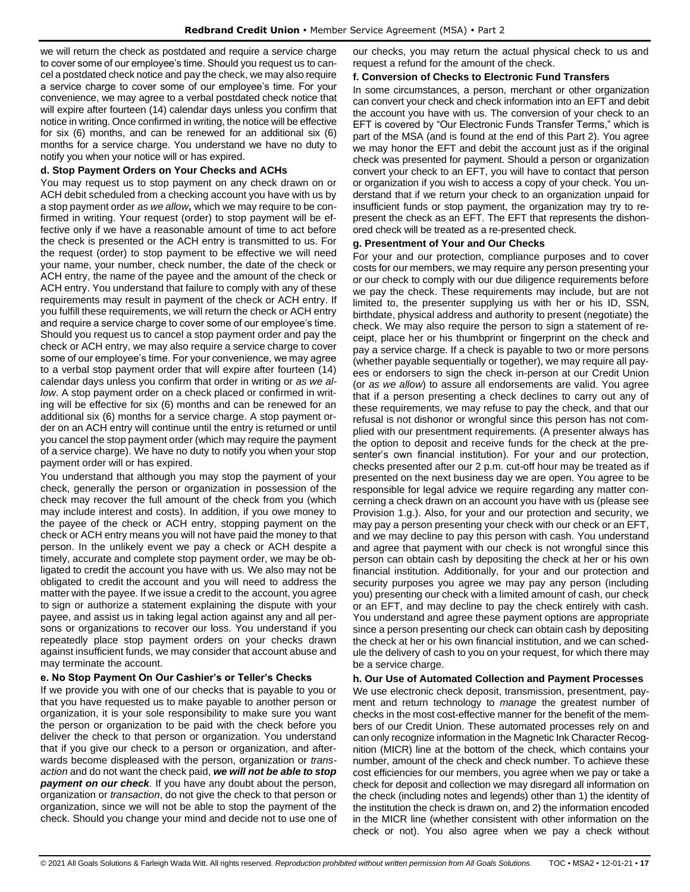we will return the check as postdated and require a service charge to cover some of our employee's time. Should you request us to cancel a postdated check notice and pay the check, we may also require a service charge to cover some of our employee's time. For your convenience, we may agree to a verbal postdated check notice that will expire after fourteen (14) calendar days unless you confirm that notice in writing. Once confirmed in writing, the notice will be effective for six (6) months, and can be renewed for an additional six (6) months for a service charge. You understand we have no duty to notify you when your notice will or has expired.

#### **d. Stop Payment Orders on Your Checks and ACHs**

You may request us to stop payment on any check drawn on or ACH debit scheduled from a checking account you have with us by a stop payment order *as we allow***,** which we may require to be confirmed in writing. Your request (order) to stop payment will be effective only if we have a reasonable amount of time to act before the check is presented or the ACH entry is transmitted to us. For the request (order) to stop payment to be effective we will need your name, your number, check number, the date of the check or ACH entry, the name of the payee and the amount of the check or ACH entry. You understand that failure to comply with any of these requirements may result in payment of the check or ACH entry. If you fulfill these requirements, we will return the check or ACH entry and require a service charge to cover some of our employee's time. Should you request us to cancel a stop payment order and pay the check or ACH entry, we may also require a service charge to cover some of our employee's time. For your convenience, we may agree to a verbal stop payment order that will expire after fourteen (14) calendar days unless you confirm that order in writing or *as we allow*. A stop payment order on a check placed or confirmed in writing will be effective for six (6) months and can be renewed for an additional six (6) months for a service charge. A stop payment order on an ACH entry will continue until the entry is returned or until you cancel the stop payment order (which may require the payment of a service charge). We have no duty to notify you when your stop payment order will or has expired.

You understand that although you may stop the payment of your check, generally the person or organization in possession of the check may recover the full amount of the check from you (which may include interest and costs). In addition, if you owe money to the payee of the check or ACH entry, stopping payment on the check or ACH entry means you will not have paid the money to that person. In the unlikely event we pay a check or ACH despite a timely, accurate and complete stop payment order, we may be obligated to credit the account you have with us. We also may not be obligated to credit the account and you will need to address the matter with the payee. If we issue a credit to the account, you agree to sign or authorize a statement explaining the dispute with your payee, and assist us in taking legal action against any and all persons or organizations to recover our loss. You understand if you repeatedly place stop payment orders on your checks drawn against insufficient funds, we may consider that account abuse and may terminate the account.

## **e. No Stop Payment On Our Cashier's or Teller's Checks**

If we provide you with one of our checks that is payable to you or that you have requested us to make payable to another person or organization, it is your sole responsibility to make sure you want the person or organization to be paid with the check before you deliver the check to that person or organization. You understand that if you give our check to a person or organization, and afterwards become displeased with the person, organization or *transaction* and do not want the check paid, *we will not be able to stop payment on our check.* If you have any doubt about the person, organization or *transaction*, do not give the check to that person or organization, since we will not be able to stop the payment of the check. Should you change your mind and decide not to use one of our checks, you may return the actual physical check to us and request a refund for the amount of the check.

#### **f. Conversion of Checks to Electronic Fund Transfers**

In some circumstances, a person, merchant or other organization can convert your check and check information into an EFT and debit the account you have with us. The conversion of your check to an EFT is covered by "Our Electronic Funds Transfer Terms," which is part of the MSA (and is found at the end of this Part 2). You agree we may honor the EFT and debit the account just as if the original check was presented for payment. Should a person or organization convert your check to an EFT, you will have to contact that person or organization if you wish to access a copy of your check. You understand that if we return your check to an organization unpaid for insufficient funds or stop payment, the organization may try to represent the check as an EFT. The EFT that represents the dishonored check will be treated as a re-presented check.

#### **g. Presentment of Your and Our Checks**

For your and our protection, compliance purposes and to cover costs for our members, we may require any person presenting your or our check to comply with our due diligence requirements before we pay the check. These requirements may include, but are not limited to, the presenter supplying us with her or his ID, SSN, birthdate, physical address and authority to present (negotiate) the check. We may also require the person to sign a statement of receipt, place her or his thumbprint or fingerprint on the check and pay a service charge. If a check is payable to two or more persons (whether payable sequentially or together), we may require all payees or endorsers to sign the check in-person at our Credit Union (or *as we allow*) to assure all endorsements are valid. You agree that if a person presenting a check declines to carry out any of these requirements, we may refuse to pay the check, and that our refusal is not dishonor or wrongful since this person has not complied with our presentment requirements. (A presenter always has the option to deposit and receive funds for the check at the presenter's own financial institution). For your and our protection, checks presented after our 2 p.m. cut-off hour may be treated as if presented on the next business day we are open. You agree to be responsible for legal advice we require regarding any matter concerning a check drawn on an account you have with us (please see Provision 1.g.). Also, for your and our protection and security, we may pay a person presenting your check with our check or an EFT, and we may decline to pay this person with cash. You understand and agree that payment with our check is not wrongful since this person can obtain cash by depositing the check at her or his own financial institution. Additionally, for your and our protection and security purposes you agree we may pay any person (including you) presenting our check with a limited amount of cash, our check or an EFT, and may decline to pay the check entirely with cash. You understand and agree these payment options are appropriate since a person presenting our check can obtain cash by depositing the check at her or his own financial institution, and we can schedule the delivery of cash to you on your request, for which there may be a service charge.

## **h. Our Use of Automated Collection and Payment Processes**

We use electronic check deposit, transmission, presentment, payment and return technology to *manage* the greatest number of checks in the most cost-effective manner for the benefit of the members of our Credit Union. These automated processes rely on and can only recognize information in the Magnetic Ink Character Recognition (MICR) line at the bottom of the check, which contains your number, amount of the check and check number. To achieve these cost efficiencies for our members, you agree when we pay or take a check for deposit and collection we may disregard all information on the check (including notes and legends) other than 1) the identity of the institution the check is drawn on, and 2) the information encoded in the MICR line (whether consistent with other information on the check or not). You also agree when we pay a check without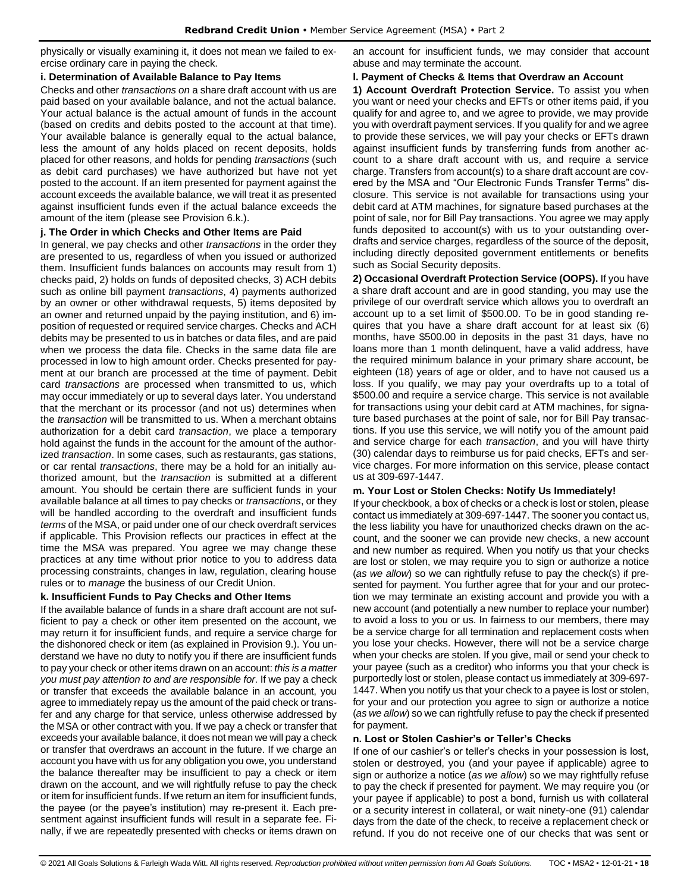physically or visually examining it, it does not mean we failed to exercise ordinary care in paying the check.

#### **i. Determination of Available Balance to Pay Items**

Checks and other *transactions on* a share draft account with us are paid based on your available balance, and not the actual balance. Your actual balance is the actual amount of funds in the account (based on credits and debits posted to the account at that time). Your available balance is generally equal to the actual balance, less the amount of any holds placed on recent deposits, holds placed for other reasons, and holds for pending *transactions* (such as debit card purchases) we have authorized but have not yet posted to the account. If an item presented for payment against the account exceeds the available balance, we will treat it as presented against insufficient funds even if the actual balance exceeds the amount of the item (please see Provision 6.k.).

## **j. The Order in which Checks and Other Items are Paid**

In general, we pay checks and other *transactions* in the order they are presented to us, regardless of when you issued or authorized them. Insufficient funds balances on accounts may result from 1) checks paid, 2) holds on funds of deposited checks, 3) ACH debits such as online bill payment *transactions*, 4) payments authorized by an owner or other withdrawal requests, 5) items deposited by an owner and returned unpaid by the paying institution, and 6) imposition of requested or required service charges. Checks and ACH debits may be presented to us in batches or data files, and are paid when we process the data file. Checks in the same data file are processed in low to high amount order. Checks presented for payment at our branch are processed at the time of payment. Debit card *transactions* are processed when transmitted to us, which may occur immediately or up to several days later. You understand that the merchant or its processor (and not us) determines when the *transaction* will be transmitted to us. When a merchant obtains authorization for a debit card *transaction*, we place a temporary hold against the funds in the account for the amount of the authorized *transaction*. In some cases, such as restaurants, gas stations, or car rental *transactions*, there may be a hold for an initially authorized amount, but the *transaction* is submitted at a different amount. You should be certain there are sufficient funds in your available balance at all times to pay checks or *transactions*, or they will be handled according to the overdraft and insufficient funds *terms* of the MSA, or paid under one of our check overdraft services if applicable. This Provision reflects our practices in effect at the time the MSA was prepared. You agree we may change these practices at any time without prior notice to you to address data processing constraints, changes in law, regulation, clearing house rules or to *manage* the business of our Credit Union.

## **k. Insufficient Funds to Pay Checks and Other Items**

If the available balance of funds in a share draft account are not sufficient to pay a check or other item presented on the account, we may return it for insufficient funds, and require a service charge for the dishonored check or item (as explained in Provision 9.). You understand we have no duty to notify you if there are insufficient funds to pay your check or other items drawn on an account: *this is a matter you must pay attention to and are responsible for*. If we pay a check or transfer that exceeds the available balance in an account, you agree to immediately repay us the amount of the paid check or transfer and any charge for that service, unless otherwise addressed by the MSA or other contract with you. If we pay a check or transfer that exceeds your available balance, it does not mean we will pay a check or transfer that overdraws an account in the future. If we charge an account you have with us for any obligation you owe, you understand the balance thereafter may be insufficient to pay a check or item drawn on the account, and we will rightfully refuse to pay the check or item for insufficient funds. If we return an item for insufficient funds, the payee (or the payee's institution) may re-present it. Each presentment against insufficient funds will result in a separate fee. Finally, if we are repeatedly presented with checks or items drawn on an account for insufficient funds, we may consider that account abuse and may terminate the account.

#### **l. Payment of Checks & Items that Overdraw an Account**

**1) Account Overdraft Protection Service.** To assist you when you want or need your checks and EFTs or other items paid, if you qualify for and agree to, and we agree to provide, we may provide you with overdraft payment services. If you qualify for and we agree to provide these services, we will pay your checks or EFTs drawn against insufficient funds by transferring funds from another account to a share draft account with us, and require a service charge. Transfers from account(s) to a share draft account are covered by the MSA and "Our Electronic Funds Transfer Terms" disclosure. This service is not available for transactions using your debit card at ATM machines, for signature based purchases at the point of sale, nor for Bill Pay transactions. You agree we may apply funds deposited to account(s) with us to your outstanding overdrafts and service charges, regardless of the source of the deposit, including directly deposited government entitlements or benefits such as Social Security deposits.

**2) Occasional Overdraft Protection Service (OOPS).** If you have a share draft account and are in good standing, you may use the privilege of our overdraft service which allows you to overdraft an account up to a set limit of \$500.00. To be in good standing requires that you have a share draft account for at least six (6) months, have \$500.00 in deposits in the past 31 days, have no loans more than 1 month delinquent, have a valid address, have the required minimum balance in your primary share account, be eighteen (18) years of age or older, and to have not caused us a loss. If you qualify, we may pay your overdrafts up to a total of \$500.00 and require a service charge. This service is not available for transactions using your debit card at ATM machines, for signature based purchases at the point of sale, nor for Bill Pay transactions. If you use this service, we will notify you of the amount paid and service charge for each *transaction*, and you will have thirty (30) calendar days to reimburse us for paid checks, EFTs and service charges. For more information on this service, please contact us at 309-697-1447.

## **m. Your Lost or Stolen Checks: Notify Us Immediately!**

If your checkbook, a box of checks or a check is lost or stolen, please contact us immediately at 309-697-1447. The sooner you contact us, the less liability you have for unauthorized checks drawn on the account, and the sooner we can provide new checks, a new account and new number as required. When you notify us that your checks are lost or stolen, we may require you to sign or authorize a notice (*as we allow*) so we can rightfully refuse to pay the check(s) if presented for payment. You further agree that for your and our protection we may terminate an existing account and provide you with a new account (and potentially a new number to replace your number) to avoid a loss to you or us. In fairness to our members, there may be a service charge for all termination and replacement costs when you lose your checks. However, there will not be a service charge when your checks are stolen. If you give, mail or send your check to your payee (such as a creditor) who informs you that your check is purportedly lost or stolen, please contact us immediately at 309-697- 1447. When you notify us that your check to a payee is lost or stolen, for your and our protection you agree to sign or authorize a notice (*as we allow*) so we can rightfully refuse to pay the check if presented for payment.

## **n. Lost or Stolen Cashier's or Teller's Checks**

If one of our cashier's or teller's checks in your possession is lost, stolen or destroyed, you (and your payee if applicable) agree to sign or authorize a notice (*as we allow*) so we may rightfully refuse to pay the check if presented for payment. We may require you (or your payee if applicable) to post a bond, furnish us with collateral or a security interest in collateral, or wait ninety-one (91) calendar days from the date of the check, to receive a replacement check or refund. If you do not receive one of our checks that was sent or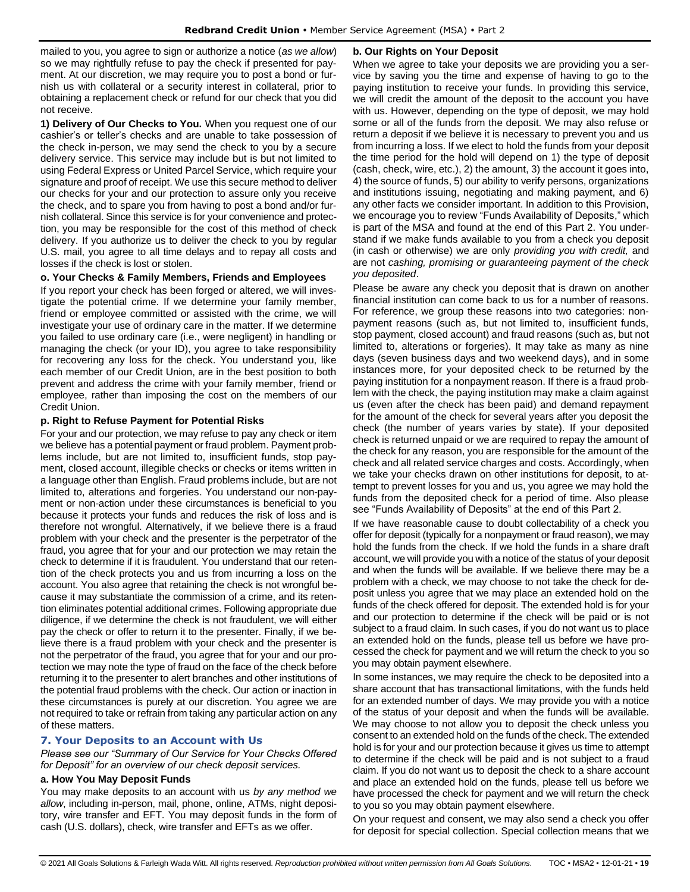mailed to you, you agree to sign or authorize a notice (*as we allow*) so we may rightfully refuse to pay the check if presented for payment. At our discretion, we may require you to post a bond or furnish us with collateral or a security interest in collateral, prior to obtaining a replacement check or refund for our check that you did not receive.

**1) Delivery of Our Checks to You.** When you request one of our cashier's or teller's checks and are unable to take possession of the check in-person, we may send the check to you by a secure delivery service. This service may include but is but not limited to using Federal Express or United Parcel Service, which require your signature and proof of receipt. We use this secure method to deliver our checks for your and our protection to assure only you receive the check, and to spare you from having to post a bond and/or furnish collateral. Since this service is for your convenience and protection, you may be responsible for the cost of this method of check delivery. If you authorize us to deliver the check to you by regular U.S. mail, you agree to all time delays and to repay all costs and losses if the check is lost or stolen.

#### **o. Your Checks & Family Members, Friends and Employees**

If you report your check has been forged or altered, we will investigate the potential crime. If we determine your family member, friend or employee committed or assisted with the crime, we will investigate your use of ordinary care in the matter. If we determine you failed to use ordinary care (i.e., were negligent) in handling or managing the check (or your ID), you agree to take responsibility for recovering any loss for the check. You understand you, like each member of our Credit Union, are in the best position to both prevent and address the crime with your family member, friend or employee, rather than imposing the cost on the members of our Credit Union.

#### **p. Right to Refuse Payment for Potential Risks**

For your and our protection, we may refuse to pay any check or item we believe has a potential payment or fraud problem. Payment problems include, but are not limited to, insufficient funds, stop payment, closed account, illegible checks or checks or items written in a language other than English. Fraud problems include, but are not limited to, alterations and forgeries. You understand our non-payment or non-action under these circumstances is beneficial to you because it protects your funds and reduces the risk of loss and is therefore not wrongful. Alternatively, if we believe there is a fraud problem with your check and the presenter is the perpetrator of the fraud, you agree that for your and our protection we may retain the check to determine if it is fraudulent. You understand that our retention of the check protects you and us from incurring a loss on the account. You also agree that retaining the check is not wrongful because it may substantiate the commission of a crime, and its retention eliminates potential additional crimes. Following appropriate due diligence, if we determine the check is not fraudulent, we will either pay the check or offer to return it to the presenter. Finally, if we believe there is a fraud problem with your check and the presenter is not the perpetrator of the fraud, you agree that for your and our protection we may note the type of fraud on the face of the check before returning it to the presenter to alert branches and other institutions of the potential fraud problems with the check. Our action or inaction in these circumstances is purely at our discretion. You agree we are not required to take or refrain from taking any particular action on any of these matters.

## <span id="page-18-0"></span>**7. Your Deposits to an Account with Us**

*Please see our "Summary of Our Service for Your Checks Offered for Deposit" for an overview of our check deposit services.*

#### **a. How You May Deposit Funds**

You may make deposits to an account with us *by any method we allow*, including in-person, mail, phone, online, ATMs, night depository, wire transfer and EFT. You may deposit funds in the form of cash (U.S. dollars), check, wire transfer and EFTs as we offer.

#### **b. Our Rights on Your Deposit**

When we agree to take your deposits we are providing you a service by saving you the time and expense of having to go to the paying institution to receive your funds. In providing this service, we will credit the amount of the deposit to the account you have with us. However, depending on the type of deposit, we may hold some or all of the funds from the deposit. We may also refuse or return a deposit if we believe it is necessary to prevent you and us from incurring a loss. If we elect to hold the funds from your deposit the time period for the hold will depend on 1) the type of deposit (cash, check, wire, etc.), 2) the amount, 3) the account it goes into, 4) the source of funds, 5) our ability to verify persons, organizations and institutions issuing, negotiating and making payment, and 6) any other facts we consider important. In addition to this Provision, we encourage you to review "Funds Availability of Deposits," which is part of the MSA and found at the end of this Part 2. You understand if we make funds available to you from a check you deposit (in cash or otherwise) we are only *providing you with credit,* and are not *cashing, promising or guaranteeing payment of the check you deposited*.

Please be aware any check you deposit that is drawn on another financial institution can come back to us for a number of reasons. For reference, we group these reasons into two categories: nonpayment reasons (such as, but not limited to, insufficient funds, stop payment, closed account) and fraud reasons (such as, but not limited to, alterations or forgeries). It may take as many as nine days (seven business days and two weekend days), and in some instances more, for your deposited check to be returned by the paying institution for a nonpayment reason. If there is a fraud problem with the check, the paying institution may make a claim against us (even after the check has been paid) and demand repayment for the amount of the check for several years after you deposit the check (the number of years varies by state). If your deposited check is returned unpaid or we are required to repay the amount of the check for any reason, you are responsible for the amount of the check and all related service charges and costs. Accordingly, when we take your checks drawn on other institutions for deposit, to attempt to prevent losses for you and us, you agree we may hold the funds from the deposited check for a period of time. Also please see "Funds Availability of Deposits" at the end of this Part 2.

If we have reasonable cause to doubt collectability of a check you offer for deposit (typically for a nonpayment or fraud reason), we may hold the funds from the check. If we hold the funds in a share draft account, we will provide you with a notice of the status of your deposit and when the funds will be available. If we believe there may be a problem with a check, we may choose to not take the check for deposit unless you agree that we may place an extended hold on the funds of the check offered for deposit. The extended hold is for your and our protection to determine if the check will be paid or is not subject to a fraud claim. In such cases, if you do not want us to place an extended hold on the funds, please tell us before we have processed the check for payment and we will return the check to you so you may obtain payment elsewhere.

In some instances, we may require the check to be deposited into a share account that has transactional limitations, with the funds held for an extended number of days. We may provide you with a notice of the status of your deposit and when the funds will be available. We may choose to not allow you to deposit the check unless you consent to an extended hold on the funds of the check. The extended hold is for your and our protection because it gives us time to attempt to determine if the check will be paid and is not subject to a fraud claim. If you do not want us to deposit the check to a share account and place an extended hold on the funds, please tell us before we have processed the check for payment and we will return the check to you so you may obtain payment elsewhere.

On your request and consent, we may also send a check you offer for deposit for special collection. Special collection means that we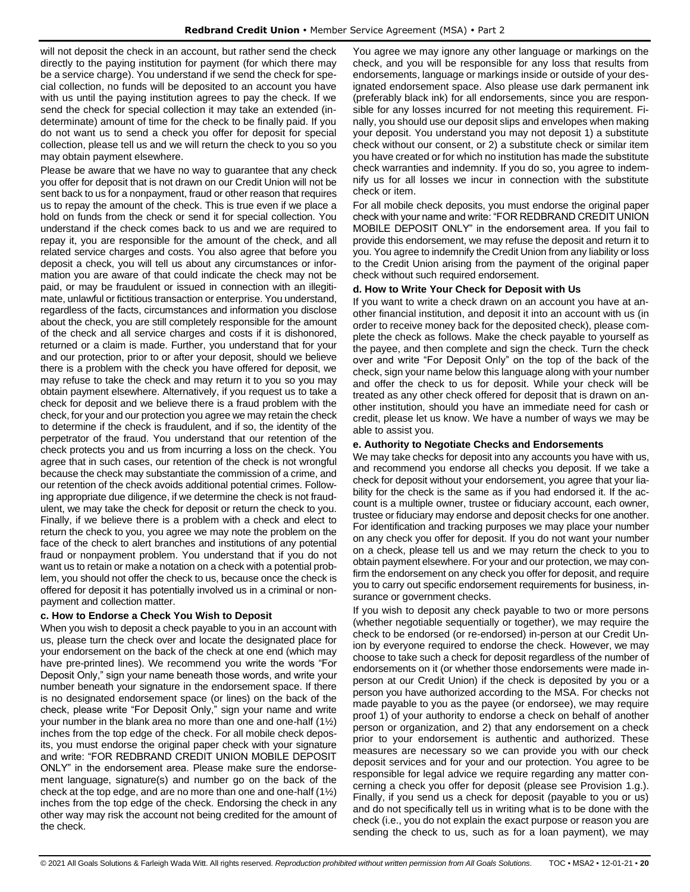will not deposit the check in an account, but rather send the check directly to the paying institution for payment (for which there may be a service charge). You understand if we send the check for special collection, no funds will be deposited to an account you have with us until the paying institution agrees to pay the check. If we send the check for special collection it may take an extended (indeterminate) amount of time for the check to be finally paid. If you do not want us to send a check you offer for deposit for special collection, please tell us and we will return the check to you so you may obtain payment elsewhere.

Please be aware that we have no way to guarantee that any check you offer for deposit that is not drawn on our Credit Union will not be sent back to us for a nonpayment, fraud or other reason that requires us to repay the amount of the check. This is true even if we place a hold on funds from the check or send it for special collection. You understand if the check comes back to us and we are required to repay it, you are responsible for the amount of the check, and all related service charges and costs. You also agree that before you deposit a check, you will tell us about any circumstances or information you are aware of that could indicate the check may not be paid, or may be fraudulent or issued in connection with an illegitimate, unlawful or fictitious transaction or enterprise. You understand, regardless of the facts, circumstances and information you disclose about the check, you are still completely responsible for the amount of the check and all service charges and costs if it is dishonored, returned or a claim is made. Further, you understand that for your and our protection, prior to or after your deposit, should we believe there is a problem with the check you have offered for deposit, we may refuse to take the check and may return it to you so you may obtain payment elsewhere. Alternatively, if you request us to take a check for deposit and we believe there is a fraud problem with the check, for your and our protection you agree we may retain the check to determine if the check is fraudulent, and if so, the identity of the perpetrator of the fraud. You understand that our retention of the check protects you and us from incurring a loss on the check. You agree that in such cases, our retention of the check is not wrongful because the check may substantiate the commission of a crime, and our retention of the check avoids additional potential crimes. Following appropriate due diligence, if we determine the check is not fraudulent, we may take the check for deposit or return the check to you. Finally, if we believe there is a problem with a check and elect to return the check to you, you agree we may note the problem on the face of the check to alert branches and institutions of any potential fraud or nonpayment problem. You understand that if you do not want us to retain or make a notation on a check with a potential problem, you should not offer the check to us, because once the check is offered for deposit it has potentially involved us in a criminal or nonpayment and collection matter.

## **c. How to Endorse a Check You Wish to Deposit**

When you wish to deposit a check payable to you in an account with us, please turn the check over and locate the designated place for your endorsement on the back of the check at one end (which may have pre-printed lines). We recommend you write the words "For Deposit Only," sign your name beneath those words, and write your number beneath your signature in the endorsement space. If there is no designated endorsement space (or lines) on the back of the check, please write "For Deposit Only," sign your name and write your number in the blank area no more than one and one-half (1½) inches from the top edge of the check. For all mobile check deposits, you must endorse the original paper check with your signature and write: "FOR REDBRAND CREDIT UNION MOBILE DEPOSIT ONLY" in the endorsement area. Please make sure the endorsement language, signature(s) and number go on the back of the check at the top edge, and are no more than one and one-half (1½) inches from the top edge of the check. Endorsing the check in any other way may risk the account not being credited for the amount of the check.

You agree we may ignore any other language or markings on the check, and you will be responsible for any loss that results from endorsements, language or markings inside or outside of your designated endorsement space. Also please use dark permanent ink (preferably black ink) for all endorsements, since you are responsible for any losses incurred for not meeting this requirement. Finally, you should use our deposit slips and envelopes when making your deposit. You understand you may not deposit 1) a substitute check without our consent, or 2) a substitute check or similar item you have created or for which no institution has made the substitute check warranties and indemnity. If you do so, you agree to indemnify us for all losses we incur in connection with the substitute check or item.

For all mobile check deposits, you must endorse the original paper check with your name and write: "FOR REDBRAND CREDIT UNION MOBILE DEPOSIT ONLY" in the endorsement area. If you fail to provide this endorsement, we may refuse the deposit and return it to you. You agree to indemnify the Credit Union from any liability or loss to the Credit Union arising from the payment of the original paper check without such required endorsement.

#### **d. How to Write Your Check for Deposit with Us**

If you want to write a check drawn on an account you have at another financial institution, and deposit it into an account with us (in order to receive money back for the deposited check), please complete the check as follows. Make the check payable to yourself as the payee, and then complete and sign the check. Turn the check over and write "For Deposit Only" on the top of the back of the check, sign your name below this language along with your number and offer the check to us for deposit. While your check will be treated as any other check offered for deposit that is drawn on another institution, should you have an immediate need for cash or credit, please let us know. We have a number of ways we may be able to assist you.

#### **e. Authority to Negotiate Checks and Endorsements**

We may take checks for deposit into any accounts you have with us, and recommend you endorse all checks you deposit. If we take a check for deposit without your endorsement, you agree that your liability for the check is the same as if you had endorsed it. If the account is a multiple owner, trustee or fiduciary account, each owner, trustee or fiduciary may endorse and deposit checks for one another. For identification and tracking purposes we may place your number on any check you offer for deposit. If you do not want your number on a check, please tell us and we may return the check to you to obtain payment elsewhere. For your and our protection, we may confirm the endorsement on any check you offer for deposit, and require you to carry out specific endorsement requirements for business, insurance or government checks.

If you wish to deposit any check payable to two or more persons (whether negotiable sequentially or together), we may require the check to be endorsed (or re-endorsed) in-person at our Credit Union by everyone required to endorse the check. However, we may choose to take such a check for deposit regardless of the number of endorsements on it (or whether those endorsements were made inperson at our Credit Union) if the check is deposited by you or a person you have authorized according to the MSA. For checks not made payable to you as the payee (or endorsee), we may require proof 1) of your authority to endorse a check on behalf of another person or organization, and 2) that any endorsement on a check prior to your endorsement is authentic and authorized. These measures are necessary so we can provide you with our check deposit services and for your and our protection. You agree to be responsible for legal advice we require regarding any matter concerning a check you offer for deposit (please see Provision 1.g.). Finally, if you send us a check for deposit (payable to you or us) and do not specifically tell us in writing what is to be done with the check (i.e., you do not explain the exact purpose or reason you are sending the check to us, such as for a loan payment), we may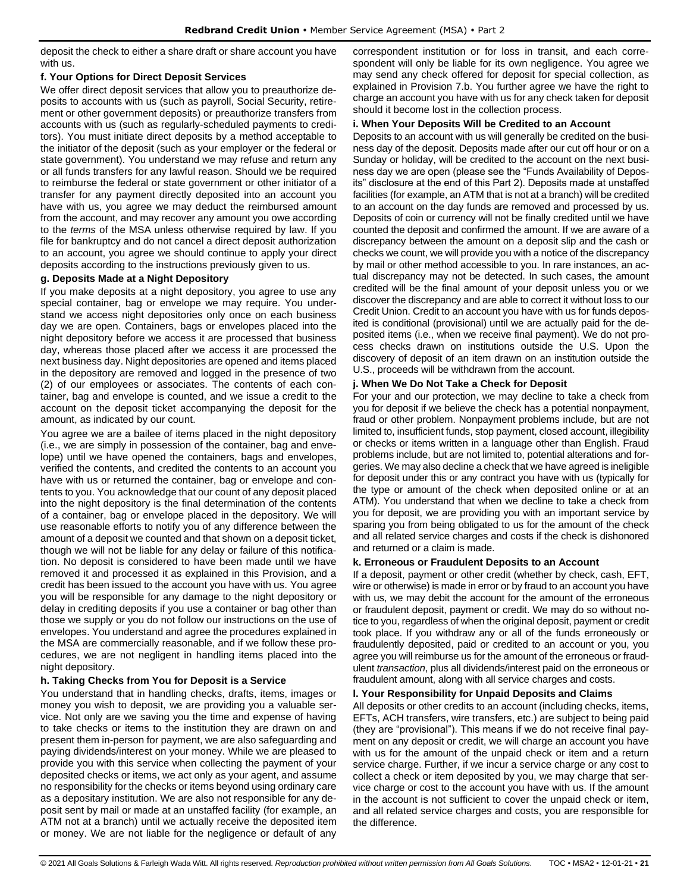deposit the check to either a share draft or share account you have with us.

## **f. Your Options for Direct Deposit Services**

We offer direct deposit services that allow you to preauthorize deposits to accounts with us (such as payroll, Social Security, retirement or other government deposits) or preauthorize transfers from accounts with us (such as regularly-scheduled payments to creditors). You must initiate direct deposits by a method acceptable to the initiator of the deposit (such as your employer or the federal or state government). You understand we may refuse and return any or all funds transfers for any lawful reason. Should we be required to reimburse the federal or state government or other initiator of a transfer for any payment directly deposited into an account you have with us, you agree we may deduct the reimbursed amount from the account, and may recover any amount you owe according to the *terms* of the MSA unless otherwise required by law. If you file for bankruptcy and do not cancel a direct deposit authorization to an account, you agree we should continue to apply your direct deposits according to the instructions previously given to us.

## **g. Deposits Made at a Night Depository**

If you make deposits at a night depository, you agree to use any special container, bag or envelope we may require. You understand we access night depositories only once on each business day we are open. Containers, bags or envelopes placed into the night depository before we access it are processed that business day, whereas those placed after we access it are processed the next business day. Night depositories are opened and items placed in the depository are removed and logged in the presence of two (2) of our employees or associates. The contents of each container, bag and envelope is counted, and we issue a credit to the account on the deposit ticket accompanying the deposit for the amount, as indicated by our count.

You agree we are a bailee of items placed in the night depository (i.e., we are simply in possession of the container, bag and envelope) until we have opened the containers, bags and envelopes, verified the contents, and credited the contents to an account you have with us or returned the container, bag or envelope and contents to you. You acknowledge that our count of any deposit placed into the night depository is the final determination of the contents of a container, bag or envelope placed in the depository. We will use reasonable efforts to notify you of any difference between the amount of a deposit we counted and that shown on a deposit ticket, though we will not be liable for any delay or failure of this notification. No deposit is considered to have been made until we have removed it and processed it as explained in this Provision, and a credit has been issued to the account you have with us. You agree you will be responsible for any damage to the night depository or delay in crediting deposits if you use a container or bag other than those we supply or you do not follow our instructions on the use of envelopes. You understand and agree the procedures explained in the MSA are commercially reasonable, and if we follow these procedures, we are not negligent in handling items placed into the night depository.

## **h. Taking Checks from You for Deposit is a Service**

You understand that in handling checks, drafts, items, images or money you wish to deposit, we are providing you a valuable service. Not only are we saving you the time and expense of having to take checks or items to the institution they are drawn on and present them in-person for payment, we are also safeguarding and paying dividends/interest on your money. While we are pleased to provide you with this service when collecting the payment of your deposited checks or items, we act only as your agent, and assume no responsibility for the checks or items beyond using ordinary care as a depositary institution. We are also not responsible for any deposit sent by mail or made at an unstaffed facility (for example, an ATM not at a branch) until we actually receive the deposited item or money. We are not liable for the negligence or default of any correspondent institution or for loss in transit, and each correspondent will only be liable for its own negligence. You agree we may send any check offered for deposit for special collection, as explained in Provision 7.b. You further agree we have the right to charge an account you have with us for any check taken for deposit should it become lost in the collection process.

## **i. When Your Deposits Will be Credited to an Account**

Deposits to an account with us will generally be credited on the business day of the deposit. Deposits made after our cut off hour or on a Sunday or holiday, will be credited to the account on the next business day we are open (please see the "Funds Availability of Deposits" disclosure at the end of this Part 2). Deposits made at unstaffed facilities (for example, an ATM that is not at a branch) will be credited to an account on the day funds are removed and processed by us. Deposits of coin or currency will not be finally credited until we have counted the deposit and confirmed the amount. If we are aware of a discrepancy between the amount on a deposit slip and the cash or checks we count, we will provide you with a notice of the discrepancy by mail or other method accessible to you. In rare instances, an actual discrepancy may not be detected. In such cases, the amount credited will be the final amount of your deposit unless you or we discover the discrepancy and are able to correct it without loss to our Credit Union. Credit to an account you have with us for funds deposited is conditional (provisional) until we are actually paid for the deposited items (i.e., when we receive final payment). We do not process checks drawn on institutions outside the U.S. Upon the discovery of deposit of an item drawn on an institution outside the U.S., proceeds will be withdrawn from the account.

## **j. When We Do Not Take a Check for Deposit**

For your and our protection, we may decline to take a check from you for deposit if we believe the check has a potential nonpayment, fraud or other problem. Nonpayment problems include, but are not limited to, insufficient funds, stop payment, closed account, illegibility or checks or items written in a language other than English. Fraud problems include, but are not limited to, potential alterations and forgeries. We may also decline a check that we have agreed is ineligible for deposit under this or any contract you have with us (typically for the type or amount of the check when deposited online or at an ATM). You understand that when we decline to take a check from you for deposit, we are providing you with an important service by sparing you from being obligated to us for the amount of the check and all related service charges and costs if the check is dishonored and returned or a claim is made.

## **k. Erroneous or Fraudulent Deposits to an Account**

If a deposit, payment or other credit (whether by check, cash, EFT, wire or otherwise) is made in error or by fraud to an account you have with us, we may debit the account for the amount of the erroneous or fraudulent deposit, payment or credit. We may do so without notice to you, regardless of when the original deposit, payment or credit took place. If you withdraw any or all of the funds erroneously or fraudulently deposited, paid or credited to an account or you, you agree you will reimburse us for the amount of the erroneous or fraudulent *transaction*, plus all dividends/interest paid on the erroneous or fraudulent amount, along with all service charges and costs.

## **l. Your Responsibility for Unpaid Deposits and Claims**

All deposits or other credits to an account (including checks, items, EFTs, ACH transfers, wire transfers, etc.) are subject to being paid (they are "provisional"). This means if we do not receive final payment on any deposit or credit, we will charge an account you have with us for the amount of the unpaid check or item and a return service charge. Further, if we incur a service charge or any cost to collect a check or item deposited by you, we may charge that service charge or cost to the account you have with us. If the amount in the account is not sufficient to cover the unpaid check or item, and all related service charges and costs, you are responsible for the difference.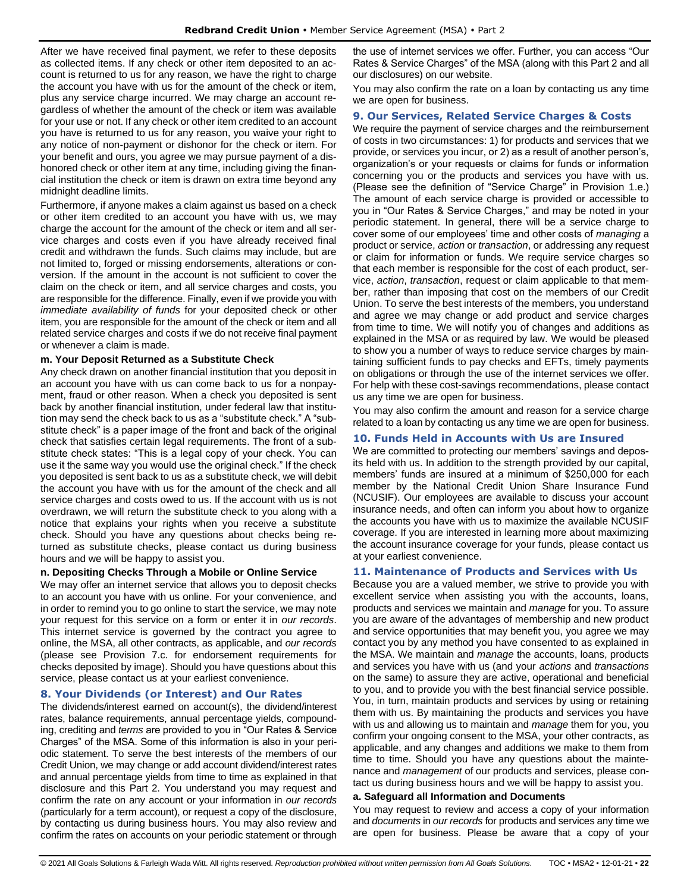After we have received final payment, we refer to these deposits as collected items. If any check or other item deposited to an account is returned to us for any reason, we have the right to charge the account you have with us for the amount of the check or item, plus any service charge incurred. We may charge an account regardless of whether the amount of the check or item was available for your use or not. If any check or other item credited to an account you have is returned to us for any reason, you waive your right to any notice of non-payment or dishonor for the check or item. For your benefit and ours, you agree we may pursue payment of a dishonored check or other item at any time, including giving the financial institution the check or item is drawn on extra time beyond any midnight deadline limits.

Furthermore, if anyone makes a claim against us based on a check or other item credited to an account you have with us, we may charge the account for the amount of the check or item and all service charges and costs even if you have already received final credit and withdrawn the funds. Such claims may include, but are not limited to, forged or missing endorsements, alterations or conversion. If the amount in the account is not sufficient to cover the claim on the check or item, and all service charges and costs, you are responsible for the difference. Finally, even if we provide you with *immediate availability of funds* for your deposited check or other item, you are responsible for the amount of the check or item and all related service charges and costs if we do not receive final payment or whenever a claim is made.

## **m. Your Deposit Returned as a Substitute Check**

Any check drawn on another financial institution that you deposit in an account you have with us can come back to us for a nonpayment, fraud or other reason. When a check you deposited is sent back by another financial institution, under federal law that institution may send the check back to us as a "substitute check." A "substitute check" is a paper image of the front and back of the original check that satisfies certain legal requirements. The front of a substitute check states: "This is a legal copy of your check. You can use it the same way you would use the original check." If the check you deposited is sent back to us as a substitute check, we will debit the account you have with us for the amount of the check and all service charges and costs owed to us. If the account with us is not overdrawn, we will return the substitute check to you along with a notice that explains your rights when you receive a substitute check. Should you have any questions about checks being returned as substitute checks, please contact us during business hours and we will be happy to assist you.

## **n. Depositing Checks Through a Mobile or Online Service**

We may offer an internet service that allows you to deposit checks to an account you have with us online. For your convenience, and in order to remind you to go online to start the service, we may note your request for this service on a form or enter it in *our records*. This internet service is governed by the contract you agree to online, the MSA, all other contracts, as applicable, and *our records* (please see Provision 7.c. for endorsement requirements for checks deposited by image). Should you have questions about this service, please contact us at your earliest convenience.

## <span id="page-21-0"></span>**8. Your Dividends (or Interest) and Our Rates**

The dividends/interest earned on account(s), the dividend/interest rates, balance requirements, annual percentage yields, compounding, crediting and *terms* are provided to you in "Our Rates & Service Charges" of the MSA. Some of this information is also in your periodic statement. To serve the best interests of the members of our Credit Union, we may change or add account dividend/interest rates and annual percentage yields from time to time as explained in that disclosure and this Part 2. You understand you may request and confirm the rate on any account or your information in *our records* (particularly for a term account), or request a copy of the disclosure, by contacting us during business hours. You may also review and confirm the rates on accounts on your periodic statement or through the use of internet services we offer. Further, you can access "Our Rates & Service Charges" of the MSA (along with this Part 2 and all our disclosures) on our website.

You may also confirm the rate on a loan by contacting us any time we are open for business.

#### <span id="page-21-1"></span>**9. Our Services, Related Service Charges & Costs**

We require the payment of service charges and the reimbursement of costs in two circumstances: 1) for products and services that we provide, or services you incur, or 2) as a result of another person's, organization's or your requests or claims for funds or information concerning you or the products and services you have with us. (Please see the definition of "Service Charge" in Provision 1.e.) The amount of each service charge is provided or accessible to you in "Our Rates & Service Charges," and may be noted in your periodic statement. In general, there will be a service charge to cover some of our employees' time and other costs of *managing* a product or service, *action* or *transaction*, or addressing any request or claim for information or funds. We require service charges so that each member is responsible for the cost of each product, service, *action*, *transaction*, request or claim applicable to that member, rather than imposing that cost on the members of our Credit Union. To serve the best interests of the members, you understand and agree we may change or add product and service charges from time to time. We will notify you of changes and additions as explained in the MSA or as required by law. We would be pleased to show you a number of ways to reduce service charges by maintaining sufficient funds to pay checks and EFTs, timely payments on obligations or through the use of the internet services we offer. For help with these cost-savings recommendations, please contact us any time we are open for business.

You may also confirm the amount and reason for a service charge related to a loan by contacting us any time we are open for business.

## <span id="page-21-2"></span>**10. Funds Held in Accounts with Us are Insured**

We are committed to protecting our members' savings and deposits held with us. In addition to the strength provided by our capital, members' funds are insured at a minimum of \$250,000 for each member by the National Credit Union Share Insurance Fund (NCUSIF). Our employees are available to discuss your account insurance needs, and often can inform you about how to organize the accounts you have with us to maximize the available NCUSIF coverage. If you are interested in learning more about maximizing the account insurance coverage for your funds, please contact us at your earliest convenience.

## <span id="page-21-3"></span>**11. Maintenance of Products and Services with Us**

Because you are a valued member, we strive to provide you with excellent service when assisting you with the accounts, loans, products and services we maintain and *manage* for you. To assure you are aware of the advantages of membership and new product and service opportunities that may benefit you, you agree we may contact you by any method you have consented to as explained in the MSA. We maintain and *manage* the accounts, loans, products and services you have with us (and your *actions* and *transactions* on the same) to assure they are active, operational and beneficial to you, and to provide you with the best financial service possible. You, in turn, maintain products and services by using or retaining them with us. By maintaining the products and services you have with us and allowing us to maintain and *manage* them for you, you confirm your ongoing consent to the MSA, your other contracts, as applicable, and any changes and additions we make to them from time to time. Should you have any questions about the maintenance and *management* of our products and services, please contact us during business hours and we will be happy to assist you.

#### **a. Safeguard all Information and Documents**

You may request to review and access a copy of your information and *documents* in *our records* for products and services any time we are open for business. Please be aware that a copy of your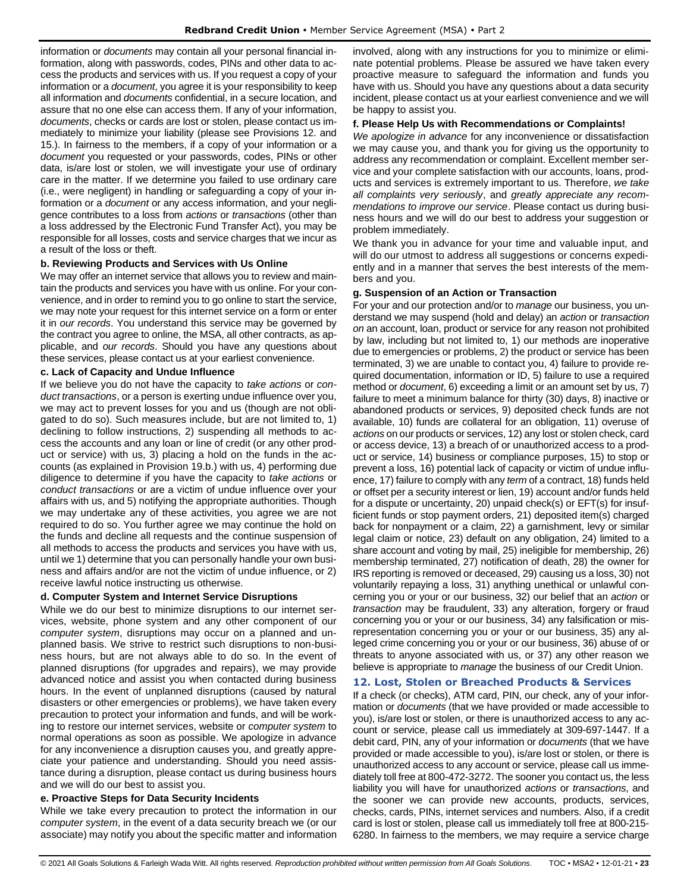information or *documents* may contain all your personal financial information, along with passwords, codes, PINs and other data to access the products and services with us. If you request a copy of your information or a *document*, you agree it is your responsibility to keep all information and *documents* confidential, in a secure location, and assure that no one else can access them. If any of your information, *documents*, checks or cards are lost or stolen, please contact us immediately to minimize your liability (please see Provisions 12. and 15.). In fairness to the members, if a copy of your information or a *document* you requested or your passwords, codes, PINs or other data, is/are lost or stolen, we will investigate your use of ordinary care in the matter. If we determine you failed to use ordinary care (i.e., were negligent) in handling or safeguarding a copy of your information or a *document* or any access information, and your negligence contributes to a loss from *actions* or *transactions* (other than a loss addressed by the Electronic Fund Transfer Act), you may be responsible for all losses, costs and service charges that we incur as a result of the loss or theft.

#### **b. Reviewing Products and Services with Us Online**

We may offer an internet service that allows you to review and maintain the products and services you have with us online. For your convenience, and in order to remind you to go online to start the service, we may note your request for this internet service on a form or enter it in *our records*. You understand this service may be governed by the contract you agree to online, the MSA, all other contracts, as applicable, and *our records*. Should you have any questions about these services, please contact us at your earliest convenience.

#### **c. Lack of Capacity and Undue Influence**

If we believe you do not have the capacity to *take actions* or *conduct transactions*, or a person is exerting undue influence over you, we may act to prevent losses for you and us (though are not obligated to do so). Such measures include, but are not limited to, 1) declining to follow instructions, 2) suspending all methods to access the accounts and any loan or line of credit (or any other product or service) with us, 3) placing a hold on the funds in the accounts (as explained in Provision 19.b.) with us, 4) performing due diligence to determine if you have the capacity to *take actions* or *conduct transactions* or are a victim of undue influence over your affairs with us, and 5) notifying the appropriate authorities. Though we may undertake any of these activities, you agree we are not required to do so. You further agree we may continue the hold on the funds and decline all requests and the continue suspension of all methods to access the products and services you have with us, until we 1) determine that you can personally handle your own business and affairs and/or are not the victim of undue influence, or 2) receive lawful notice instructing us otherwise.

## **d. Computer System and Internet Service Disruptions**

While we do our best to minimize disruptions to our internet services, website, phone system and any other component of our *computer system*, disruptions may occur on a planned and unplanned basis. We strive to restrict such disruptions to non-business hours, but are not always able to do so. In the event of planned disruptions (for upgrades and repairs), we may provide advanced notice and assist you when contacted during business hours. In the event of unplanned disruptions (caused by natural disasters or other emergencies or problems), we have taken every precaution to protect your information and funds, and will be working to restore our internet services, website or *computer system* to normal operations as soon as possible. We apologize in advance for any inconvenience a disruption causes you, and greatly appreciate your patience and understanding. Should you need assistance during a disruption, please contact us during business hours and we will do our best to assist you.

## **e. Proactive Steps for Data Security Incidents**

While we take every precaution to protect the information in our *computer system*, in the event of a data security breach we (or our associate) may notify you about the specific matter and information involved, along with any instructions for you to minimize or eliminate potential problems. Please be assured we have taken every proactive measure to safeguard the information and funds you have with us. Should you have any questions about a data security incident, please contact us at your earliest convenience and we will be happy to assist you.

#### **f. Please Help Us with Recommendations or Complaints!**

*We apologize in advance* for any inconvenience or dissatisfaction we may cause you, and thank you for giving us the opportunity to address any recommendation or complaint. Excellent member service and your complete satisfaction with our accounts, loans, products and services is extremely important to us. Therefore, *we take all complaints very seriously*, and *greatly appreciate any recommendations to improve our service*. Please contact us during business hours and we will do our best to address your suggestion or problem immediately.

We thank you in advance for your time and valuable input, and will do our utmost to address all suggestions or concerns expediently and in a manner that serves the best interests of the members and you.

#### **g. Suspension of an Action or Transaction**

For your and our protection and/or to *manage* our business, you understand we may suspend (hold and delay) an *action* or *transaction on* an account, loan, product or service for any reason not prohibited by law, including but not limited to, 1) our methods are inoperative due to emergencies or problems, 2) the product or service has been terminated, 3) we are unable to contact you, 4) failure to provide required documentation, information or ID, 5) failure to use a required method or *document*, 6) exceeding a limit or an amount set by us, 7) failure to meet a minimum balance for thirty (30) days, 8) inactive or abandoned products or services, 9) deposited check funds are not available, 10) funds are collateral for an obligation, 11) overuse of *actions* on our products or services, 12) any lost or stolen check, card or access device, 13) a breach of or unauthorized access to a product or service, 14) business or compliance purposes, 15) to stop or prevent a loss, 16) potential lack of capacity or victim of undue influence, 17) failure to comply with any *term* of a contract, 18) funds held or offset per a security interest or lien, 19) account and/or funds held for a dispute or uncertainty, 20) unpaid check(s) or EFT(s) for insufficient funds or stop payment orders, 21) deposited item(s) charged back for nonpayment or a claim, 22) a garnishment, levy or similar legal claim or notice, 23) default on any obligation, 24) limited to a share account and voting by mail, 25) ineligible for membership, 26) membership terminated, 27) notification of death, 28) the owner for IRS reporting is removed or deceased, 29) causing us a loss, 30) not voluntarily repaying a loss, 31) anything unethical or unlawful concerning you or your or our business, 32) our belief that an *action* or *transaction* may be fraudulent, 33) any alteration, forgery or fraud concerning you or your or our business, 34) any falsification or misrepresentation concerning you or your or our business, 35) any alleged crime concerning you or your or our business, 36) abuse of or threats to anyone associated with us, or 37) any other reason we believe is appropriate to *manage* the business of our Credit Union.

## <span id="page-22-0"></span>**12. Lost, Stolen or Breached Products & Services**

If a check (or checks), ATM card, PIN, our check, any of your information or *documents* (that we have provided or made accessible to you), is/are lost or stolen, or there is unauthorized access to any account or service, please call us immediately at 309-697-1447. If a debit card, PIN, any of your information or *documents* (that we have provided or made accessible to you), is/are lost or stolen, or there is unauthorized access to any account or service, please call us immediately toll free at 800-472-3272. The sooner you contact us, the less liability you will have for unauthorized *actions* or *transactions*, and the sooner we can provide new accounts, products, services, checks, cards, PINs, internet services and numbers. Also, if a credit card is lost or stolen, please call us immediately toll free at 800-215- 6280. In fairness to the members, we may require a service charge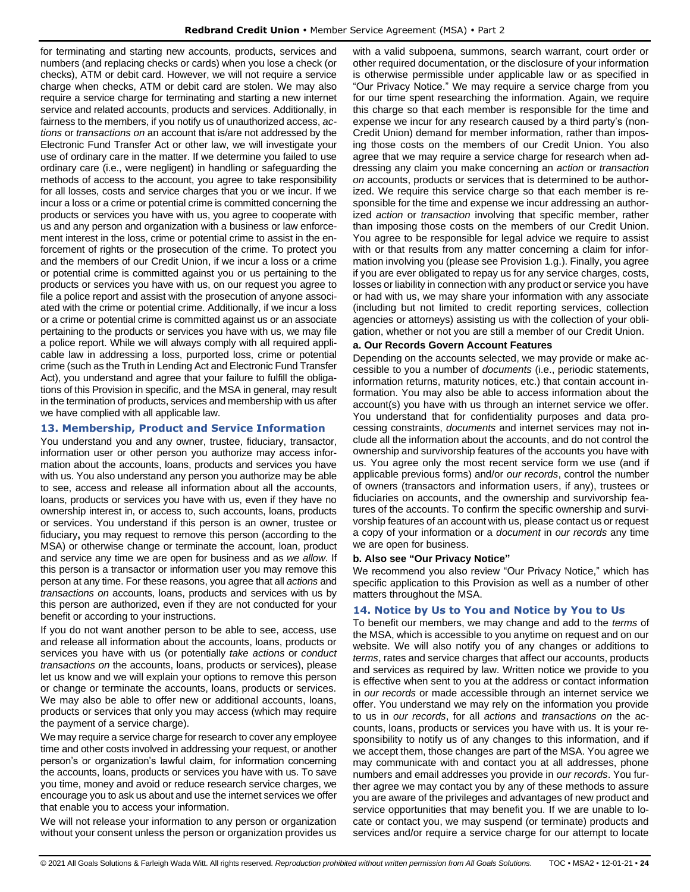for terminating and starting new accounts, products, services and numbers (and replacing checks or cards) when you lose a check (or checks), ATM or debit card. However, we will not require a service charge when checks, ATM or debit card are stolen. We may also require a service charge for terminating and starting a new internet service and related accounts, products and services. Additionally, in fairness to the members, if you notify us of unauthorized access, *actions* or *transactions on* an account that is/are not addressed by the Electronic Fund Transfer Act or other law, we will investigate your use of ordinary care in the matter. If we determine you failed to use ordinary care (i.e., were negligent) in handling or safeguarding the methods of access to the account, you agree to take responsibility for all losses, costs and service charges that you or we incur. If we incur a loss or a crime or potential crime is committed concerning the products or services you have with us, you agree to cooperate with us and any person and organization with a business or law enforcement interest in the loss, crime or potential crime to assist in the enforcement of rights or the prosecution of the crime. To protect you and the members of our Credit Union, if we incur a loss or a crime or potential crime is committed against you or us pertaining to the products or services you have with us, on our request you agree to file a police report and assist with the prosecution of anyone associated with the crime or potential crime. Additionally, if we incur a loss or a crime or potential crime is committed against us or an associate pertaining to the products or services you have with us, we may file a police report. While we will always comply with all required applicable law in addressing a loss, purported loss, crime or potential crime (such as the Truth in Lending Act and Electronic Fund Transfer Act), you understand and agree that your failure to fulfill the obligations of this Provision in specific, and the MSA in general, may result in the termination of products, services and membership with us after we have complied with all applicable law.

## <span id="page-23-0"></span>**13. Membership, Product and Service Information**

You understand you and any owner, trustee, fiduciary, transactor, information user or other person you authorize may access information about the accounts, loans, products and services you have with us. You also understand any person you authorize may be able to see, access and release all information about all the accounts, loans, products or services you have with us, even if they have no ownership interest in, or access to, such accounts, loans, products or services. You understand if this person is an owner, trustee or fiduciary**,** you may request to remove this person (according to the MSA) or otherwise change or terminate the account, loan, product and service any time we are open for business and as *we allow*. If this person is a transactor or information user you may remove this person at any time. For these reasons, you agree that all *actions* and *transactions on* accounts, loans, products and services with us by this person are authorized, even if they are not conducted for your benefit or according to your instructions.

If you do not want another person to be able to see, access, use and release all information about the accounts, loans, products or services you have with us (or potentially *take actions* or *conduct transactions on* the accounts, loans, products or services), please let us know and we will explain your options to remove this person or change or terminate the accounts, loans, products or services. We may also be able to offer new or additional accounts, loans, products or services that only you may access (which may require the payment of a service charge).

We may require a service charge for research to cover any employee time and other costs involved in addressing your request, or another person's or organization's lawful claim, for information concerning the accounts, loans, products or services you have with us. To save you time, money and avoid or reduce research service charges, we encourage you to ask us about and use the internet services we offer that enable you to access your information.

We will not release your information to any person or organization without your consent unless the person or organization provides us

with a valid subpoena, summons, search warrant, court order or other required documentation, or the disclosure of your information is otherwise permissible under applicable law or as specified in "Our Privacy Notice." We may require a service charge from you for our time spent researching the information. Again, we require this charge so that each member is responsible for the time and expense we incur for any research caused by a third party's (non-Credit Union) demand for member information, rather than imposing those costs on the members of our Credit Union. You also agree that we may require a service charge for research when addressing any claim you make concerning an *action* or *transaction on* accounts, products or services that is determined to be authorized. We require this service charge so that each member is responsible for the time and expense we incur addressing an authorized *action* or *transaction* involving that specific member, rather than imposing those costs on the members of our Credit Union. You agree to be responsible for legal advice we require to assist with or that results from any matter concerning a claim for information involving you (please see Provision 1.g.). Finally, you agree if you are ever obligated to repay us for any service charges, costs, losses or liability in connection with any product or service you have or had with us, we may share your information with any associate (including but not limited to credit reporting services, collection agencies or attorneys) assisting us with the collection of your obligation, whether or not you are still a member of our Credit Union.

#### **a. Our Records Govern Account Features**

Depending on the accounts selected, we may provide or make accessible to you a number of *documents* (i.e., periodic statements, information returns, maturity notices, etc.) that contain account information. You may also be able to access information about the account(s) you have with us through an internet service we offer. You understand that for confidentiality purposes and data processing constraints, *documents* and internet services may not include all the information about the accounts, and do not control the ownership and survivorship features of the accounts you have with us. You agree only the most recent service form we use (and if applicable previous forms) and/or *our records*, control the number of owners (transactors and information users, if any), trustees or fiduciaries on accounts, and the ownership and survivorship features of the accounts. To confirm the specific ownership and survivorship features of an account with us, please contact us or request a copy of your information or a *document* in *our records* any time we are open for business.

## **b. Also see "Our Privacy Notice"**

We recommend you also review "Our Privacy Notice," which has specific application to this Provision as well as a number of other matters throughout the MSA.

## <span id="page-23-1"></span>**14. Notice by Us to You and Notice by You to Us**

To benefit our members, we may change and add to the *terms* of the MSA, which is accessible to you anytime on request and on our website. We will also notify you of any changes or additions to *terms*, rates and service charges that affect our accounts, products and services as required by law. Written notice we provide to you is effective when sent to you at the address or contact information in *our records* or made accessible through an internet service we offer. You understand we may rely on the information you provide to us in *our records*, for all *actions* and *transactions on* the accounts, loans, products or services you have with us. It is your responsibility to notify us of any changes to this information, and if we accept them, those changes are part of the MSA. You agree we may communicate with and contact you at all addresses, phone numbers and email addresses you provide in *our records*. You further agree we may contact you by any of these methods to assure you are aware of the privileges and advantages of new product and service opportunities that may benefit you. If we are unable to locate or contact you, we may suspend (or terminate) products and services and/or require a service charge for our attempt to locate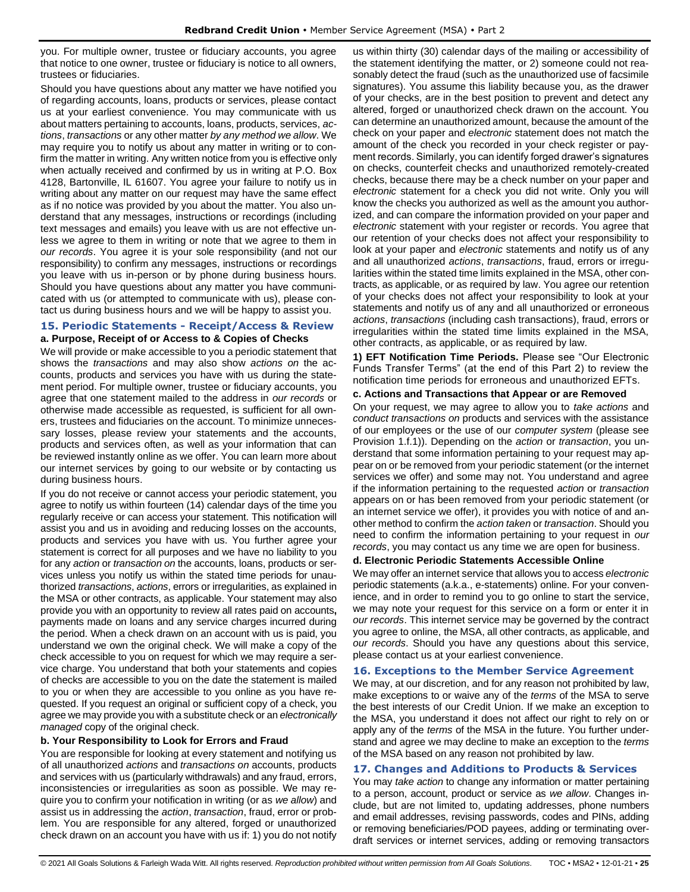you. For multiple owner, trustee or fiduciary accounts, you agree that notice to one owner, trustee or fiduciary is notice to all owners, trustees or fiduciaries.

Should you have questions about any matter we have notified you of regarding accounts, loans, products or services, please contact us at your earliest convenience. You may communicate with us about matters pertaining to accounts, loans, products, services, *actions*, *transactions* or any other matter *by any method we allow*. We may require you to notify us about any matter in writing or to confirm the matter in writing. Any written notice from you is effective only when actually received and confirmed by us in writing at P.O. Box 4128, Bartonville, IL 61607. You agree your failure to notify us in writing about any matter on our request may have the same effect as if no notice was provided by you about the matter. You also understand that any messages, instructions or recordings (including text messages and emails) you leave with us are not effective unless we agree to them in writing or note that we agree to them in *our records*. You agree it is your sole responsibility (and not our responsibility) to confirm any messages, instructions or recordings you leave with us in-person or by phone during business hours. Should you have questions about any matter you have communicated with us (or attempted to communicate with us), please contact us during business hours and we will be happy to assist you.

## <span id="page-24-0"></span>**15. Periodic Statements - Receipt/Access & Review a. Purpose, Receipt of or Access to & Copies of Checks**

We will provide or make accessible to you a periodic statement that shows the *transactions* and may also show *actions on* the accounts, products and services you have with us during the statement period. For multiple owner, trustee or fiduciary accounts, you agree that one statement mailed to the address in *our records* or otherwise made accessible as requested, is sufficient for all owners, trustees and fiduciaries on the account. To minimize unnecessary losses, please review your statements and the accounts, products and services often, as well as your information that can be reviewed instantly online as we offer. You can learn more about our internet services by going to our website or by contacting us during business hours.

If you do not receive or cannot access your periodic statement, you agree to notify us within fourteen (14) calendar days of the time you regularly receive or can access your statement. This notification will assist you and us in avoiding and reducing losses on the accounts, products and services you have with us. You further agree your statement is correct for all purposes and we have no liability to you for any *action* or *transaction on* the accounts, loans, products or services unless you notify us within the stated time periods for unauthorized *transactions*, *actions*, errors or irregularities, as explained in the MSA or other contracts, as applicable. Your statement may also provide you with an opportunity to review all rates paid on accounts**,** payments made on loans and any service charges incurred during the period. When a check drawn on an account with us is paid, you understand we own the original check. We will make a copy of the check accessible to you on request for which we may require a service charge. You understand that both your statements and copies of checks are accessible to you on the date the statement is mailed to you or when they are accessible to you online as you have requested. If you request an original or sufficient copy of a check, you agree we may provide you with a substitute check or an *electronically managed* copy of the original check.

## **b. Your Responsibility to Look for Errors and Fraud**

You are responsible for looking at every statement and notifying us of all unauthorized *actions* and *transactions on* accounts, products and services with us (particularly withdrawals) and any fraud, errors, inconsistencies or irregularities as soon as possible. We may require you to confirm your notification in writing (or as *we allow*) and assist us in addressing the *action*, *transaction*, fraud, error or problem. You are responsible for any altered, forged or unauthorized check drawn on an account you have with us if: 1) you do not notify us within thirty (30) calendar days of the mailing or accessibility of the statement identifying the matter, or 2) someone could not reasonably detect the fraud (such as the unauthorized use of facsimile signatures). You assume this liability because you, as the drawer of your checks, are in the best position to prevent and detect any altered, forged or unauthorized check drawn on the account. You can determine an unauthorized amount, because the amount of the check on your paper and *electronic* statement does not match the amount of the check you recorded in your check register or payment records. Similarly, you can identify forged drawer's signatures on checks, counterfeit checks and unauthorized remotely-created checks, because there may be a check number on your paper and *electronic* statement for a check you did not write. Only you will know the checks you authorized as well as the amount you authorized, and can compare the information provided on your paper and *electronic* statement with your register or records. You agree that our retention of your checks does not affect your responsibility to look at your paper and *electronic* statements and notify us of any and all unauthorized *actions*, *transactions*, fraud, errors or irregularities within the stated time limits explained in the MSA, other contracts, as applicable, or as required by law. You agree our retention of your checks does not affect your responsibility to look at your statements and notify us of any and all unauthorized or erroneous *actions*, *transactions* (including cash transactions), fraud, errors or irregularities within the stated time limits explained in the MSA, other contracts, as applicable, or as required by law.

**1) EFT Notification Time Periods.** Please see "Our Electronic Funds Transfer Terms" (at the end of this Part 2) to review the notification time periods for erroneous and unauthorized EFTs.

#### **c. Actions and Transactions that Appear or are Removed**

On your request, we may agree to allow you to *take actions* and *conduct transactions on* products and services with the assistance of our employees or the use of our *computer system* (please see Provision 1.f.1)). Depending on the *action* or *transaction*, you understand that some information pertaining to your request may appear on or be removed from your periodic statement (or the internet services we offer) and some may not. You understand and agree if the information pertaining to the requested *action* or *transaction* appears on or has been removed from your periodic statement (or an internet service we offer), it provides you with notice of and another method to confirm the *action taken* or *transaction*. Should you need to confirm the information pertaining to your request in *our records*, you may contact us any time we are open for business.

#### **d. Electronic Periodic Statements Accessible Online**

We may offer an internet service that allows you to access *electronic* periodic statements (a.k.a., e-statements) online. For your convenience, and in order to remind you to go online to start the service, we may note your request for this service on a form or enter it in *our records*. This internet service may be governed by the contract you agree to online, the MSA, all other contracts, as applicable, and *our records*. Should you have any questions about this service, please contact us at your earliest convenience.

#### <span id="page-24-1"></span>**16. Exceptions to the Member Service Agreement**

We may, at our discretion, and for any reason not prohibited by law, make exceptions to or waive any of the *terms* of the MSA to serve the best interests of our Credit Union. If we make an exception to the MSA, you understand it does not affect our right to rely on or apply any of the *terms* of the MSA in the future. You further understand and agree we may decline to make an exception to the *terms* of the MSA based on any reason not prohibited by law.

## <span id="page-24-2"></span>**17. Changes and Additions to Products & Services**

You may *take action* to change any information or matter pertaining to a person, account, product or service as *we allow*. Changes include, but are not limited to, updating addresses, phone numbers and email addresses, revising passwords, codes and PINs, adding or removing beneficiaries/POD payees, adding or terminating overdraft services or internet services, adding or removing transactors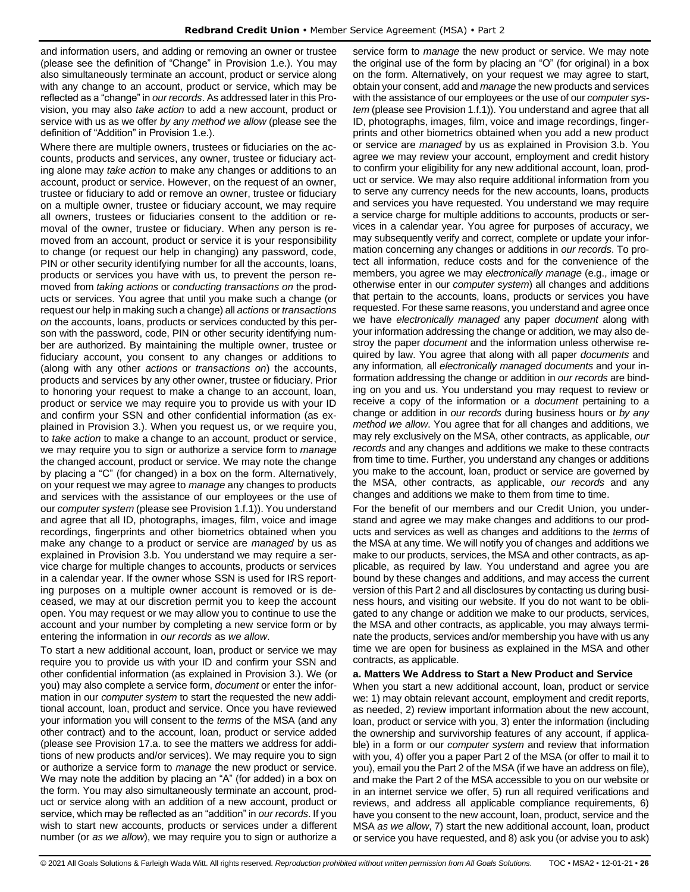and information users, and adding or removing an owner or trustee (please see the definition of "Change" in Provision 1.e.). You may also simultaneously terminate an account, product or service along with any change to an account, product or service, which may be reflected as a "change" in *our records*. As addressed later in this Provision, you may also *take action* to add a new account, product or service with us as we offer *by any method we allow* (please see the definition of "Addition" in Provision 1.e.).

Where there are multiple owners, trustees or fiduciaries on the accounts, products and services, any owner, trustee or fiduciary acting alone may *take action* to make any changes or additions to an account, product or service. However, on the request of an owner, trustee or fiduciary to add or remove an owner, trustee or fiduciary on a multiple owner, trustee or fiduciary account, we may require all owners, trustees or fiduciaries consent to the addition or removal of the owner, trustee or fiduciary. When any person is removed from an account, product or service it is your responsibility to change (or request our help in changing) any password, code, PIN or other security identifying number for all the accounts, loans, products or services you have with us, to prevent the person removed from *taking actions* or *conducting transactions on* the products or services. You agree that until you make such a change (or request our help in making such a change) all *actions* or *transactions on* the accounts, loans, products or services conducted by this person with the password, code, PIN or other security identifying number are authorized. By maintaining the multiple owner, trustee or fiduciary account, you consent to any changes or additions to (along with any other *actions* or *transactions on*) the accounts, products and services by any other owner, trustee or fiduciary. Prior to honoring your request to make a change to an account, loan, product or service we may require you to provide us with your ID and confirm your SSN and other confidential information (as explained in Provision 3.). When you request us, or we require you, to *take action* to make a change to an account, product or service, we may require you to sign or authorize a service form to *manage* the changed account, product or service. We may note the change by placing a "C" (for changed) in a box on the form. Alternatively, on your request we may agree to *manage* any changes to products and services with the assistance of our employees or the use of our *computer system* (please see Provision 1.f.1)). You understand and agree that all ID, photographs, images, film, voice and image recordings, fingerprints and other biometrics obtained when you make any change to a product or service are *managed* by us as explained in Provision 3.b. You understand we may require a service charge for multiple changes to accounts, products or services in a calendar year. If the owner whose SSN is used for IRS reporting purposes on a multiple owner account is removed or is deceased, we may at our discretion permit you to keep the account open. You may request or we may allow you to continue to use the account and your number by completing a new service form or by entering the information in *our records* as *we allow*.

To start a new additional account, loan, product or service we may require you to provide us with your ID and confirm your SSN and other confidential information (as explained in Provision 3.). We (or you) may also complete a service form, *document* or enter the information in our *computer system* to start the requested the new additional account, loan, product and service. Once you have reviewed your information you will consent to the *terms* of the MSA (and any other contract) and to the account, loan, product or service added (please see Provision 17.a. to see the matters we address for additions of new products and/or services). We may require you to sign or authorize a service form to *manage* the new product or service. We may note the addition by placing an "A" (for added) in a box on the form. You may also simultaneously terminate an account, product or service along with an addition of a new account, product or service, which may be reflected as an "addition" in *our records*. If you wish to start new accounts, products or services under a different number (or *as we allow*), we may require you to sign or authorize a service form to *manage* the new product or service. We may note the original use of the form by placing an "O" (for original) in a box on the form. Alternatively, on your request we may agree to start, obtain your consent, add and *manage* the new products and services with the assistance of our employees or the use of our *computer system* (please see Provision 1.f.1)). You understand and agree that all ID, photographs, images, film, voice and image recordings, fingerprints and other biometrics obtained when you add a new product or service are *managed* by us as explained in Provision 3.b. You agree we may review your account, employment and credit history to confirm your eligibility for any new additional account, loan, product or service. We may also require additional information from you to serve any currency needs for the new accounts, loans, products and services you have requested. You understand we may require a service charge for multiple additions to accounts, products or services in a calendar year. You agree for purposes of accuracy, we may subsequently verify and correct, complete or update your information concerning any changes or additions in *our records*. To protect all information, reduce costs and for the convenience of the members, you agree we may *electronically manage* (e.g., image or otherwise enter in our *computer system*) all changes and additions that pertain to the accounts, loans, products or services you have requested. For these same reasons, you understand and agree once we have *electronically managed* any paper *document* along with your information addressing the change or addition*,* we may also destroy the paper *document* and the information unless otherwise required by law. You agree that along with all paper *documents* and any information*,* all *electronically managed documents* and your information addressing the change or addition in *our records* are binding on you and us. You understand you may request to review or receive a copy of the information or a *document* pertaining to a change or addition in *our records* during business hours or *by any method we allow*. You agree that for all changes and additions, we may rely exclusively on the MSA, other contracts, as applicable, *our records* and any changes and additions we make to these contracts from time to time. Further, you understand any changes or additions you make to the account, loan, product or service are governed by the MSA, other contracts, as applicable, *our records* and any changes and additions we make to them from time to time.

For the benefit of our members and our Credit Union, you understand and agree we may make changes and additions to our products and services as well as changes and additions to the *terms* of the MSA at any time. We will notify you of changes and additions we make to our products, services, the MSA and other contracts, as applicable, as required by law. You understand and agree you are bound by these changes and additions, and may access the current version of this Part 2 and all disclosures by contacting us during business hours, and visiting our website. If you do not want to be obligated to any change or addition we make to our products, services, the MSA and other contracts, as applicable, you may always terminate the products, services and/or membership you have with us any time we are open for business as explained in the MSA and other contracts, as applicable.

#### **a. Matters We Address to Start a New Product and Service**

When you start a new additional account, loan, product or service we: 1) may obtain relevant account, employment and credit reports, as needed, 2) review important information about the new account, loan, product or service with you, 3) enter the information (including the ownership and survivorship features of any account, if applicable) in a form or our *computer system* and review that information with you, 4) offer you a paper Part 2 of the MSA (or offer to mail it to you), email you the Part 2 of the MSA (if we have an address on file), and make the Part 2 of the MSA accessible to you on our website or in an internet service we offer, 5) run all required verifications and reviews, and address all applicable compliance requirements, 6) have you consent to the new account, loan, product, service and the MSA *as we allow*, 7) start the new additional account, loan, product or service you have requested, and 8) ask you (or advise you to ask)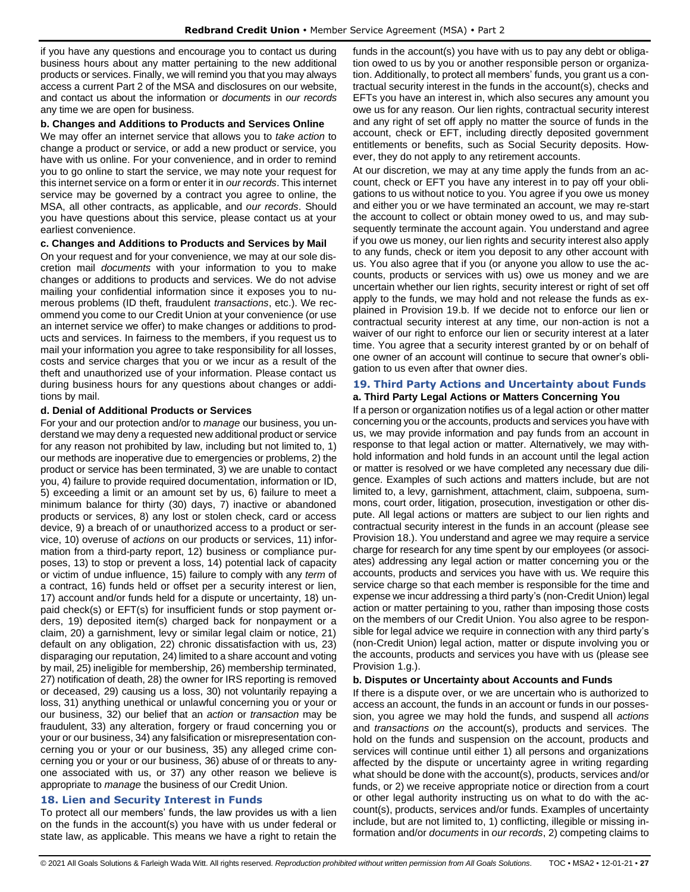if you have any questions and encourage you to contact us during business hours about any matter pertaining to the new additional products or services. Finally, we will remind you that you may always access a current Part 2 of the MSA and disclosures on our website, and contact us about the information or *documents* in *our records* any time we are open for business.

#### **b. Changes and Additions to Products and Services Online**

We may offer an internet service that allows you to *take action* to change a product or service, or add a new product or service, you have with us online. For your convenience, and in order to remind you to go online to start the service, we may note your request for this internet service on a form or enter it in *our records*. This internet service may be governed by a contract you agree to online, the MSA, all other contracts, as applicable, and *our records*. Should you have questions about this service, please contact us at your earliest convenience.

#### **c. Changes and Additions to Products and Services by Mail**

On your request and for your convenience, we may at our sole discretion mail *documents* with your information to you to make changes or additions to products and services. We do not advise mailing your confidential information since it exposes you to numerous problems (ID theft, fraudulent *transactions*, etc.). We recommend you come to our Credit Union at your convenience (or use an internet service we offer) to make changes or additions to products and services. In fairness to the members, if you request us to mail your information you agree to take responsibility for all losses, costs and service charges that you or we incur as a result of the theft and unauthorized use of your information. Please contact us during business hours for any questions about changes or additions by mail.

#### **d. Denial of Additional Products or Services**

For your and our protection and/or to *manage* our business, you understand we may deny a requested new additional product or service for any reason not prohibited by law, including but not limited to, 1) our methods are inoperative due to emergencies or problems, 2) the product or service has been terminated, 3) we are unable to contact you, 4) failure to provide required documentation, information or ID, 5) exceeding a limit or an amount set by us, 6) failure to meet a minimum balance for thirty (30) days, 7) inactive or abandoned products or services, 8) any lost or stolen check, card or access device, 9) a breach of or unauthorized access to a product or service, 10) overuse of *actions* on our products or services, 11) information from a third-party report, 12) business or compliance purposes, 13) to stop or prevent a loss, 14) potential lack of capacity or victim of undue influence, 15) failure to comply with any *term* of a contract, 16) funds held or offset per a security interest or lien, 17) account and/or funds held for a dispute or uncertainty, 18) unpaid check(s) or EFT(s) for insufficient funds or stop payment orders, 19) deposited item(s) charged back for nonpayment or a claim, 20) a garnishment, levy or similar legal claim or notice, 21) default on any obligation, 22) chronic dissatisfaction with us, 23) disparaging our reputation, 24) limited to a share account and voting by mail, 25) ineligible for membership, 26) membership terminated, 27) notification of death, 28) the owner for IRS reporting is removed or deceased, 29) causing us a loss, 30) not voluntarily repaying a loss, 31) anything unethical or unlawful concerning you or your or our business, 32) our belief that an *action* or *transaction* may be fraudulent, 33) any alteration, forgery or fraud concerning you or your or our business, 34) any falsification or misrepresentation concerning you or your or our business, 35) any alleged crime concerning you or your or our business, 36) abuse of or threats to anyone associated with us, or 37) any other reason we believe is appropriate to *manage* the business of our Credit Union.

## <span id="page-26-0"></span>**18. Lien and Security Interest in Funds**

To protect all our members' funds, the law provides us with a lien on the funds in the account(s) you have with us under federal or state law, as applicable. This means we have a right to retain the funds in the account(s) you have with us to pay any debt or obligation owed to us by you or another responsible person or organization. Additionally, to protect all members' funds, you grant us a contractual security interest in the funds in the account(s), checks and EFTs you have an interest in, which also secures any amount you owe us for any reason. Our lien rights, contractual security interest and any right of set off apply no matter the source of funds in the account, check or EFT, including directly deposited government entitlements or benefits, such as Social Security deposits. However, they do not apply to any retirement accounts.

At our discretion, we may at any time apply the funds from an account, check or EFT you have any interest in to pay off your obligations to us without notice to you. You agree if you owe us money and either you or we have terminated an account, we may re-start the account to collect or obtain money owed to us, and may subsequently terminate the account again. You understand and agree if you owe us money, our lien rights and security interest also apply to any funds, check or item you deposit to any other account with us. You also agree that if you (or anyone you allow to use the accounts, products or services with us) owe us money and we are uncertain whether our lien rights, security interest or right of set off apply to the funds, we may hold and not release the funds as explained in Provision 19.b. If we decide not to enforce our lien or contractual security interest at any time, our non-action is not a waiver of our right to enforce our lien or security interest at a later time. You agree that a security interest granted by or on behalf of one owner of an account will continue to secure that owner's obligation to us even after that owner dies.

#### <span id="page-26-1"></span>**19. Third Party Actions and Uncertainty about Funds a. Third Party Legal Actions or Matters Concerning You**

If a person or organization notifies us of a legal action or other matter concerning you or the accounts, products and services you have with us, we may provide information and pay funds from an account in response to that legal action or matter. Alternatively, we may withhold information and hold funds in an account until the legal action or matter is resolved or we have completed any necessary due diligence. Examples of such actions and matters include, but are not limited to, a levy, garnishment, attachment, claim, subpoena, summons, court order, litigation, prosecution, investigation or other dispute. All legal actions or matters are subject to our lien rights and contractual security interest in the funds in an account (please see Provision 18.). You understand and agree we may require a service charge for research for any time spent by our employees (or associates) addressing any legal action or matter concerning you or the accounts, products and services you have with us. We require this service charge so that each member is responsible for the time and expense we incur addressing a third party's (non-Credit Union) legal action or matter pertaining to you, rather than imposing those costs on the members of our Credit Union. You also agree to be responsible for legal advice we require in connection with any third party's (non-Credit Union) legal action, matter or dispute involving you or the accounts, products and services you have with us (please see Provision 1.g.).

## **b. Disputes or Uncertainty about Accounts and Funds**

If there is a dispute over, or we are uncertain who is authorized to access an account, the funds in an account or funds in our possession, you agree we may hold the funds, and suspend all *actions* and *transactions on* the account(s), products and services. The hold on the funds and suspension on the account, products and services will continue until either 1) all persons and organizations affected by the dispute or uncertainty agree in writing regarding what should be done with the account(s), products, services and/or funds, or 2) we receive appropriate notice or direction from a court or other legal authority instructing us on what to do with the account(s), products, services and/or funds. Examples of uncertainty include, but are not limited to, 1) conflicting, illegible or missing information and/or *documents* in *our records*, 2) competing claims to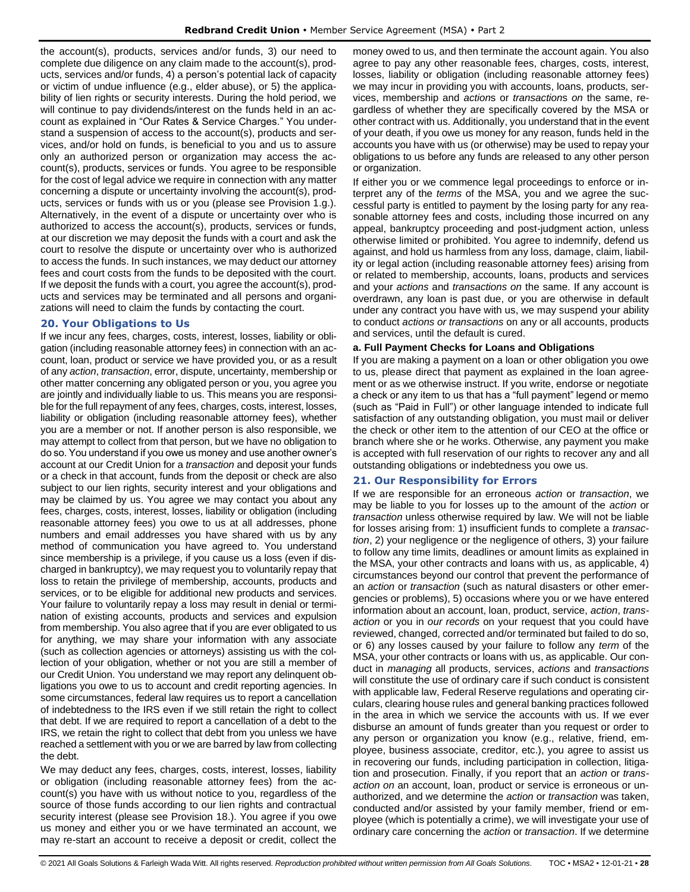the account(s), products, services and/or funds, 3) our need to complete due diligence on any claim made to the account(s), products, services and/or funds, 4) a person's potential lack of capacity or victim of undue influence (e.g., elder abuse), or 5) the applicability of lien rights or security interests. During the hold period, we will continue to pay dividends/interest on the funds held in an account as explained in "Our Rates & Service Charges." You understand a suspension of access to the account(s), products and services, and/or hold on funds, is beneficial to you and us to assure only an authorized person or organization may access the account(s), products, services or funds. You agree to be responsible for the cost of legal advice we require in connection with any matter concerning a dispute or uncertainty involving the account(s), products, services or funds with us or you (please see Provision 1.g.). Alternatively, in the event of a dispute or uncertainty over who is authorized to access the account(s), products, services or funds, at our discretion we may deposit the funds with a court and ask the court to resolve the dispute or uncertainty over who is authorized to access the funds. In such instances, we may deduct our attorney fees and court costs from the funds to be deposited with the court. If we deposit the funds with a court, you agree the account(s), products and services may be terminated and all persons and organizations will need to claim the funds by contacting the court.

## <span id="page-27-0"></span>**20. Your Obligations to Us**

If we incur any fees, charges, costs, interest, losses, liability or obligation (including reasonable attorney fees) in connection with an account, loan, product or service we have provided you, or as a result of any *action*, *transaction*, error, dispute, uncertainty, membership or other matter concerning any obligated person or you, you agree you are jointly and individually liable to us. This means you are responsible for the full repayment of any fees, charges, costs, interest, losses, liability or obligation (including reasonable attorney fees), whether you are a member or not. If another person is also responsible, we may attempt to collect from that person, but we have no obligation to do so. You understand if you owe us money and use another owner's account at our Credit Union for a *transaction* and deposit your funds or a check in that account, funds from the deposit or check are also subject to our lien rights, security interest and your obligations and may be claimed by us. You agree we may contact you about any fees, charges, costs, interest, losses, liability or obligation (including reasonable attorney fees) you owe to us at all addresses, phone numbers and email addresses you have shared with us by any method of communication you have agreed to. You understand since membership is a privilege, if you cause us a loss (even if discharged in bankruptcy), we may request you to voluntarily repay that loss to retain the privilege of membership, accounts, products and services, or to be eligible for additional new products and services. Your failure to voluntarily repay a loss may result in denial or termination of existing accounts, products and services and expulsion from membership. You also agree that if you are ever obligated to us for anything, we may share your information with any associate (such as collection agencies or attorneys) assisting us with the collection of your obligation, whether or not you are still a member of our Credit Union. You understand we may report any delinquent obligations you owe to us to account and credit reporting agencies. In some circumstances, federal law requires us to report a cancellation of indebtedness to the IRS even if we still retain the right to collect that debt. If we are required to report a cancellation of a debt to the IRS, we retain the right to collect that debt from you unless we have reached a settlement with you or we are barred by law from collecting the debt.

We may deduct any fees, charges, costs, interest, losses, liability or obligation (including reasonable attorney fees) from the account(s) you have with us without notice to you, regardless of the source of those funds according to our lien rights and contractual security interest (please see Provision 18.). You agree if you owe us money and either you or we have terminated an account, we may re-start an account to receive a deposit or credit, collect the

money owed to us, and then terminate the account again. You also agree to pay any other reasonable fees, charges, costs, interest, losses, liability or obligation (including reasonable attorney fees) we may incur in providing you with accounts, loans, products, services, membership and *action*s or *transaction*s *on* the same, regardless of whether they are specifically covered by the MSA or other contract with us. Additionally, you understand that in the event of your death, if you owe us money for any reason, funds held in the accounts you have with us (or otherwise) may be used to repay your obligations to us before any funds are released to any other person or organization.

If either you or we commence legal proceedings to enforce or interpret any of the *terms* of the MSA, you and we agree the successful party is entitled to payment by the losing party for any reasonable attorney fees and costs, including those incurred on any appeal, bankruptcy proceeding and post-judgment action, unless otherwise limited or prohibited. You agree to indemnify, defend us against, and hold us harmless from any loss, damage, claim, liability or legal action (including reasonable attorney fees) arising from or related to membership, accounts, loans, products and services and your *actions* and *transactions on* the same. If any account is overdrawn, any loan is past due, or you are otherwise in default under any contract you have with us, we may suspend your ability to conduct *actions or transactions* on any or all accounts, products and services, until the default is cured.

## **a. Full Payment Checks for Loans and Obligations**

If you are making a payment on a loan or other obligation you owe to us, please direct that payment as explained in the loan agreement or as we otherwise instruct. If you write, endorse or negotiate a check or any item to us that has a "full payment" legend or memo (such as "Paid in Full") or other language intended to indicate full satisfaction of any outstanding obligation, you must mail or deliver the check or other item to the attention of our CEO at the office or branch where she or he works. Otherwise, any payment you make is accepted with full reservation of our rights to recover any and all outstanding obligations or indebtedness you owe us.

## <span id="page-27-1"></span>**21. Our Responsibility for Errors**

If we are responsible for an erroneous *action* or *transaction*, we may be liable to you for losses up to the amount of the *action* or *transaction* unless otherwise required by law. We will not be liable for losses arising from: 1) insufficient funds to complete a *transaction*, 2) your negligence or the negligence of others, 3) your failure to follow any time limits, deadlines or amount limits as explained in the MSA, your other contracts and loans with us, as applicable, 4) circumstances beyond our control that prevent the performance of an *action* or *transaction* (such as natural disasters or other emergencies or problems), 5) occasions where you or we have entered information about an account, loan, product, service, *action*, *transaction* or you in *our records* on your request that you could have reviewed, changed, corrected and/or terminated but failed to do so, or 6) any losses caused by your failure to follow any *term* of the MSA, your other contracts or loans with us, as applicable. Our conduct in *managing* all products, services, *actions* and *transactions* will constitute the use of ordinary care if such conduct is consistent with applicable law, Federal Reserve regulations and operating circulars, clearing house rules and general banking practices followed in the area in which we service the accounts with us. If we ever disburse an amount of funds greater than you request or order to any person or organization you know (e.g., relative, friend, employee, business associate, creditor, etc.), you agree to assist us in recovering our funds, including participation in collection, litigation and prosecution. Finally, if you report that an *action* or *transaction on* an account, loan, product or service is erroneous or unauthorized, and we determine the *action* or *transaction* was taken, conducted and/or assisted by your family member, friend or employee (which is potentially a crime), we will investigate your use of ordinary care concerning the *action* or *transaction*. If we determine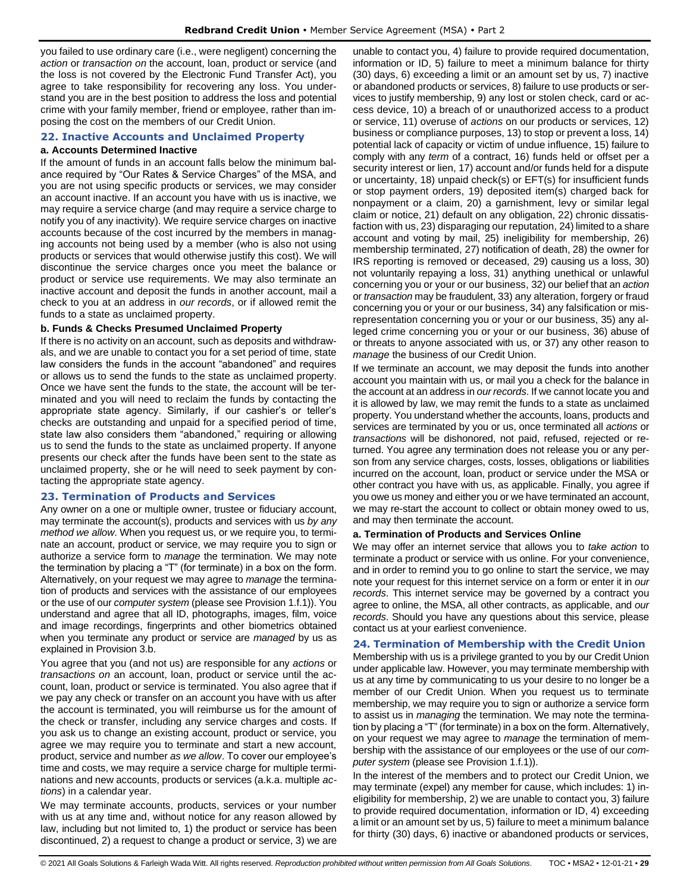you failed to use ordinary care (i.e., were negligent) concerning the *action* or *transaction on* the account, loan, product or service (and the loss is not covered by the Electronic Fund Transfer Act), you agree to take responsibility for recovering any loss. You understand you are in the best position to address the loss and potential crime with your family member, friend or employee, rather than imposing the cost on the members of our Credit Union.

## <span id="page-28-0"></span>**22. Inactive Accounts and Unclaimed Property**

#### **a. Accounts Determined Inactive**

If the amount of funds in an account falls below the minimum balance required by "Our Rates & Service Charges" of the MSA, and you are not using specific products or services, we may consider an account inactive. If an account you have with us is inactive, we may require a service charge (and may require a service charge to notify you of any inactivity). We require service charges on inactive accounts because of the cost incurred by the members in managing accounts not being used by a member (who is also not using products or services that would otherwise justify this cost). We will discontinue the service charges once you meet the balance or product or service use requirements. We may also terminate an inactive account and deposit the funds in another account, mail a check to you at an address in *our records*, or if allowed remit the funds to a state as unclaimed property.

## **b. Funds & Checks Presumed Unclaimed Property**

If there is no activity on an account, such as deposits and withdrawals, and we are unable to contact you for a set period of time, state law considers the funds in the account "abandoned" and requires or allows us to send the funds to the state as unclaimed property. Once we have sent the funds to the state, the account will be terminated and you will need to reclaim the funds by contacting the appropriate state agency. Similarly, if our cashier's or teller's checks are outstanding and unpaid for a specified period of time, state law also considers them "abandoned," requiring or allowing us to send the funds to the state as unclaimed property. If anyone presents our check after the funds have been sent to the state as unclaimed property, she or he will need to seek payment by contacting the appropriate state agency.

## <span id="page-28-1"></span>**23. Termination of Products and Services**

Any owner on a one or multiple owner, trustee or fiduciary account, may terminate the account(s), products and services with us *by any method we allow*. When you request us, or we require you, to terminate an account, product or service, we may require you to sign or authorize a service form to *manage* the termination. We may note the termination by placing a "T" (for terminate) in a box on the form. Alternatively, on your request we may agree to *manage* the termination of products and services with the assistance of our employees or the use of our *computer system* (please see Provision 1.f.1)). You understand and agree that all ID, photographs, images, film, voice and image recordings, fingerprints and other biometrics obtained when you terminate any product or service are *managed* by us as explained in Provision 3.b.

You agree that you (and not us) are responsible for any *actions* or *transactions on* an account, loan, product or service until the account, loan, product or service is terminated. You also agree that if we pay any check or transfer on an account you have with us after the account is terminated, you will reimburse us for the amount of the check or transfer, including any service charges and costs. If you ask us to change an existing account, product or service, you agree we may require you to terminate and start a new account, product, service and number *as we allow*. To cover our employee's time and costs, we may require a service charge for multiple terminations and new accounts, products or services (a.k.a. multiple *actions*) in a calendar year.

We may terminate accounts, products, services or your number with us at any time and, without notice for any reason allowed by law, including but not limited to, 1) the product or service has been discontinued, 2) a request to change a product or service, 3) we are unable to contact you, 4) failure to provide required documentation, information or ID, 5) failure to meet a minimum balance for thirty (30) days, 6) exceeding a limit or an amount set by us, 7) inactive or abandoned products or services, 8) failure to use products or services to justify membership, 9) any lost or stolen check, card or access device, 10) a breach of or unauthorized access to a product or service, 11) overuse of *actions* on our products or services, 12) business or compliance purposes, 13) to stop or prevent a loss, 14) potential lack of capacity or victim of undue influence, 15) failure to comply with any *term* of a contract, 16) funds held or offset per a security interest or lien, 17) account and/or funds held for a dispute or uncertainty, 18) unpaid check(s) or EFT(s) for insufficient funds or stop payment orders, 19) deposited item(s) charged back for nonpayment or a claim, 20) a garnishment, levy or similar legal claim or notice, 21) default on any obligation, 22) chronic dissatisfaction with us, 23) disparaging our reputation, 24) limited to a share account and voting by mail, 25) ineligibility for membership, 26) membership terminated, 27) notification of death, 28) the owner for IRS reporting is removed or deceased, 29) causing us a loss, 30) not voluntarily repaying a loss, 31) anything unethical or unlawful concerning you or your or our business, 32) our belief that an *action* or *transaction* may be fraudulent, 33) any alteration, forgery or fraud concerning you or your or our business, 34) any falsification or misrepresentation concerning you or your or our business, 35) any alleged crime concerning you or your or our business, 36) abuse of or threats to anyone associated with us, or 37) any other reason to *manage* the business of our Credit Union.

If we terminate an account, we may deposit the funds into another account you maintain with us, or mail you a check for the balance in the account at an address in *our records*. If we cannot locate you and it is allowed by law, we may remit the funds to a state as unclaimed property. You understand whether the accounts, loans, products and services are terminated by you or us, once terminated all *actions* or *transactions* will be dishonored, not paid, refused, rejected or returned. You agree any termination does not release you or any person from any service charges, costs, losses, obligations or liabilities incurred on the account, loan, product or service under the MSA or other contract you have with us, as applicable. Finally, you agree if you owe us money and either you or we have terminated an account, we may re-start the account to collect or obtain money owed to us, and may then terminate the account.

#### **a. Termination of Products and Services Online**

We may offer an internet service that allows you to *take action* to terminate a product or service with us online. For your convenience, and in order to remind you to go online to start the service, we may note your request for this internet service on a form or enter it in *our records*. This internet service may be governed by a contract you agree to online, the MSA, all other contracts, as applicable, and *our records*. Should you have any questions about this service, please contact us at your earliest convenience.

## <span id="page-28-2"></span>**24. Termination of Membership with the Credit Union**

Membership with us is a privilege granted to you by our Credit Union under applicable law. However, you may terminate membership with us at any time by communicating to us your desire to no longer be a member of our Credit Union. When you request us to terminate membership, we may require you to sign or authorize a service form to assist us in *managing* the termination. We may note the termination by placing a "T" (for terminate) in a box on the form. Alternatively, on your request we may agree to *manage* the termination of membership with the assistance of our employees or the use of our *computer system* (please see Provision 1.f.1)).

In the interest of the members and to protect our Credit Union, we may terminate (expel) any member for cause, which includes: 1) ineligibility for membership, 2) we are unable to contact you, 3) failure to provide required documentation, information or ID, 4) exceeding a limit or an amount set by us, 5) failure to meet a minimum balance for thirty (30) days, 6) inactive or abandoned products or services,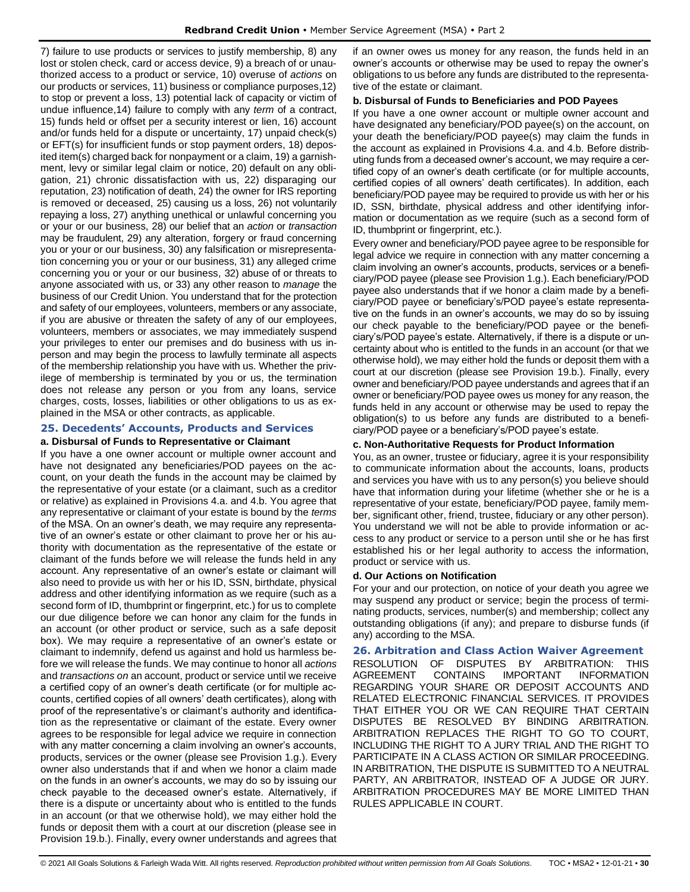7) failure to use products or services to justify membership, 8) any lost or stolen check, card or access device, 9) a breach of or unauthorized access to a product or service, 10) overuse of *actions* on our products or services, 11) business or compliance purposes,12) to stop or prevent a loss, 13) potential lack of capacity or victim of undue influence,14) failure to comply with any *term* of a contract, 15) funds held or offset per a security interest or lien, 16) account and/or funds held for a dispute or uncertainty, 17) unpaid check(s) or EFT(s) for insufficient funds or stop payment orders, 18) deposited item(s) charged back for nonpayment or a claim, 19) a garnishment, levy or similar legal claim or notice, 20) default on any obligation, 21) chronic dissatisfaction with us, 22) disparaging our reputation, 23) notification of death, 24) the owner for IRS reporting is removed or deceased, 25) causing us a loss, 26) not voluntarily repaying a loss, 27) anything unethical or unlawful concerning you or your or our business, 28) our belief that an *action* or *transaction* may be fraudulent, 29) any alteration, forgery or fraud concerning you or your or our business, 30) any falsification or misrepresentation concerning you or your or our business, 31) any alleged crime concerning you or your or our business, 32) abuse of or threats to anyone associated with us, or 33) any other reason to *manage* the business of our Credit Union. You understand that for the protection and safety of our employees, volunteers, members or any associate, if you are abusive or threaten the safety of any of our employees, volunteers, members or associates, we may immediately suspend your privileges to enter our premises and do business with us inperson and may begin the process to lawfully terminate all aspects of the membership relationship you have with us. Whether the privilege of membership is terminated by you or us, the termination does not release any person or you from any loans, service charges, costs, losses, liabilities or other obligations to us as explained in the MSA or other contracts, as applicable.

## <span id="page-29-0"></span>**25. Decedents' Accounts, Products and Services**

## **a. Disbursal of Funds to Representative or Claimant**

If you have a one owner account or multiple owner account and have not designated any beneficiaries/POD payees on the account, on your death the funds in the account may be claimed by the representative of your estate (or a claimant, such as a creditor or relative) as explained in Provisions 4.a. and 4.b. You agree that any representative or claimant of your estate is bound by the *terms* of the MSA. On an owner's death, we may require any representative of an owner's estate or other claimant to prove her or his authority with documentation as the representative of the estate or claimant of the funds before we will release the funds held in any account. Any representative of an owner's estate or claimant will also need to provide us with her or his ID, SSN, birthdate, physical address and other identifying information as we require (such as a second form of ID, thumbprint or fingerprint, etc.) for us to complete our due diligence before we can honor any claim for the funds in an account (or other product or service, such as a safe deposit box). We may require a representative of an owner's estate or claimant to indemnify, defend us against and hold us harmless before we will release the funds. We may continue to honor all *actions* and *transactions on* an account, product or service until we receive a certified copy of an owner's death certificate (or for multiple accounts, certified copies of all owners' death certificates), along with proof of the representative's or claimant's authority and identification as the representative or claimant of the estate. Every owner agrees to be responsible for legal advice we require in connection with any matter concerning a claim involving an owner's accounts, products, services or the owner (please see Provision 1.g.). Every owner also understands that if and when we honor a claim made on the funds in an owner's accounts, we may do so by issuing our check payable to the deceased owner's estate. Alternatively, if there is a dispute or uncertainty about who is entitled to the funds in an account (or that we otherwise hold), we may either hold the funds or deposit them with a court at our discretion (please see in Provision 19.b.). Finally, every owner understands and agrees that if an owner owes us money for any reason, the funds held in an owner's accounts or otherwise may be used to repay the owner's obligations to us before any funds are distributed to the representative of the estate or claimant.

#### **b. Disbursal of Funds to Beneficiaries and POD Payees**

If you have a one owner account or multiple owner account and have designated any beneficiary/POD payee(s) on the account, on your death the beneficiary/POD payee(s) may claim the funds in the account as explained in Provisions 4.a. and 4.b. Before distributing funds from a deceased owner's account, we may require a certified copy of an owner's death certificate (or for multiple accounts, certified copies of all owners' death certificates). In addition, each beneficiary/POD payee may be required to provide us with her or his ID, SSN, birthdate, physical address and other identifying information or documentation as we require (such as a second form of ID, thumbprint or fingerprint, etc.).

Every owner and beneficiary/POD payee agree to be responsible for legal advice we require in connection with any matter concerning a claim involving an owner's accounts, products, services or a beneficiary/POD payee (please see Provision 1.g.). Each beneficiary/POD payee also understands that if we honor a claim made by a beneficiary/POD payee or beneficiary's/POD payee's estate representative on the funds in an owner's accounts, we may do so by issuing our check payable to the beneficiary/POD payee or the beneficiary's/POD payee's estate. Alternatively, if there is a dispute or uncertainty about who is entitled to the funds in an account (or that we otherwise hold), we may either hold the funds or deposit them with a court at our discretion (please see Provision 19.b.). Finally, every owner and beneficiary/POD payee understands and agrees that if an owner or beneficiary/POD payee owes us money for any reason, the funds held in any account or otherwise may be used to repay the obligation(s) to us before any funds are distributed to a beneficiary/POD payee or a beneficiary's/POD payee's estate.

#### **c. Non-Authoritative Requests for Product Information**

You, as an owner, trustee or fiduciary, agree it is your responsibility to communicate information about the accounts, loans, products and services you have with us to any person(s) you believe should have that information during your lifetime (whether she or he is a representative of your estate, beneficiary/POD payee, family member, significant other, friend, trustee, fiduciary or any other person). You understand we will not be able to provide information or access to any product or service to a person until she or he has first established his or her legal authority to access the information, product or service with us.

#### **d. Our Actions on Notification**

For your and our protection, on notice of your death you agree we may suspend any product or service; begin the process of terminating products, services, number(s) and membership; collect any outstanding obligations (if any); and prepare to disburse funds (if any) according to the MSA.

#### <span id="page-29-1"></span>**26. Arbitration and Class Action Waiver Agreement**

RESOLUTION OF DISPUTES BY ARBITRATION: THIS AGREEMENT CONTAINS IMPORTANT INFORMATION REGARDING YOUR SHARE OR DEPOSIT ACCOUNTS AND RELATED ELECTRONIC FINANCIAL SERVICES. IT PROVIDES THAT EITHER YOU OR WE CAN REQUIRE THAT CERTAIN DISPUTES BE RESOLVED BY BINDING ARBITRATION. ARBITRATION REPLACES THE RIGHT TO GO TO COURT, INCLUDING THE RIGHT TO A JURY TRIAL AND THE RIGHT TO PARTICIPATE IN A CLASS ACTION OR SIMILAR PROCEEDING. IN ARBITRATION, THE DISPUTE IS SUBMITTED TO A NEUTRAL PARTY, AN ARBITRATOR, INSTEAD OF A JUDGE OR JURY. ARBITRATION PROCEDURES MAY BE MORE LIMITED THAN RULES APPLICABLE IN COURT.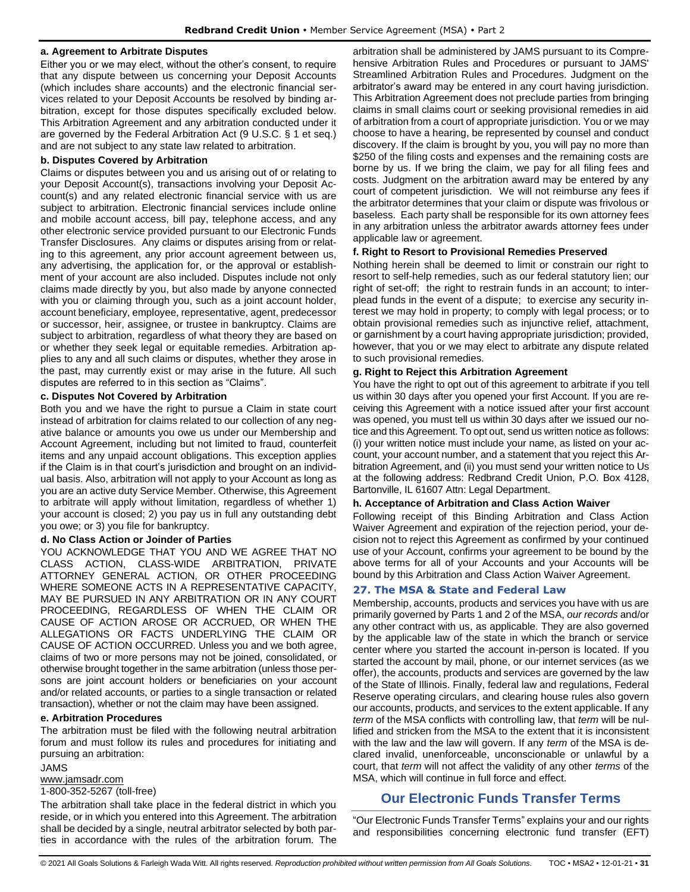## **a. Agreement to Arbitrate Disputes**

Either you or we may elect, without the other's consent, to require that any dispute between us concerning your Deposit Accounts (which includes share accounts) and the electronic financial services related to your Deposit Accounts be resolved by binding arbitration, except for those disputes specifically excluded below. This Arbitration Agreement and any arbitration conducted under it are governed by the Federal Arbitration Act (9 U.S.C. § 1 et seq.) and are not subject to any state law related to arbitration.

#### **b. Disputes Covered by Arbitration**

Claims or disputes between you and us arising out of or relating to your Deposit Account(s), transactions involving your Deposit Account(s) and any related electronic financial service with us are subject to arbitration. Electronic financial services include online and mobile account access, bill pay, telephone access, and any other electronic service provided pursuant to our Electronic Funds Transfer Disclosures. Any claims or disputes arising from or relating to this agreement, any prior account agreement between us, any advertising, the application for, or the approval or establishment of your account are also included. Disputes include not only claims made directly by you, but also made by anyone connected with you or claiming through you, such as a joint account holder, account beneficiary, employee, representative, agent, predecessor or successor, heir, assignee, or trustee in bankruptcy. Claims are subject to arbitration, regardless of what theory they are based on or whether they seek legal or equitable remedies. Arbitration applies to any and all such claims or disputes, whether they arose in the past, may currently exist or may arise in the future. All such disputes are referred to in this section as "Claims".

#### **c. Disputes Not Covered by Arbitration**

Both you and we have the right to pursue a Claim in state court instead of arbitration for claims related to our collection of any negative balance or amounts you owe us under our Membership and Account Agreement, including but not limited to fraud, counterfeit items and any unpaid account obligations. This exception applies if the Claim is in that court's jurisdiction and brought on an individual basis. Also, arbitration will not apply to your Account as long as you are an active duty Service Member. Otherwise, this Agreement to arbitrate will apply without limitation, regardless of whether 1) your account is closed; 2) you pay us in full any outstanding debt you owe; or 3) you file for bankruptcy.

#### **d. No Class Action or Joinder of Parties**

YOU ACKNOWLEDGE THAT YOU AND WE AGREE THAT NO CLASS ACTION, CLASS-WIDE ARBITRATION, PRIVATE ATTORNEY GENERAL ACTION, OR OTHER PROCEEDING WHERE SOMEONE ACTS IN A REPRESENTATIVE CAPACITY, MAY BE PURSUED IN ANY ARBITRATION OR IN ANY COURT PROCEEDING, REGARDLESS OF WHEN THE CLAIM OR CAUSE OF ACTION AROSE OR ACCRUED, OR WHEN THE ALLEGATIONS OR FACTS UNDERLYING THE CLAIM OR CAUSE OF ACTION OCCURRED. Unless you and we both agree, claims of two or more persons may not be joined, consolidated, or otherwise brought together in the same arbitration (unless those persons are joint account holders or beneficiaries on your account and/or related accounts, or parties to a single transaction or related transaction), whether or not the claim may have been assigned.

## **e. Arbitration Procedures**

The arbitration must be filed with the following neutral arbitration forum and must follow its rules and procedures for initiating and pursuing an arbitration:

#### JAMS

[www.jamsadr.com](http://www.jamsadr.com/)

## 1-800-352-5267 (toll-free)

The arbitration shall take place in the federal district in which you reside, or in which you entered into this Agreement. The arbitration shall be decided by a single, neutral arbitrator selected by both parties in accordance with the rules of the arbitration forum. The arbitration shall be administered by JAMS pursuant to its Comprehensive Arbitration Rules and Procedures or pursuant to JAMS' Streamlined Arbitration Rules and Procedures. Judgment on the arbitrator's award may be entered in any court having jurisdiction. This Arbitration Agreement does not preclude parties from bringing claims in small claims court or seeking provisional remedies in aid of arbitration from a court of appropriate jurisdiction. You or we may choose to have a hearing, be represented by counsel and conduct discovery. If the claim is brought by you, you will pay no more than \$250 of the filing costs and expenses and the remaining costs are borne by us. If we bring the claim, we pay for all filing fees and costs. Judgment on the arbitration award may be entered by any court of competent jurisdiction. We will not reimburse any fees if the arbitrator determines that your claim or dispute was frivolous or baseless. Each party shall be responsible for its own attorney fees in any arbitration unless the arbitrator awards attorney fees under applicable law or agreement.

#### **f. Right to Resort to Provisional Remedies Preserved**

Nothing herein shall be deemed to limit or constrain our right to resort to self-help remedies, such as our federal statutory lien; our right of set-off; the right to restrain funds in an account; to interplead funds in the event of a dispute; to exercise any security interest we may hold in property; to comply with legal process; or to obtain provisional remedies such as injunctive relief, attachment, or garnishment by a court having appropriate jurisdiction; provided, however, that you or we may elect to arbitrate any dispute related to such provisional remedies.

#### **g. Right to Reject this Arbitration Agreement**

You have the right to opt out of this agreement to arbitrate if you tell us within 30 days after you opened your first Account. If you are receiving this Agreement with a notice issued after your first account was opened, you must tell us within 30 days after we issued our notice and this Agreement. To opt out, send us written notice as follows: (i) your written notice must include your name, as listed on your account, your account number, and a statement that you reject this Arbitration Agreement, and (ii) you must send your written notice to Us at the following address: Redbrand Credit Union, P.O. Box 4128, Bartonville, IL 61607 Attn: Legal Department.

## **h. Acceptance of Arbitration and Class Action Waiver**

Following receipt of this Binding Arbitration and Class Action Waiver Agreement and expiration of the rejection period, your decision not to reject this Agreement as confirmed by your continued use of your Account, confirms your agreement to be bound by the above terms for all of your Accounts and your Accounts will be bound by this Arbitration and Class Action Waiver Agreement.

## <span id="page-30-0"></span>**27. The MSA & State and Federal Law**

Membership, accounts, products and services you have with us are primarily governed by Parts 1 and 2 of the MSA, *our records* and/or any other contract with us, as applicable. They are also governed by the applicable law of the state in which the branch or service center where you started the account in-person is located. If you started the account by mail, phone, or our internet services (as we offer), the accounts, products and services are governed by the law of the State of Illinois. Finally, federal law and regulations, Federal Reserve operating circulars, and clearing house rules also govern our accounts, products, and services to the extent applicable. If any *term* of the MSA conflicts with controlling law, that *term* will be nullified and stricken from the MSA to the extent that it is inconsistent with the law and the law will govern. If any *term* of the MSA is declared invalid, unenforceable, unconscionable or unlawful by a court, that *term* will not affect the validity of any other *terms* of the MSA, which will continue in full force and effect.

## **Our Electronic Funds Transfer Terms**

<span id="page-30-1"></span>"Our Electronic Funds Transfer Terms" explains your and our rights and responsibilities concerning electronic fund transfer (EFT)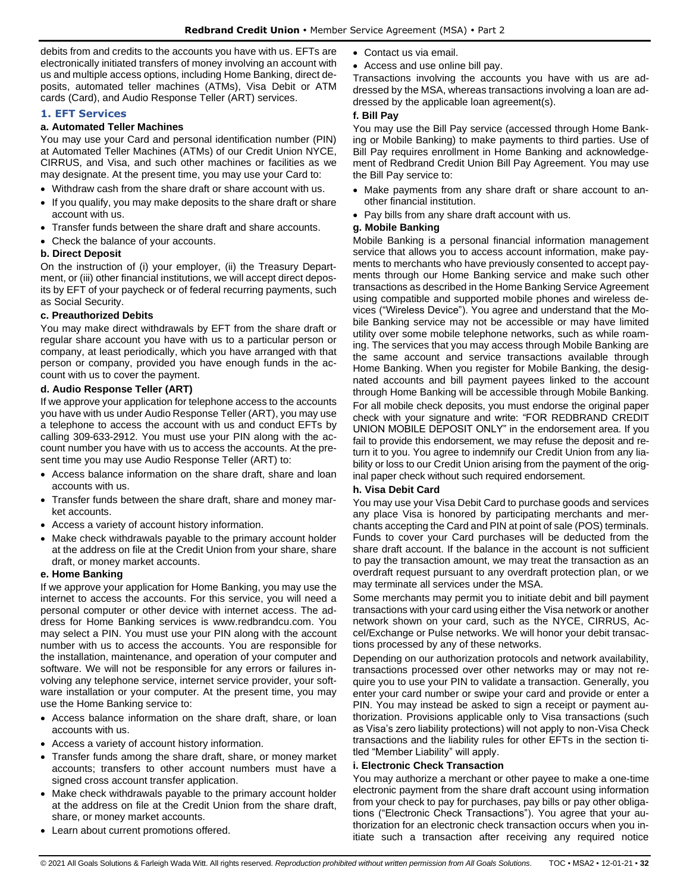debits from and credits to the accounts you have with us. EFTs are electronically initiated transfers of money involving an account with us and multiple access options, including Home Banking, direct deposits, automated teller machines (ATMs), Visa Debit or ATM cards (Card), and Audio Response Teller (ART) services.

## <span id="page-31-0"></span>**1. EFT Services**

#### **a. Automated Teller Machines**

You may use your Card and personal identification number (PIN) at Automated Teller Machines (ATMs) of our Credit Union NYCE, CIRRUS, and Visa, and such other machines or facilities as we may designate. At the present time, you may use your Card to:

- Withdraw cash from the share draft or share account with us.
- If you qualify, you may make deposits to the share draft or share account with us.
- Transfer funds between the share draft and share accounts.
- Check the balance of your accounts.

## **b. Direct Deposit**

On the instruction of (i) your employer, (ii) the Treasury Department, or (iii) other financial institutions, we will accept direct deposits by EFT of your paycheck or of federal recurring payments, such as Social Security.

#### **c. Preauthorized Debits**

You may make direct withdrawals by EFT from the share draft or regular share account you have with us to a particular person or company, at least periodically, which you have arranged with that person or company, provided you have enough funds in the account with us to cover the payment.

#### **d. Audio Response Teller (ART)**

If we approve your application for telephone access to the accounts you have with us under Audio Response Teller (ART), you may use a telephone to access the account with us and conduct EFTs by calling 309-633-2912. You must use your PIN along with the account number you have with us to access the accounts. At the present time you may use Audio Response Teller (ART) to:

- Access balance information on the share draft, share and loan accounts with us.
- Transfer funds between the share draft, share and money market accounts.
- Access a variety of account history information.
- Make check withdrawals payable to the primary account holder at the address on file at the Credit Union from your share, share draft, or money market accounts.

## **e. Home Banking**

If we approve your application for Home Banking, you may use the internet to access the accounts. For this service, you will need a personal computer or other device with internet access. The address for Home Banking services is www.redbrandcu.com. You may select a PIN. You must use your PIN along with the account number with us to access the accounts. You are responsible for the installation, maintenance, and operation of your computer and software. We will not be responsible for any errors or failures involving any telephone service, internet service provider, your software installation or your computer. At the present time, you may use the Home Banking service to:

- Access balance information on the share draft, share, or loan accounts with us.
- Access a variety of account history information.
- Transfer funds among the share draft, share, or money market accounts; transfers to other account numbers must have a signed cross account transfer application.
- Make check withdrawals payable to the primary account holder at the address on file at the Credit Union from the share draft, share, or money market accounts.
- Learn about current promotions offered.
- Contact us via email.
- Access and use online bill pay.

Transactions involving the accounts you have with us are addressed by the MSA, whereas transactions involving a loan are addressed by the applicable loan agreement(s).

#### **f. Bill Pay**

You may use the Bill Pay service (accessed through Home Banking or Mobile Banking) to make payments to third parties. Use of Bill Pay requires enrollment in Home Banking and acknowledgement of Redbrand Credit Union Bill Pay Agreement. You may use the Bill Pay service to:

- Make payments from any share draft or share account to another financial institution.
- Pay bills from any share draft account with us.

## **g. Mobile Banking**

Mobile Banking is a personal financial information management service that allows you to access account information, make payments to merchants who have previously consented to accept payments through our Home Banking service and make such other transactions as described in the Home Banking Service Agreement using compatible and supported mobile phones and wireless devices ("Wireless Device"). You agree and understand that the Mobile Banking service may not be accessible or may have limited utility over some mobile telephone networks, such as while roaming. The services that you may access through Mobile Banking are the same account and service transactions available through Home Banking. When you register for Mobile Banking, the designated accounts and bill payment payees linked to the account through Home Banking will be accessible through Mobile Banking.

For all mobile check deposits, you must endorse the original paper check with your signature and write: "FOR REDBRAND CREDIT UNION MOBILE DEPOSIT ONLY" in the endorsement area. If you fail to provide this endorsement, we may refuse the deposit and return it to you. You agree to indemnify our Credit Union from any liability or loss to our Credit Union arising from the payment of the original paper check without such required endorsement.

#### **h. Visa Debit Card**

You may use your Visa Debit Card to purchase goods and services any place Visa is honored by participating merchants and merchants accepting the Card and PIN at point of sale (POS) terminals. Funds to cover your Card purchases will be deducted from the share draft account. If the balance in the account is not sufficient to pay the transaction amount, we may treat the transaction as an overdraft request pursuant to any overdraft protection plan, or we may terminate all services under the MSA.

Some merchants may permit you to initiate debit and bill payment transactions with your card using either the Visa network or another network shown on your card, such as the NYCE, CIRRUS, Accel/Exchange or Pulse networks. We will honor your debit transactions processed by any of these networks.

Depending on our authorization protocols and network availability, transactions processed over other networks may or may not require you to use your PIN to validate a transaction. Generally, you enter your card number or swipe your card and provide or enter a PIN. You may instead be asked to sign a receipt or payment authorization. Provisions applicable only to Visa transactions (such as Visa's zero liability protections) will not apply to non-Visa Check transactions and the liability rules for other EFTs in the section titled "Member Liability" will apply.

#### **i. Electronic Check Transaction**

You may authorize a merchant or other payee to make a one-time electronic payment from the share draft account using information from your check to pay for purchases, pay bills or pay other obligations ("Electronic Check Transactions"). You agree that your authorization for an electronic check transaction occurs when you initiate such a transaction after receiving any required notice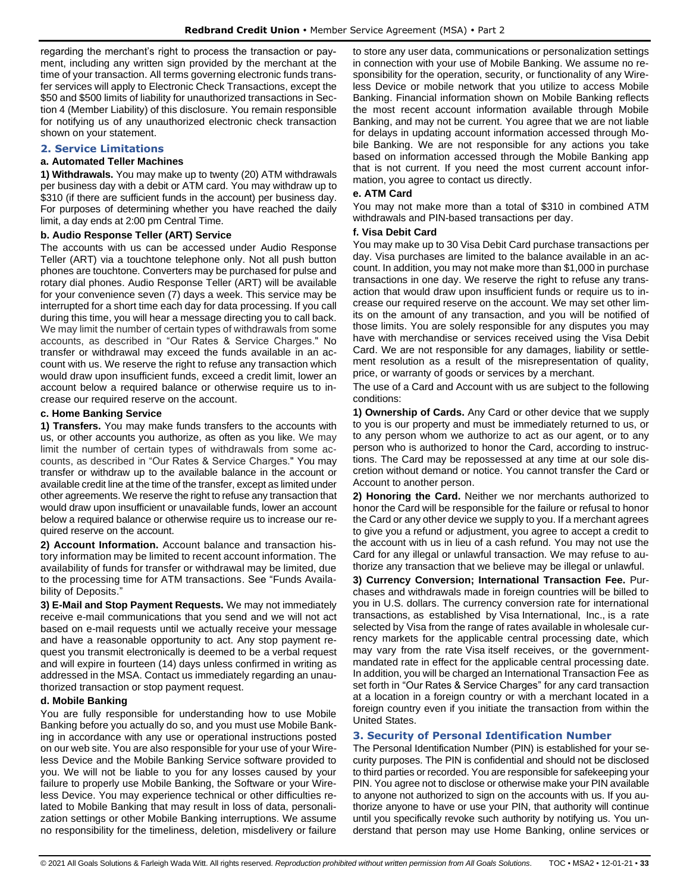regarding the merchant's right to process the transaction or payment, including any written sign provided by the merchant at the time of your transaction. All terms governing electronic funds transfer services will apply to Electronic Check Transactions, except the \$50 and \$500 limits of liability for unauthorized transactions in Section 4 (Member Liability) of this disclosure. You remain responsible for notifying us of any unauthorized electronic check transaction shown on your statement.

## <span id="page-32-0"></span>**2. Service Limitations**

#### **a. Automated Teller Machines**

**1) Withdrawals.** You may make up to twenty (20) ATM withdrawals per business day with a debit or ATM card. You may withdraw up to \$310 (if there are sufficient funds in the account) per business day. For purposes of determining whether you have reached the daily limit, a day ends at 2:00 pm Central Time.

#### **b. Audio Response Teller (ART) Service**

The accounts with us can be accessed under Audio Response Teller (ART) via a touchtone telephone only. Not all push button phones are touchtone. Converters may be purchased for pulse and rotary dial phones. Audio Response Teller (ART) will be available for your convenience seven (7) days a week. This service may be interrupted for a short time each day for data processing. If you call during this time, you will hear a message directing you to call back. We may limit the number of certain types of withdrawals from some accounts, as described in "Our Rates & Service Charges." No transfer or withdrawal may exceed the funds available in an account with us. We reserve the right to refuse any transaction which would draw upon insufficient funds, exceed a credit limit, lower an account below a required balance or otherwise require us to increase our required reserve on the account.

#### **c. Home Banking Service**

**1) Transfers.** You may make funds transfers to the accounts with us, or other accounts you authorize, as often as you like. We may limit the number of certain types of withdrawals from some accounts, as described in "Our Rates & Service Charges." You may transfer or withdraw up to the available balance in the account or available credit line at the time of the transfer, except as limited under other agreements. We reserve the right to refuse any transaction that would draw upon insufficient or unavailable funds, lower an account below a required balance or otherwise require us to increase our required reserve on the account.

**2) Account Information.** Account balance and transaction history information may be limited to recent account information. The availability of funds for transfer or withdrawal may be limited, due to the processing time for ATM transactions. See "Funds Availability of Deposits."

**3) E-Mail and Stop Payment Requests.** We may not immediately receive e-mail communications that you send and we will not act based on e-mail requests until we actually receive your message and have a reasonable opportunity to act. Any stop payment request you transmit electronically is deemed to be a verbal request and will expire in fourteen (14) days unless confirmed in writing as addressed in the MSA. Contact us immediately regarding an unauthorized transaction or stop payment request.

#### **d. Mobile Banking**

You are fully responsible for understanding how to use Mobile Banking before you actually do so, and you must use Mobile Banking in accordance with any use or operational instructions posted on our web site. You are also responsible for your use of your Wireless Device and the Mobile Banking Service software provided to you. We will not be liable to you for any losses caused by your failure to properly use Mobile Banking, the Software or your Wireless Device. You may experience technical or other difficulties related to Mobile Banking that may result in loss of data, personalization settings or other Mobile Banking interruptions. We assume no responsibility for the timeliness, deletion, misdelivery or failure to store any user data, communications or personalization settings in connection with your use of Mobile Banking. We assume no responsibility for the operation, security, or functionality of any Wireless Device or mobile network that you utilize to access Mobile Banking. Financial information shown on Mobile Banking reflects the most recent account information available through Mobile Banking, and may not be current. You agree that we are not liable for delays in updating account information accessed through Mobile Banking. We are not responsible for any actions you take based on information accessed through the Mobile Banking app that is not current. If you need the most current account information, you agree to contact us directly.

#### **e. ATM Card**

You may not make more than a total of \$310 in combined ATM withdrawals and PIN-based transactions per day.

#### **f. Visa Debit Card**

You may make up to 30 Visa Debit Card purchase transactions per day. Visa purchases are limited to the balance available in an account. In addition, you may not make more than \$1,000 in purchase transactions in one day. We reserve the right to refuse any transaction that would draw upon insufficient funds or require us to increase our required reserve on the account. We may set other limits on the amount of any transaction, and you will be notified of those limits. You are solely responsible for any disputes you may have with merchandise or services received using the Visa Debit Card. We are not responsible for any damages, liability or settlement resolution as a result of the misrepresentation of quality, price, or warranty of goods or services by a merchant.

The use of a Card and Account with us are subject to the following conditions:

**1) Ownership of Cards.** Any Card or other device that we supply to you is our property and must be immediately returned to us, or to any person whom we authorize to act as our agent, or to any person who is authorized to honor the Card, according to instructions. The Card may be repossessed at any time at our sole discretion without demand or notice. You cannot transfer the Card or Account to another person.

**2) Honoring the Card.** Neither we nor merchants authorized to honor the Card will be responsible for the failure or refusal to honor the Card or any other device we supply to you. If a merchant agrees to give you a refund or adjustment, you agree to accept a credit to the account with us in lieu of a cash refund. You may not use the Card for any illegal or unlawful transaction. We may refuse to authorize any transaction that we believe may be illegal or unlawful.

**3) Currency Conversion; International Transaction Fee.** Purchases and withdrawals made in foreign countries will be billed to you in U.S. dollars. The currency conversion rate for international transactions, as established by Visa International, Inc., is a rate selected by Visa from the range of rates available in wholesale currency markets for the applicable central processing date, which may vary from the rate Visa itself receives, or the governmentmandated rate in effect for the applicable central processing date. In addition, you will be charged an International Transaction Fee as set forth in "Our Rates & Service Charges" for any card transaction at a location in a foreign country or with a merchant located in a foreign country even if you initiate the transaction from within the United States.

## <span id="page-32-1"></span>**3. Security of Personal Identification Number**

The Personal Identification Number (PIN) is established for your security purposes. The PIN is confidential and should not be disclosed to third parties or recorded. You are responsible for safekeeping your PIN. You agree not to disclose or otherwise make your PIN available to anyone not authorized to sign on the accounts with us. If you authorize anyone to have or use your PIN, that authority will continue until you specifically revoke such authority by notifying us. You understand that person may use Home Banking, online services or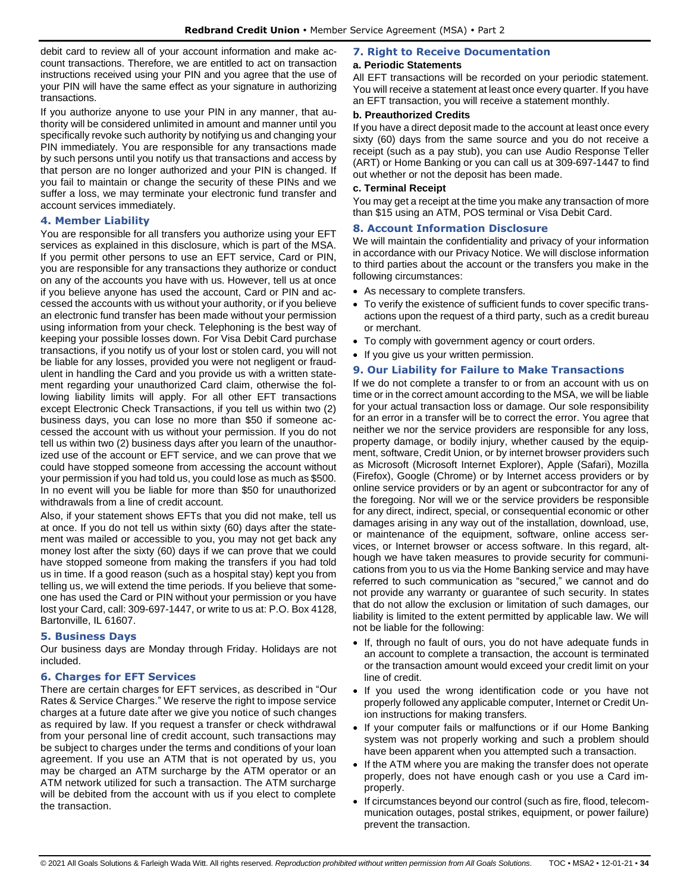debit card to review all of your account information and make account transactions. Therefore, we are entitled to act on transaction instructions received using your PIN and you agree that the use of your PIN will have the same effect as your signature in authorizing transactions.

If you authorize anyone to use your PIN in any manner, that authority will be considered unlimited in amount and manner until you specifically revoke such authority by notifying us and changing your PIN immediately. You are responsible for any transactions made by such persons until you notify us that transactions and access by that person are no longer authorized and your PIN is changed. If you fail to maintain or change the security of these PINs and we suffer a loss, we may terminate your electronic fund transfer and account services immediately.

## <span id="page-33-0"></span>**4. Member Liability**

You are responsible for all transfers you authorize using your EFT services as explained in this disclosure, which is part of the MSA. If you permit other persons to use an EFT service, Card or PIN, you are responsible for any transactions they authorize or conduct on any of the accounts you have with us. However, tell us at once if you believe anyone has used the account, Card or PIN and accessed the accounts with us without your authority, or if you believe an electronic fund transfer has been made without your permission using information from your check. Telephoning is the best way of keeping your possible losses down. For Visa Debit Card purchase transactions, if you notify us of your lost or stolen card, you will not be liable for any losses, provided you were not negligent or fraudulent in handling the Card and you provide us with a written statement regarding your unauthorized Card claim, otherwise the following liability limits will apply. For all other EFT transactions except Electronic Check Transactions, if you tell us within two (2) business days, you can lose no more than \$50 if someone accessed the account with us without your permission. If you do not tell us within two (2) business days after you learn of the unauthorized use of the account or EFT service, and we can prove that we could have stopped someone from accessing the account without your permission if you had told us, you could lose as much as \$500. In no event will you be liable for more than \$50 for unauthorized withdrawals from a line of credit account.

Also, if your statement shows EFTs that you did not make, tell us at once. If you do not tell us within sixty (60) days after the statement was mailed or accessible to you, you may not get back any money lost after the sixty (60) days if we can prove that we could have stopped someone from making the transfers if you had told us in time. If a good reason (such as a hospital stay) kept you from telling us, we will extend the time periods. If you believe that someone has used the Card or PIN without your permission or you have lost your Card, call: 309-697-1447, or write to us at: P.O. Box 4128, Bartonville, IL 61607.

## <span id="page-33-1"></span>**5. Business Days**

Our business days are Monday through Friday. Holidays are not included.

## <span id="page-33-2"></span>**6. Charges for EFT Services**

There are certain charges for EFT services, as described in "Our Rates & Service Charges." We reserve the right to impose service charges at a future date after we give you notice of such changes as required by law. If you request a transfer or check withdrawal from your personal line of credit account, such transactions may be subject to charges under the terms and conditions of your loan agreement. If you use an ATM that is not operated by us, you may be charged an ATM surcharge by the ATM operator or an ATM network utilized for such a transaction. The ATM surcharge will be debited from the account with us if you elect to complete the transaction.

## <span id="page-33-3"></span>**7. Right to Receive Documentation**

## **a. Periodic Statements**

All EFT transactions will be recorded on your periodic statement. You will receive a statement at least once every quarter. If you have an EFT transaction, you will receive a statement monthly.

## **b. Preauthorized Credits**

If you have a direct deposit made to the account at least once every sixty (60) days from the same source and you do not receive a receipt (such as a pay stub), you can use Audio Response Teller (ART) or Home Banking or you can call us at 309-697-1447 to find out whether or not the deposit has been made.

#### **c. Terminal Receipt**

You may get a receipt at the time you make any transaction of more than \$15 using an ATM, POS terminal or Visa Debit Card.

## <span id="page-33-4"></span>**8. Account Information Disclosure**

We will maintain the confidentiality and privacy of your information in accordance with our Privacy Notice. We will disclose information to third parties about the account or the transfers you make in the following circumstances:

- As necessary to complete transfers.
- To verify the existence of sufficient funds to cover specific transactions upon the request of a third party, such as a credit bureau or merchant.
- To comply with government agency or court orders.
- If you give us your written permission.

## <span id="page-33-5"></span>**9. Our Liability for Failure to Make Transactions**

If we do not complete a transfer to or from an account with us on time or in the correct amount according to the MSA, we will be liable for your actual transaction loss or damage. Our sole responsibility for an error in a transfer will be to correct the error. You agree that neither we nor the service providers are responsible for any loss, property damage, or bodily injury, whether caused by the equipment, software, Credit Union, or by internet browser providers such as Microsoft (Microsoft Internet Explorer), Apple (Safari), Mozilla (Firefox), Google (Chrome) or by Internet access providers or by online service providers or by an agent or subcontractor for any of the foregoing. Nor will we or the service providers be responsible for any direct, indirect, special, or consequential economic or other damages arising in any way out of the installation, download, use, or maintenance of the equipment, software, online access services, or Internet browser or access software. In this regard, although we have taken measures to provide security for communications from you to us via the Home Banking service and may have referred to such communication as "secured," we cannot and do not provide any warranty or guarantee of such security. In states that do not allow the exclusion or limitation of such damages, our liability is limited to the extent permitted by applicable law. We will not be liable for the following:

- If, through no fault of ours, you do not have adequate funds in an account to complete a transaction, the account is terminated or the transaction amount would exceed your credit limit on your line of credit.
- If you used the wrong identification code or you have not properly followed any applicable computer, Internet or Credit Union instructions for making transfers.
- If your computer fails or malfunctions or if our Home Banking system was not properly working and such a problem should have been apparent when you attempted such a transaction.
- If the ATM where you are making the transfer does not operate properly, does not have enough cash or you use a Card improperly.
- If circumstances beyond our control (such as fire, flood, telecommunication outages, postal strikes, equipment, or power failure) prevent the transaction.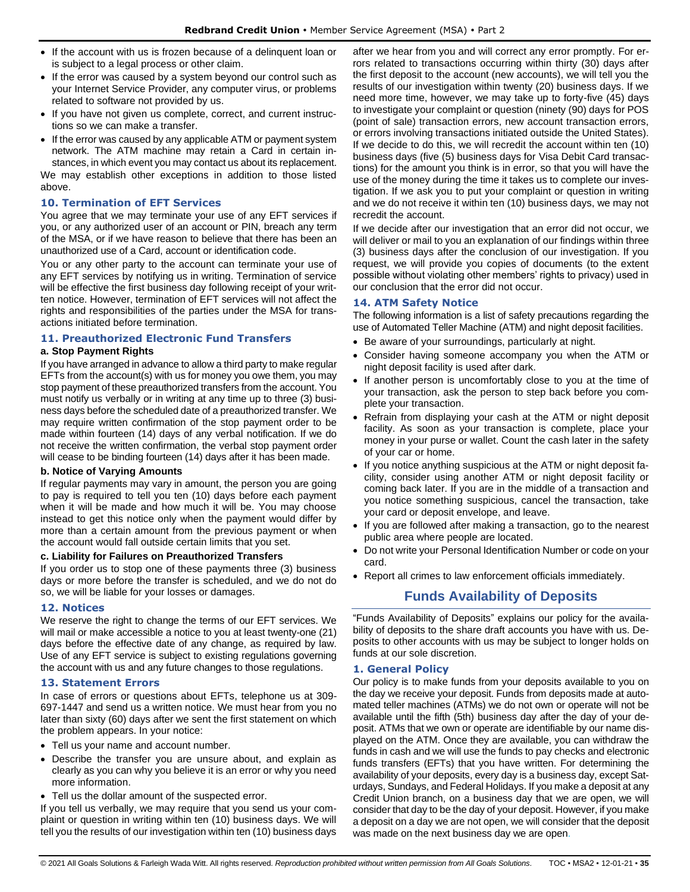- If the account with us is frozen because of a delinquent loan or is subject to a legal process or other claim.
- If the error was caused by a system beyond our control such as your Internet Service Provider, any computer virus, or problems related to software not provided by us.
- If you have not given us complete, correct, and current instructions so we can make a transfer.
- If the error was caused by any applicable ATM or payment system network. The ATM machine may retain a Card in certain in-

stances, in which event you may contact us about its replacement. We may establish other exceptions in addition to those listed above.

#### <span id="page-34-0"></span>**10. Termination of EFT Services**

You agree that we may terminate your use of any EFT services if you, or any authorized user of an account or PIN, breach any term of the MSA, or if we have reason to believe that there has been an unauthorized use of a Card, account or identification code.

You or any other party to the account can terminate your use of any EFT services by notifying us in writing. Termination of service will be effective the first business day following receipt of your written notice. However, termination of EFT services will not affect the rights and responsibilities of the parties under the MSA for transactions initiated before termination.

## <span id="page-34-1"></span>**11. Preauthorized Electronic Fund Transfers**

#### **a. Stop Payment Rights**

If you have arranged in advance to allow a third party to make regular EFTs from the account(s) with us for money you owe them, you may stop payment of these preauthorized transfers from the account. You must notify us verbally or in writing at any time up to three (3) business days before the scheduled date of a preauthorized transfer. We may require written confirmation of the stop payment order to be made within fourteen (14) days of any verbal notification. If we do not receive the written confirmation, the verbal stop payment order will cease to be binding fourteen (14) days after it has been made.

#### **b. Notice of Varying Amounts**

If regular payments may vary in amount, the person you are going to pay is required to tell you ten (10) days before each payment when it will be made and how much it will be. You may choose instead to get this notice only when the payment would differ by more than a certain amount from the previous payment or when the account would fall outside certain limits that you set.

#### **c. Liability for Failures on Preauthorized Transfers**

If you order us to stop one of these payments three (3) business days or more before the transfer is scheduled, and we do not do so, we will be liable for your losses or damages.

#### <span id="page-34-2"></span>**12. Notices**

We reserve the right to change the terms of our EFT services. We will mail or make accessible a notice to you at least twenty-one (21) days before the effective date of any change, as required by law. Use of any EFT service is subject to existing regulations governing the account with us and any future changes to those regulations.

#### <span id="page-34-3"></span>**13. Statement Errors**

In case of errors or questions about EFTs, telephone us at 309- 697-1447 and send us a written notice. We must hear from you no later than sixty (60) days after we sent the first statement on which the problem appears. In your notice:

- Tell us your name and account number.
- Describe the transfer you are unsure about, and explain as clearly as you can why you believe it is an error or why you need more information.
- Tell us the dollar amount of the suspected error.

If you tell us verbally, we may require that you send us your complaint or question in writing within ten (10) business days. We will tell you the results of our investigation within ten (10) business days after we hear from you and will correct any error promptly. For errors related to transactions occurring within thirty (30) days after the first deposit to the account (new accounts), we will tell you the results of our investigation within twenty (20) business days. If we need more time, however, we may take up to forty-five (45) days to investigate your complaint or question (ninety (90) days for POS (point of sale) transaction errors, new account transaction errors, or errors involving transactions initiated outside the United States). If we decide to do this, we will recredit the account within ten (10) business days (five (5) business days for Visa Debit Card transactions) for the amount you think is in error, so that you will have the use of the money during the time it takes us to complete our investigation. If we ask you to put your complaint or question in writing and we do not receive it within ten (10) business days, we may not recredit the account.

If we decide after our investigation that an error did not occur, we will deliver or mail to you an explanation of our findings within three (3) business days after the conclusion of our investigation. If you request, we will provide you copies of documents (to the extent possible without violating other members' rights to privacy) used in our conclusion that the error did not occur.

#### <span id="page-34-4"></span>**14. ATM Safety Notice**

The following information is a list of safety precautions regarding the use of Automated Teller Machine (ATM) and night deposit facilities.

- Be aware of your surroundings, particularly at night.
- Consider having someone accompany you when the ATM or night deposit facility is used after dark.
- If another person is uncomfortably close to you at the time of your transaction, ask the person to step back before you complete your transaction.
- Refrain from displaying your cash at the ATM or night deposit facility. As soon as your transaction is complete, place your money in your purse or wallet. Count the cash later in the safety of your car or home.
- If you notice anything suspicious at the ATM or night deposit facility, consider using another ATM or night deposit facility or coming back later. If you are in the middle of a transaction and you notice something suspicious, cancel the transaction, take your card or deposit envelope, and leave.
- If you are followed after making a transaction, go to the nearest public area where people are located.
- Do not write your Personal Identification Number or code on your card.
- <span id="page-34-5"></span>• Report all crimes to law enforcement officials immediately.

## **Funds Availability of Deposits**

"Funds Availability of Deposits" explains our policy for the availability of deposits to the share draft accounts you have with us. Deposits to other accounts with us may be subject to longer holds on funds at our sole discretion.

#### <span id="page-34-6"></span>**1. General Policy**

Our policy is to make funds from your deposits available to you on the day we receive your deposit. Funds from deposits made at automated teller machines (ATMs) we do not own or operate will not be available until the fifth (5th) business day after the day of your deposit. ATMs that we own or operate are identifiable by our name displayed on the ATM. Once they are available, you can withdraw the funds in cash and we will use the funds to pay checks and electronic funds transfers (EFTs) that you have written. For determining the availability of your deposits, every day is a business day, except Saturdays, Sundays, and Federal Holidays. If you make a deposit at any Credit Union branch, on a business day that we are open, we will consider that day to be the day of your deposit. However, if you make a deposit on a day we are not open, we will consider that the deposit was made on the next business day we are open.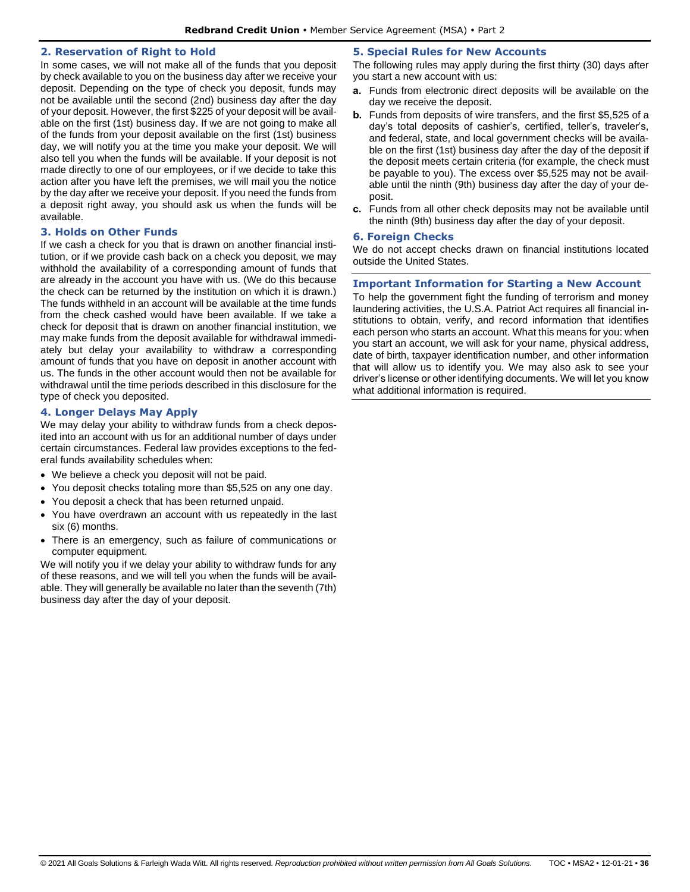#### <span id="page-35-0"></span>**2. Reservation of Right to Hold**

In some cases, we will not make all of the funds that you deposit by check available to you on the business day after we receive your deposit. Depending on the type of check you deposit, funds may not be available until the second (2nd) business day after the day of your deposit. However, the first \$225 of your deposit will be available on the first (1st) business day. If we are not going to make all of the funds from your deposit available on the first (1st) business day, we will notify you at the time you make your deposit. We will also tell you when the funds will be available. If your deposit is not made directly to one of our employees, or if we decide to take this action after you have left the premises, we will mail you the notice by the day after we receive your deposit. If you need the funds from a deposit right away, you should ask us when the funds will be available.

#### <span id="page-35-1"></span>**3. Holds on Other Funds**

If we cash a check for you that is drawn on another financial institution, or if we provide cash back on a check you deposit, we may withhold the availability of a corresponding amount of funds that are already in the account you have with us. (We do this because the check can be returned by the institution on which it is drawn.) The funds withheld in an account will be available at the time funds from the check cashed would have been available. If we take a check for deposit that is drawn on another financial institution, we may make funds from the deposit available for withdrawal immediately but delay your availability to withdraw a corresponding amount of funds that you have on deposit in another account with us. The funds in the other account would then not be available for withdrawal until the time periods described in this disclosure for the type of check you deposited.

## <span id="page-35-2"></span>**4. Longer Delays May Apply**

We may delay your ability to withdraw funds from a check deposited into an account with us for an additional number of days under certain circumstances. Federal law provides exceptions to the federal funds availability schedules when:

- We believe a check you deposit will not be paid.
- You deposit checks totaling more than \$5,525 on any one day.
- You deposit a check that has been returned unpaid.
- You have overdrawn an account with us repeatedly in the last six (6) months.
- There is an emergency, such as failure of communications or computer equipment.

We will notify you if we delay your ability to withdraw funds for any of these reasons, and we will tell you when the funds will be available. They will generally be available no later than the seventh (7th) business day after the day of your deposit.

#### <span id="page-35-3"></span>**5. Special Rules for New Accounts**

The following rules may apply during the first thirty (30) days after you start a new account with us:

- **a.** Funds from electronic direct deposits will be available on the day we receive the deposit.
- **b.** Funds from deposits of wire transfers, and the first \$5,525 of a day's total deposits of cashier's, certified, teller's, traveler's, and federal, state, and local government checks will be available on the first (1st) business day after the day of the deposit if the deposit meets certain criteria (for example, the check must be payable to you). The excess over \$5,525 may not be available until the ninth (9th) business day after the day of your deposit.
- **c.** Funds from all other check deposits may not be available until the ninth (9th) business day after the day of your deposit.

#### <span id="page-35-4"></span>**6. Foreign Checks**

We do not accept checks drawn on financial institutions located outside the United States.

#### <span id="page-35-5"></span>**Important Information for Starting a New Account**

To help the government fight the funding of terrorism and money laundering activities, the U.S.A. Patriot Act requires all financial institutions to obtain, verify, and record information that identifies each person who starts an account. What this means for you: when you start an account, we will ask for your name, physical address, date of birth, taxpayer identification number, and other information that will allow us to identify you. We may also ask to see your driver's license or other identifying documents. We will let you know what additional information is required.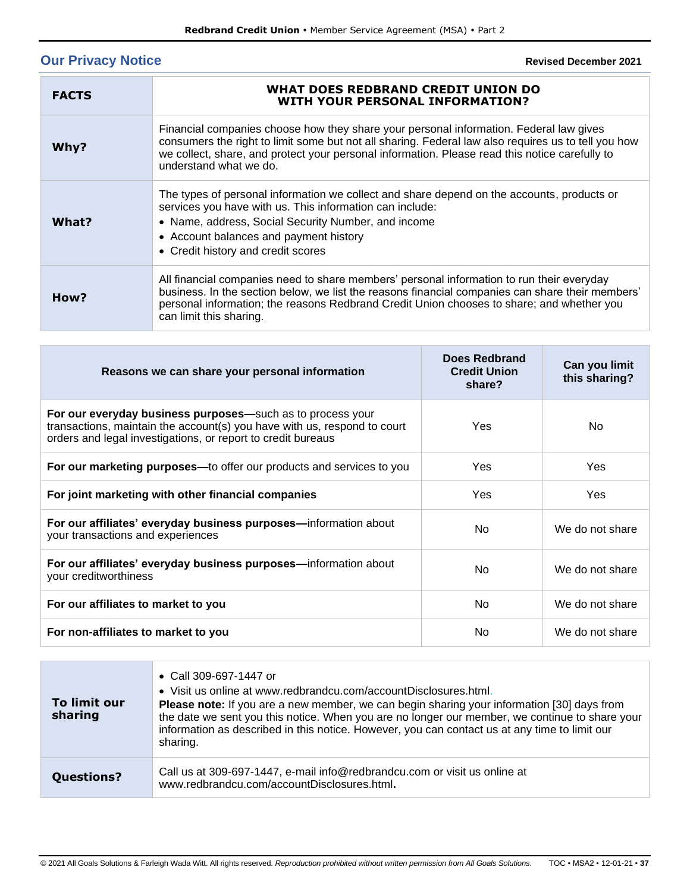# <span id="page-36-0"></span>**Our Privacy Notice**

**Revised December 2021**

| <b>FACTS</b> | WHAT DOES REDBRAND CREDIT UNION DO<br><b>WITH YOUR PERSONAL INFORMATION?</b>                                                                                                                                                                                                                                              |
|--------------|---------------------------------------------------------------------------------------------------------------------------------------------------------------------------------------------------------------------------------------------------------------------------------------------------------------------------|
| Why?         | Financial companies choose how they share your personal information. Federal law gives<br>consumers the right to limit some but not all sharing. Federal law also requires us to tell you how<br>we collect, share, and protect your personal information. Please read this notice carefully to<br>understand what we do. |
| What?        | The types of personal information we collect and share depend on the accounts, products or<br>services you have with us. This information can include:<br>• Name, address, Social Security Number, and income<br>• Account balances and payment history<br>• Credit history and credit scores                             |
| How?         | All financial companies need to share members' personal information to run their everyday<br>business. In the section below, we list the reasons financial companies can share their members'<br>personal information; the reasons Redbrand Credit Union chooses to share; and whether you<br>can limit this sharing.     |

| Reasons we can share your personal information                                                                                                                                                         | Does Redbrand<br><b>Credit Union</b><br>share? | Can you limit<br>this sharing? |
|--------------------------------------------------------------------------------------------------------------------------------------------------------------------------------------------------------|------------------------------------------------|--------------------------------|
| For our everyday business purposes—such as to process your<br>transactions, maintain the account(s) you have with us, respond to court<br>orders and legal investigations, or report to credit bureaus | Yes                                            | No.                            |
| For our marketing purposes—to offer our products and services to you                                                                                                                                   | Yes                                            | Yes                            |
| For joint marketing with other financial companies                                                                                                                                                     | Yes                                            | Yes                            |
| For our affiliates' everyday business purposes—information about<br>your transactions and experiences                                                                                                  | No.                                            | We do not share                |
| For our affiliates' everyday business purposes—information about<br>your creditworthiness                                                                                                              | No.                                            | We do not share                |
| For our affiliates to market to you                                                                                                                                                                    | No.                                            | We do not share                |
| For non-affiliates to market to you                                                                                                                                                                    | No.                                            | We do not share                |

| To limit our<br>sharing | • Call 309-697-1447 or<br>• Visit us online at www.redbrandcu.com/accountDisclosures.html.<br>Please note: If you are a new member, we can begin sharing your information [30] days from<br>the date we sent you this notice. When you are no longer our member, we continue to share your<br>information as described in this notice. However, you can contact us at any time to limit our<br>sharing. |
|-------------------------|---------------------------------------------------------------------------------------------------------------------------------------------------------------------------------------------------------------------------------------------------------------------------------------------------------------------------------------------------------------------------------------------------------|
| <b>Questions?</b>       | Call us at 309-697-1447, e-mail info@redbrandcu.com or visit us online at<br>www.redbrandcu.com/accountDisclosures.html.                                                                                                                                                                                                                                                                                |